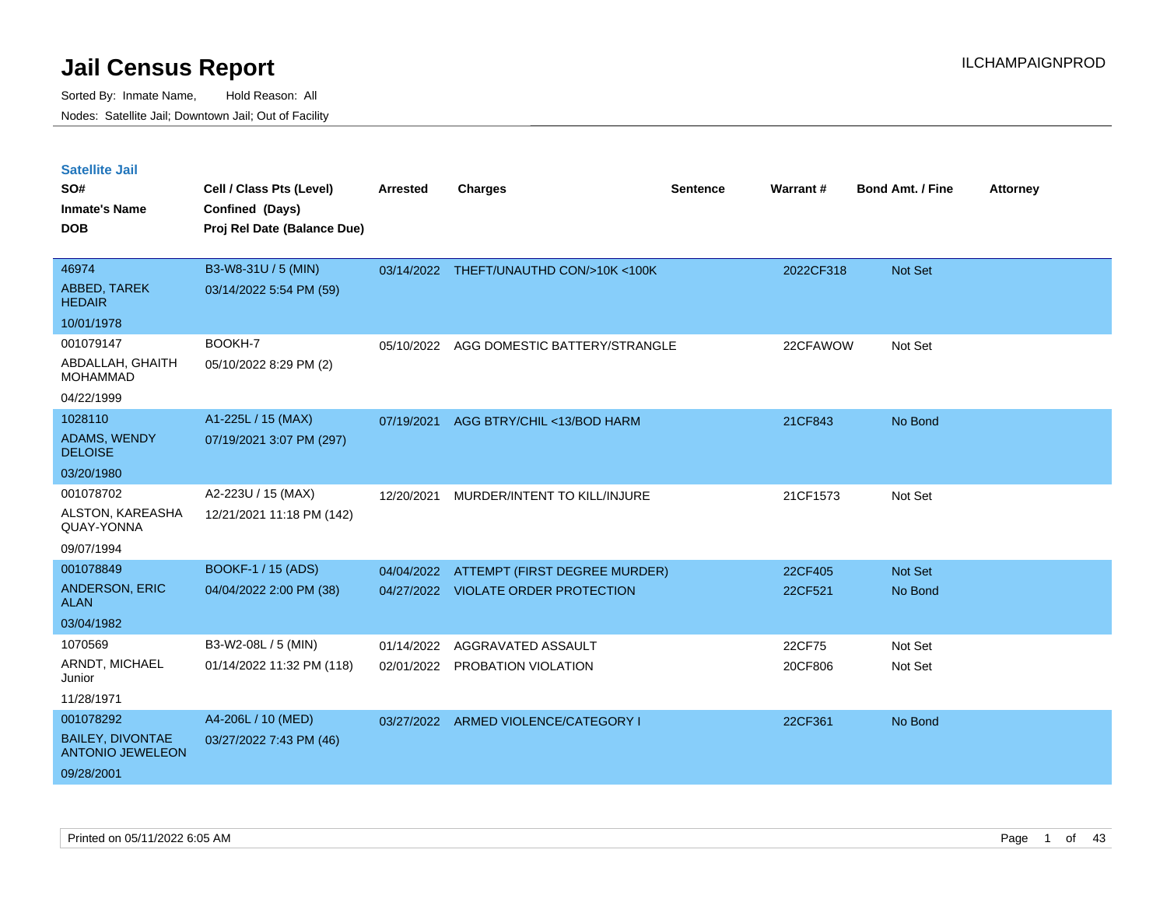| <b>Satellite Jail</b><br>SO#<br><b>Inmate's Name</b><br><b>DOB</b> | Cell / Class Pts (Level)<br>Confined (Days)<br>Proj Rel Date (Balance Due) | Arrested   | <b>Charges</b>                          | Sentence | Warrant#  | <b>Bond Amt. / Fine</b> | <b>Attorney</b> |
|--------------------------------------------------------------------|----------------------------------------------------------------------------|------------|-----------------------------------------|----------|-----------|-------------------------|-----------------|
| 46974                                                              | B3-W8-31U / 5 (MIN)                                                        |            | 03/14/2022 THEFT/UNAUTHD CON/>10K <100K |          | 2022CF318 | Not Set                 |                 |
| ABBED, TAREK<br><b>HEDAIR</b>                                      | 03/14/2022 5:54 PM (59)                                                    |            |                                         |          |           |                         |                 |
| 10/01/1978                                                         |                                                                            |            |                                         |          |           |                         |                 |
| 001079147                                                          | BOOKH-7                                                                    | 05/10/2022 | AGG DOMESTIC BATTERY/STRANGLE           |          | 22CFAWOW  | Not Set                 |                 |
| ABDALLAH, GHAITH<br><b>MOHAMMAD</b>                                | 05/10/2022 8:29 PM (2)                                                     |            |                                         |          |           |                         |                 |
| 04/22/1999                                                         |                                                                            |            |                                         |          |           |                         |                 |
| 1028110                                                            | A1-225L / 15 (MAX)                                                         | 07/19/2021 | AGG BTRY/CHIL <13/BOD HARM              |          | 21CF843   | No Bond                 |                 |
| ADAMS, WENDY<br><b>DELOISE</b>                                     | 07/19/2021 3:07 PM (297)                                                   |            |                                         |          |           |                         |                 |
| 03/20/1980                                                         |                                                                            |            |                                         |          |           |                         |                 |
| 001078702                                                          | A2-223U / 15 (MAX)                                                         | 12/20/2021 | MURDER/INTENT TO KILL/INJURE            |          | 21CF1573  | Not Set                 |                 |
| ALSTON, KAREASHA<br>QUAY-YONNA                                     | 12/21/2021 11:18 PM (142)                                                  |            |                                         |          |           |                         |                 |
| 09/07/1994                                                         |                                                                            |            |                                         |          |           |                         |                 |
| 001078849                                                          | BOOKF-1 / 15 (ADS)                                                         | 04/04/2022 | ATTEMPT (FIRST DEGREE MURDER)           |          | 22CF405   | <b>Not Set</b>          |                 |
| ANDERSON, ERIC<br><b>ALAN</b>                                      | 04/04/2022 2:00 PM (38)                                                    |            | 04/27/2022 VIOLATE ORDER PROTECTION     |          | 22CF521   | No Bond                 |                 |
| 03/04/1982                                                         |                                                                            |            |                                         |          |           |                         |                 |
| 1070569                                                            | B3-W2-08L / 5 (MIN)                                                        | 01/14/2022 | AGGRAVATED ASSAULT                      |          | 22CF75    | Not Set                 |                 |
| ARNDT, MICHAEL<br>Junior                                           | 01/14/2022 11:32 PM (118)                                                  |            | 02/01/2022 PROBATION VIOLATION          |          | 20CF806   | Not Set                 |                 |
| 11/28/1971                                                         |                                                                            |            |                                         |          |           |                         |                 |
| 001078292                                                          | A4-206L / 10 (MED)                                                         |            | 03/27/2022 ARMED VIOLENCE/CATEGORY I    |          | 22CF361   | No Bond                 |                 |
| <b>BAILEY, DIVONTAE</b><br><b>ANTONIO JEWELEON</b>                 | 03/27/2022 7:43 PM (46)                                                    |            |                                         |          |           |                         |                 |
| 09/28/2001                                                         |                                                                            |            |                                         |          |           |                         |                 |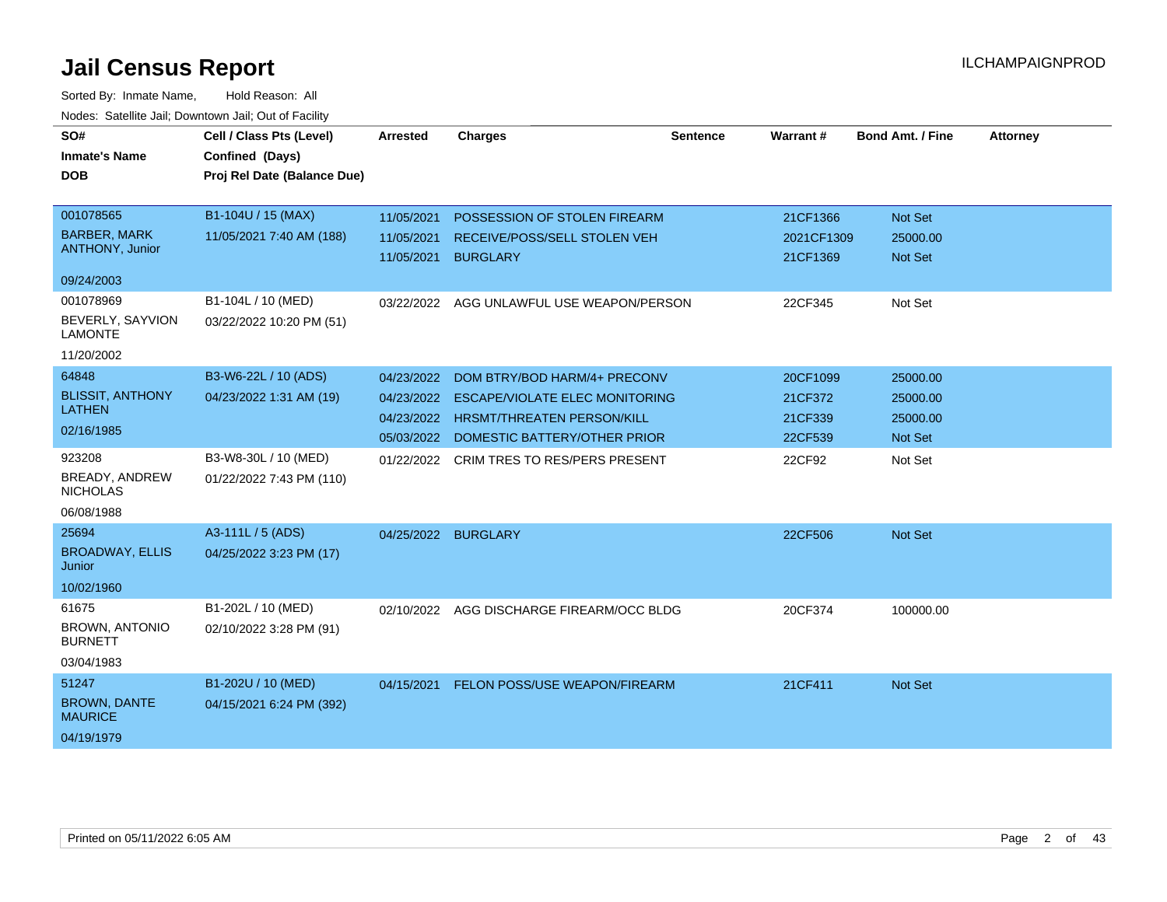| SO#<br><b>Inmate's Name</b><br><b>DOB</b> | Cell / Class Pts (Level)<br>Confined (Days)<br>Proj Rel Date (Balance Due) | <b>Arrested</b>     | <b>Charges</b>                            | <b>Sentence</b> | Warrant#   | <b>Bond Amt. / Fine</b> | <b>Attorney</b> |
|-------------------------------------------|----------------------------------------------------------------------------|---------------------|-------------------------------------------|-----------------|------------|-------------------------|-----------------|
|                                           |                                                                            |                     |                                           |                 |            |                         |                 |
| 001078565                                 | B1-104U / 15 (MAX)                                                         | 11/05/2021          | POSSESSION OF STOLEN FIREARM              |                 | 21CF1366   | Not Set                 |                 |
| <b>BARBER, MARK</b>                       | 11/05/2021 7:40 AM (188)                                                   | 11/05/2021          | RECEIVE/POSS/SELL STOLEN VEH              |                 | 2021CF1309 | 25000.00                |                 |
| ANTHONY, Junior                           |                                                                            | 11/05/2021          | <b>BURGLARY</b>                           |                 | 21CF1369   | Not Set                 |                 |
| 09/24/2003                                |                                                                            |                     |                                           |                 |            |                         |                 |
| 001078969                                 | B1-104L / 10 (MED)                                                         |                     | 03/22/2022 AGG UNLAWFUL USE WEAPON/PERSON |                 | 22CF345    | Not Set                 |                 |
| BEVERLY, SAYVION<br><b>LAMONTE</b>        | 03/22/2022 10:20 PM (51)                                                   |                     |                                           |                 |            |                         |                 |
| 11/20/2002                                |                                                                            |                     |                                           |                 |            |                         |                 |
| 64848                                     | B3-W6-22L / 10 (ADS)                                                       | 04/23/2022          | DOM BTRY/BOD HARM/4+ PRECONV              |                 | 20CF1099   | 25000.00                |                 |
| <b>BLISSIT, ANTHONY</b><br><b>LATHEN</b>  | 04/23/2022 1:31 AM (19)                                                    | 04/23/2022          | <b>ESCAPE/VIOLATE ELEC MONITORING</b>     |                 | 21CF372    | 25000.00                |                 |
|                                           |                                                                            | 04/23/2022          | <b>HRSMT/THREATEN PERSON/KILL</b>         |                 | 21CF339    | 25000.00                |                 |
| 02/16/1985                                |                                                                            |                     | 05/03/2022 DOMESTIC BATTERY/OTHER PRIOR   |                 | 22CF539    | Not Set                 |                 |
| 923208                                    | B3-W8-30L / 10 (MED)                                                       |                     | 01/22/2022 CRIM TRES TO RES/PERS PRESENT  |                 | 22CF92     | Not Set                 |                 |
| BREADY, ANDREW<br><b>NICHOLAS</b>         | 01/22/2022 7:43 PM (110)                                                   |                     |                                           |                 |            |                         |                 |
| 06/08/1988                                |                                                                            |                     |                                           |                 |            |                         |                 |
| 25694                                     | A3-111L / 5 (ADS)                                                          | 04/25/2022 BURGLARY |                                           |                 | 22CF506    | Not Set                 |                 |
| <b>BROADWAY, ELLIS</b><br>Junior          | 04/25/2022 3:23 PM (17)                                                    |                     |                                           |                 |            |                         |                 |
| 10/02/1960                                |                                                                            |                     |                                           |                 |            |                         |                 |
| 61675                                     | B1-202L / 10 (MED)                                                         | 02/10/2022          | AGG DISCHARGE FIREARM/OCC BLDG            |                 | 20CF374    | 100000.00               |                 |
| <b>BROWN, ANTONIO</b><br><b>BURNETT</b>   | 02/10/2022 3:28 PM (91)                                                    |                     |                                           |                 |            |                         |                 |
| 03/04/1983                                |                                                                            |                     |                                           |                 |            |                         |                 |
| 51247                                     | B1-202U / 10 (MED)                                                         | 04/15/2021          | FELON POSS/USE WEAPON/FIREARM             |                 | 21CF411    | Not Set                 |                 |
| <b>BROWN, DANTE</b><br><b>MAURICE</b>     | 04/15/2021 6:24 PM (392)                                                   |                     |                                           |                 |            |                         |                 |
| 04/19/1979                                |                                                                            |                     |                                           |                 |            |                         |                 |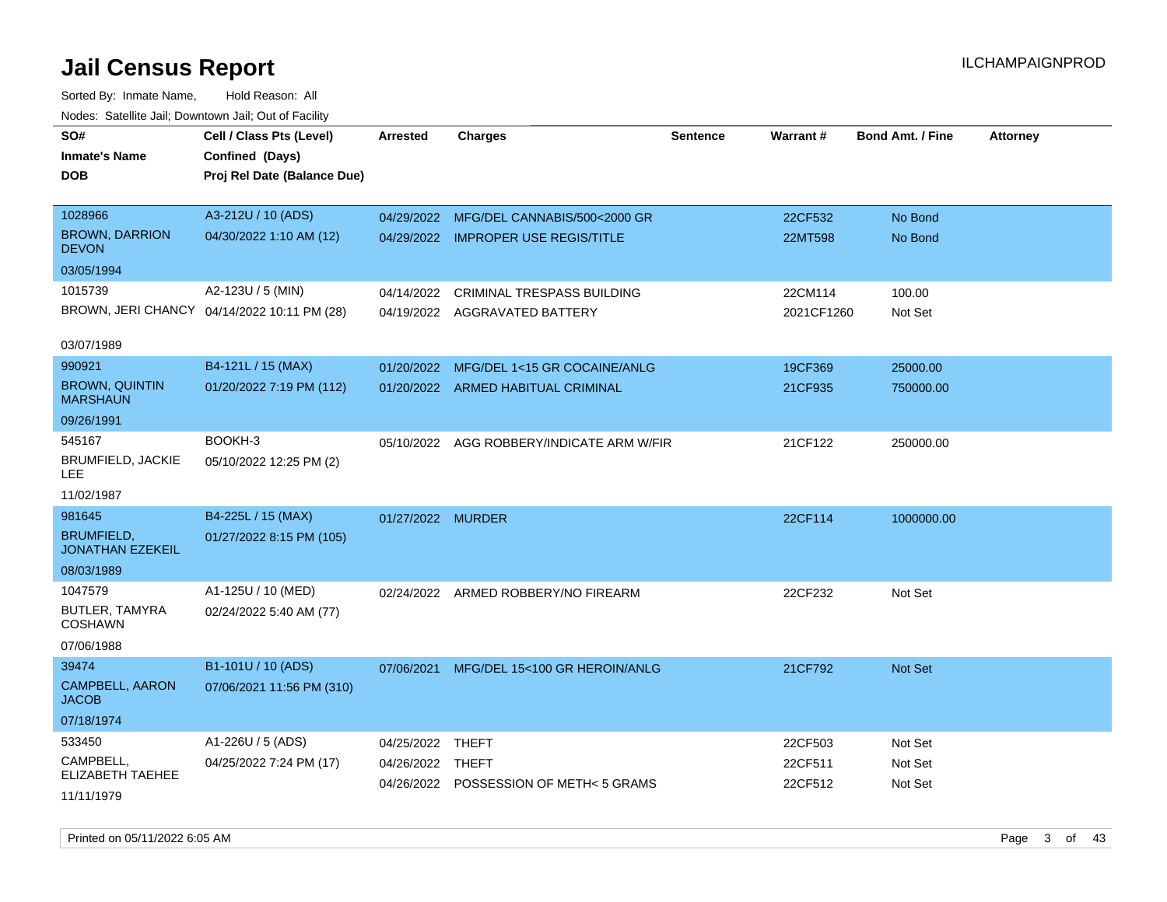| SO#<br><b>Inmate's Name</b>                  | Cell / Class Pts (Level)<br>Confined (Days) | <b>Arrested</b>   | <b>Charges</b>                          | <b>Sentence</b> | Warrant#           | <b>Bond Amt. / Fine</b> | <b>Attorney</b> |
|----------------------------------------------|---------------------------------------------|-------------------|-----------------------------------------|-----------------|--------------------|-------------------------|-----------------|
| <b>DOB</b>                                   | Proj Rel Date (Balance Due)                 |                   |                                         |                 |                    |                         |                 |
| 1028966                                      | A3-212U / 10 (ADS)                          |                   | 04/29/2022 MFG/DEL CANNABIS/500<2000 GR |                 | 22CF532            | No Bond                 |                 |
| <b>BROWN, DARRION</b><br><b>DEVON</b>        | 04/30/2022 1:10 AM (12)                     |                   | 04/29/2022 IMPROPER USE REGIS/TITLE     |                 | 22MT598            | No Bond                 |                 |
| 03/05/1994                                   |                                             |                   |                                         |                 |                    |                         |                 |
| 1015739                                      | A2-123U / 5 (MIN)                           | 04/14/2022        | <b>CRIMINAL TRESPASS BUILDING</b>       |                 | 22CM114            | 100.00                  |                 |
|                                              | BROWN, JERI CHANCY 04/14/2022 10:11 PM (28) |                   | 04/19/2022 AGGRAVATED BATTERY           |                 | 2021CF1260         | Not Set                 |                 |
| 03/07/1989                                   |                                             |                   |                                         |                 |                    |                         |                 |
| 990921                                       | B4-121L / 15 (MAX)                          | 01/20/2022        | MFG/DEL 1<15 GR COCAINE/ANLG            |                 | 19CF369            | 25000.00                |                 |
| <b>BROWN, QUINTIN</b><br><b>MARSHAUN</b>     | 01/20/2022 7:19 PM (112)                    |                   | 01/20/2022 ARMED HABITUAL CRIMINAL      |                 | 21CF935            | 750000.00               |                 |
| 09/26/1991                                   |                                             |                   |                                         |                 |                    |                         |                 |
| 545167                                       | BOOKH-3                                     | 05/10/2022        | AGG ROBBERY/INDICATE ARM W/FIR          |                 | 21CF122            | 250000.00               |                 |
| <b>BRUMFIELD, JACKIE</b><br>LEE              | 05/10/2022 12:25 PM (2)                     |                   |                                         |                 |                    |                         |                 |
| 11/02/1987                                   |                                             |                   |                                         |                 |                    |                         |                 |
| 981645                                       | B4-225L / 15 (MAX)                          | 01/27/2022 MURDER |                                         |                 | 22CF114            | 1000000.00              |                 |
| <b>BRUMFIELD,</b><br><b>JONATHAN EZEKEIL</b> | 01/27/2022 8:15 PM (105)                    |                   |                                         |                 |                    |                         |                 |
| 08/03/1989                                   |                                             |                   |                                         |                 |                    |                         |                 |
| 1047579                                      | A1-125U / 10 (MED)                          |                   | 02/24/2022 ARMED ROBBERY/NO FIREARM     |                 | 22CF232            | Not Set                 |                 |
| BUTLER, TAMYRA<br><b>COSHAWN</b>             | 02/24/2022 5:40 AM (77)                     |                   |                                         |                 |                    |                         |                 |
| 07/06/1988                                   |                                             |                   |                                         |                 |                    |                         |                 |
| 39474                                        | B1-101U / 10 (ADS)                          | 07/06/2021        | MFG/DEL 15<100 GR HEROIN/ANLG           |                 | 21CF792            | <b>Not Set</b>          |                 |
| <b>CAMPBELL, AARON</b><br><b>JACOB</b>       | 07/06/2021 11:56 PM (310)                   |                   |                                         |                 |                    |                         |                 |
| 07/18/1974                                   |                                             |                   |                                         |                 |                    |                         |                 |
| 533450                                       | A1-226U / 5 (ADS)                           | 04/25/2022        | THEFT                                   |                 | 22CF503            | Not Set                 |                 |
| CAMPBELL,<br><b>ELIZABETH TAEHEE</b>         | 04/25/2022 7:24 PM (17)                     | 04/26/2022 THEFT  | 04/26/2022 POSSESSION OF METH< 5 GRAMS  |                 | 22CF511<br>22CF512 | Not Set                 |                 |
| 11/11/1979                                   |                                             |                   |                                         |                 |                    | Not Set                 |                 |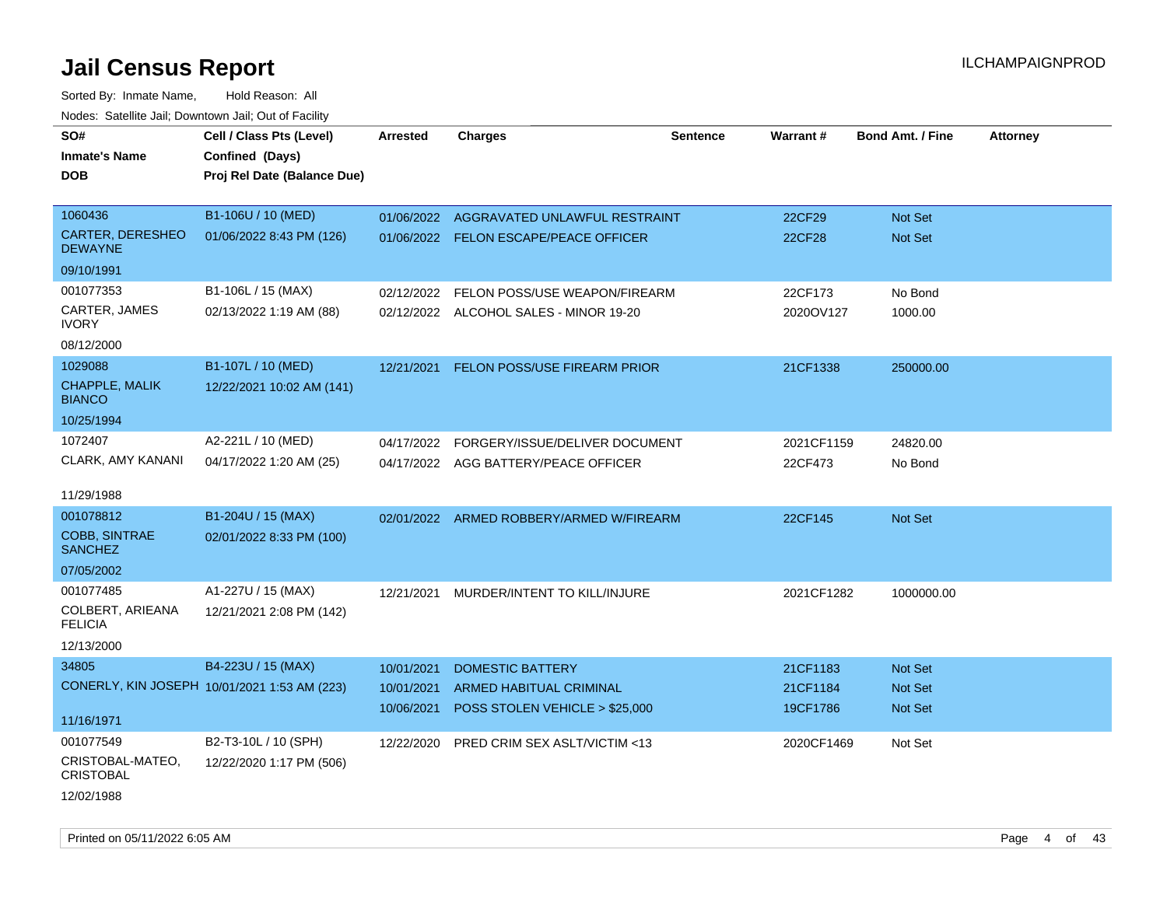| SO#                                    | Cell / Class Pts (Level)                     | <b>Arrested</b> | <b>Charges</b>                           | <b>Sentence</b> | Warrant#      | <b>Bond Amt. / Fine</b> | <b>Attorney</b> |
|----------------------------------------|----------------------------------------------|-----------------|------------------------------------------|-----------------|---------------|-------------------------|-----------------|
| <b>Inmate's Name</b>                   | Confined (Days)                              |                 |                                          |                 |               |                         |                 |
| <b>DOB</b>                             | Proj Rel Date (Balance Due)                  |                 |                                          |                 |               |                         |                 |
|                                        |                                              |                 |                                          |                 |               |                         |                 |
| 1060436                                | B1-106U / 10 (MED)                           | 01/06/2022      | AGGRAVATED UNLAWFUL RESTRAINT            |                 | 22CF29        | Not Set                 |                 |
| CARTER, DERESHEO<br><b>DEWAYNE</b>     | 01/06/2022 8:43 PM (126)                     |                 | 01/06/2022 FELON ESCAPE/PEACE OFFICER    |                 | <b>22CF28</b> | Not Set                 |                 |
| 09/10/1991                             |                                              |                 |                                          |                 |               |                         |                 |
| 001077353                              | B1-106L / 15 (MAX)                           | 02/12/2022      | FELON POSS/USE WEAPON/FIREARM            |                 | 22CF173       | No Bond                 |                 |
| CARTER, JAMES<br><b>IVORY</b>          | 02/13/2022 1:19 AM (88)                      |                 | 02/12/2022 ALCOHOL SALES - MINOR 19-20   |                 | 2020OV127     | 1000.00                 |                 |
| 08/12/2000                             |                                              |                 |                                          |                 |               |                         |                 |
| 1029088                                | B1-107L / 10 (MED)                           | 12/21/2021      | FELON POSS/USE FIREARM PRIOR             |                 | 21CF1338      | 250000.00               |                 |
| <b>CHAPPLE, MALIK</b><br><b>BIANCO</b> | 12/22/2021 10:02 AM (141)                    |                 |                                          |                 |               |                         |                 |
| 10/25/1994                             |                                              |                 |                                          |                 |               |                         |                 |
| 1072407                                | A2-221L / 10 (MED)                           | 04/17/2022      | FORGERY/ISSUE/DELIVER DOCUMENT           |                 | 2021CF1159    | 24820.00                |                 |
| CLARK, AMY KANANI                      | 04/17/2022 1:20 AM (25)                      |                 | 04/17/2022 AGG BATTERY/PEACE OFFICER     |                 | 22CF473       | No Bond                 |                 |
|                                        |                                              |                 |                                          |                 |               |                         |                 |
| 11/29/1988                             |                                              |                 |                                          |                 |               |                         |                 |
| 001078812                              | B1-204U / 15 (MAX)                           |                 | 02/01/2022 ARMED ROBBERY/ARMED W/FIREARM |                 | 22CF145       | Not Set                 |                 |
| <b>COBB, SINTRAE</b><br><b>SANCHEZ</b> | 02/01/2022 8:33 PM (100)                     |                 |                                          |                 |               |                         |                 |
| 07/05/2002                             |                                              |                 |                                          |                 |               |                         |                 |
| 001077485                              | A1-227U / 15 (MAX)                           | 12/21/2021      | MURDER/INTENT TO KILL/INJURE             |                 | 2021CF1282    | 1000000.00              |                 |
| COLBERT, ARIEANA<br><b>FELICIA</b>     | 12/21/2021 2:08 PM (142)                     |                 |                                          |                 |               |                         |                 |
| 12/13/2000                             |                                              |                 |                                          |                 |               |                         |                 |
| 34805                                  | B4-223U / 15 (MAX)                           | 10/01/2021      | <b>DOMESTIC BATTERY</b>                  |                 | 21CF1183      | <b>Not Set</b>          |                 |
|                                        | CONERLY, KIN JOSEPH 10/01/2021 1:53 AM (223) | 10/01/2021      | ARMED HABITUAL CRIMINAL                  |                 | 21CF1184      | <b>Not Set</b>          |                 |
| 11/16/1971                             |                                              | 10/06/2021      | POSS STOLEN VEHICLE > \$25,000           |                 | 19CF1786      | Not Set                 |                 |
| 001077549                              | B2-T3-10L / 10 (SPH)                         | 12/22/2020      | PRED CRIM SEX ASLT/VICTIM <13            |                 | 2020CF1469    | Not Set                 |                 |
| CRISTOBAL-MATEO,<br><b>CRISTOBAL</b>   | 12/22/2020 1:17 PM (506)                     |                 |                                          |                 |               |                         |                 |
| 12/02/1988                             |                                              |                 |                                          |                 |               |                         |                 |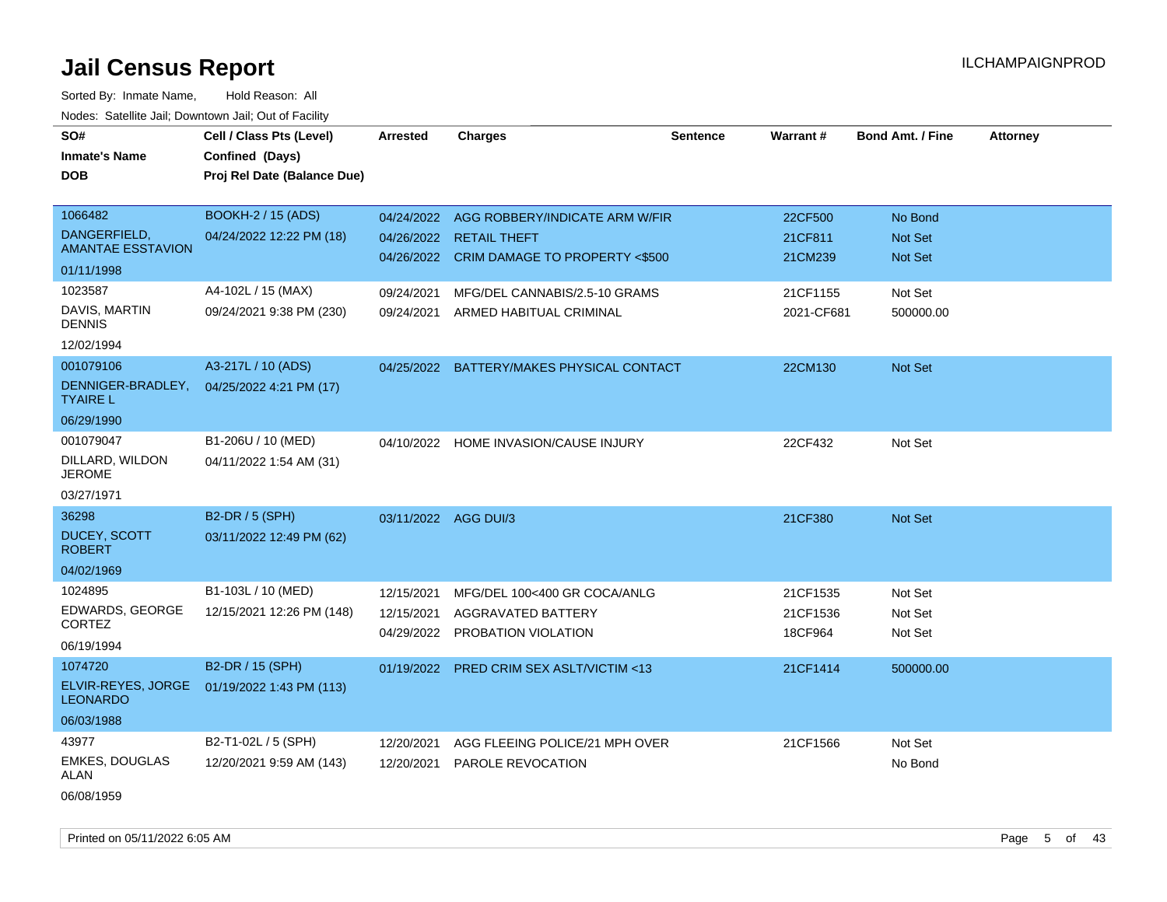Sorted By: Inmate Name, Hold Reason: All Nodes: Satellite Jail; Downtown Jail; Out of Facility

| SO#<br><b>Inmate's Name</b><br><b>DOB</b>                         | Cell / Class Pts (Level)<br>Confined (Days)<br>Proj Rel Date (Balance Due) | <b>Arrested</b>          | <b>Charges</b>                                                                                                    | <b>Sentence</b> | Warrant#                        | <b>Bond Amt. / Fine</b>                     | <b>Attorney</b> |
|-------------------------------------------------------------------|----------------------------------------------------------------------------|--------------------------|-------------------------------------------------------------------------------------------------------------------|-----------------|---------------------------------|---------------------------------------------|-----------------|
| 1066482<br>DANGERFIELD,<br><b>AMANTAE ESSTAVION</b><br>01/11/1998 | <b>BOOKH-2 / 15 (ADS)</b><br>04/24/2022 12:22 PM (18)                      |                          | 04/24/2022 AGG ROBBERY/INDICATE ARM W/FIR<br>04/26/2022 RETAIL THEFT<br>04/26/2022 CRIM DAMAGE TO PROPERTY <\$500 |                 | 22CF500<br>21CF811<br>21CM239   | No Bond<br><b>Not Set</b><br><b>Not Set</b> |                 |
| 1023587<br>DAVIS, MARTIN<br><b>DENNIS</b><br>12/02/1994           | A4-102L / 15 (MAX)<br>09/24/2021 9:38 PM (230)                             | 09/24/2021<br>09/24/2021 | MFG/DEL CANNABIS/2.5-10 GRAMS<br>ARMED HABITUAL CRIMINAL                                                          |                 | 21CF1155<br>2021-CF681          | Not Set<br>500000.00                        |                 |
| 001079106<br>DENNIGER-BRADLEY,<br><b>TYAIRE L</b><br>06/29/1990   | A3-217L / 10 (ADS)<br>04/25/2022 4:21 PM (17)                              | 04/25/2022               | BATTERY/MAKES PHYSICAL CONTACT                                                                                    |                 | 22CM130                         | Not Set                                     |                 |
| 001079047<br>DILLARD, WILDON<br><b>JEROME</b><br>03/27/1971       | B1-206U / 10 (MED)<br>04/11/2022 1:54 AM (31)                              |                          | 04/10/2022 HOME INVASION/CAUSE INJURY                                                                             |                 | 22CF432                         | Not Set                                     |                 |
| 36298<br><b>DUCEY, SCOTT</b><br><b>ROBERT</b><br>04/02/1969       | B2-DR / 5 (SPH)<br>03/11/2022 12:49 PM (62)                                | 03/11/2022 AGG DUI/3     |                                                                                                                   |                 | 21CF380                         | Not Set                                     |                 |
| 1024895<br>EDWARDS, GEORGE<br>CORTEZ<br>06/19/1994                | B1-103L / 10 (MED)<br>12/15/2021 12:26 PM (148)                            | 12/15/2021<br>12/15/2021 | MFG/DEL 100<400 GR COCA/ANLG<br>AGGRAVATED BATTERY<br>04/29/2022 PROBATION VIOLATION                              |                 | 21CF1535<br>21CF1536<br>18CF964 | Not Set<br>Not Set<br>Not Set               |                 |
| 1074720<br>ELVIR-REYES, JORGE<br><b>LEONARDO</b><br>06/03/1988    | B2-DR / 15 (SPH)<br>01/19/2022 1:43 PM (113)                               | 01/19/2022               | <b>PRED CRIM SEX ASLT/VICTIM &lt;13</b>                                                                           |                 | 21CF1414                        | 500000.00                                   |                 |
| 43977<br>EMKES, DOUGLAS<br>ALAN                                   | B2-T1-02L / 5 (SPH)<br>12/20/2021 9:59 AM (143)                            | 12/20/2021<br>12/20/2021 | AGG FLEEING POLICE/21 MPH OVER<br>PAROLE REVOCATION                                                               |                 | 21CF1566                        | Not Set<br>No Bond                          |                 |

06/08/1959

Printed on 05/11/2022 6:05 AM Page 5 of 43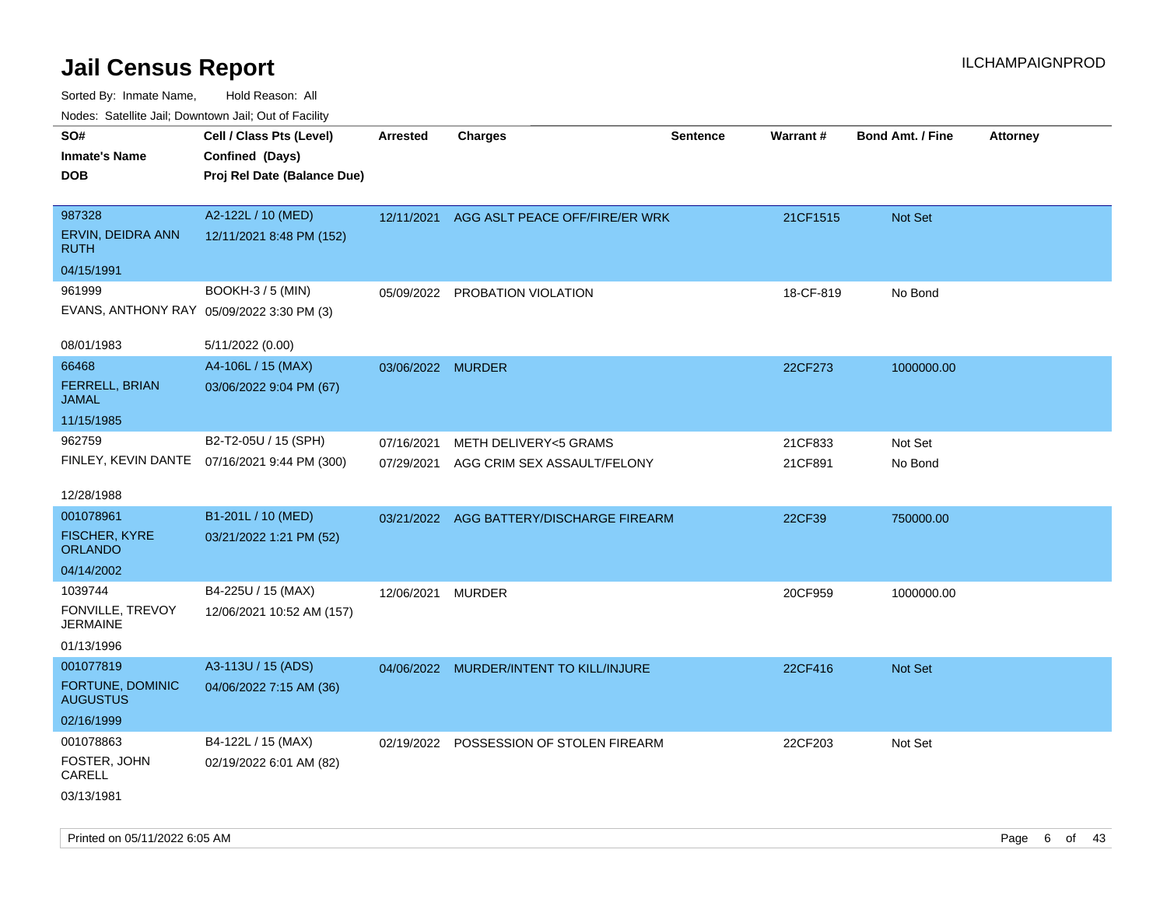| SO#<br><b>Inmate's Name</b><br><b>DOB</b>                    | Cell / Class Pts (Level)<br>Confined (Days)<br>Proj Rel Date (Balance Due) | Arrested                 | <b>Charges</b>                                       | <b>Sentence</b> | <b>Warrant#</b>    | <b>Bond Amt. / Fine</b> | <b>Attorney</b> |
|--------------------------------------------------------------|----------------------------------------------------------------------------|--------------------------|------------------------------------------------------|-----------------|--------------------|-------------------------|-----------------|
| 987328<br>ERVIN, DEIDRA ANN<br><b>RUTH</b>                   | A2-122L / 10 (MED)<br>12/11/2021 8:48 PM (152)                             | 12/11/2021               | AGG ASLT PEACE OFF/FIRE/ER WRK                       |                 | 21CF1515           | Not Set                 |                 |
| 04/15/1991                                                   |                                                                            |                          |                                                      |                 |                    |                         |                 |
| 961999<br>EVANS, ANTHONY RAY 05/09/2022 3:30 PM (3)          | <b>BOOKH-3 / 5 (MIN)</b>                                                   | 05/09/2022               | PROBATION VIOLATION                                  |                 | 18-CF-819          | No Bond                 |                 |
| 08/01/1983                                                   | 5/11/2022 (0.00)                                                           |                          |                                                      |                 |                    |                         |                 |
| 66468<br><b>FERRELL, BRIAN</b><br>JAMAL                      | A4-106L / 15 (MAX)<br>03/06/2022 9:04 PM (67)                              | 03/06/2022 MURDER        |                                                      |                 | 22CF273            | 1000000.00              |                 |
| 11/15/1985                                                   |                                                                            |                          |                                                      |                 |                    |                         |                 |
| 962759                                                       | B2-T2-05U / 15 (SPH)<br>FINLEY, KEVIN DANTE 07/16/2021 9:44 PM (300)       | 07/16/2021<br>07/29/2021 | METH DELIVERY<5 GRAMS<br>AGG CRIM SEX ASSAULT/FELONY |                 | 21CF833<br>21CF891 | Not Set<br>No Bond      |                 |
| 12/28/1988                                                   |                                                                            |                          |                                                      |                 |                    |                         |                 |
| 001078961                                                    | B1-201L / 10 (MED)                                                         |                          | 03/21/2022 AGG BATTERY/DISCHARGE FIREARM             |                 | 22CF39             | 750000.00               |                 |
| <b>FISCHER, KYRE</b><br><b>ORLANDO</b>                       | 03/21/2022 1:21 PM (52)                                                    |                          |                                                      |                 |                    |                         |                 |
| 04/14/2002                                                   |                                                                            |                          |                                                      |                 |                    |                         |                 |
| 1039744<br>FONVILLE, TREVOY<br><b>JERMAINE</b><br>01/13/1996 | B4-225U / 15 (MAX)<br>12/06/2021 10:52 AM (157)                            | 12/06/2021               | <b>MURDER</b>                                        |                 | 20CF959            | 1000000.00              |                 |
| 001077819                                                    | A3-113U / 15 (ADS)                                                         |                          | 04/06/2022 MURDER/INTENT TO KILL/INJURE              |                 | 22CF416            | Not Set                 |                 |
| FORTUNE, DOMINIC<br><b>AUGUSTUS</b>                          | 04/06/2022 7:15 AM (36)                                                    |                          |                                                      |                 |                    |                         |                 |
| 02/16/1999                                                   |                                                                            |                          |                                                      |                 |                    |                         |                 |
| 001078863<br>FOSTER, JOHN<br>CARELL<br>03/13/1981            | B4-122L / 15 (MAX)<br>02/19/2022 6:01 AM (82)                              |                          | 02/19/2022 POSSESSION OF STOLEN FIREARM              |                 | 22CF203            | Not Set                 |                 |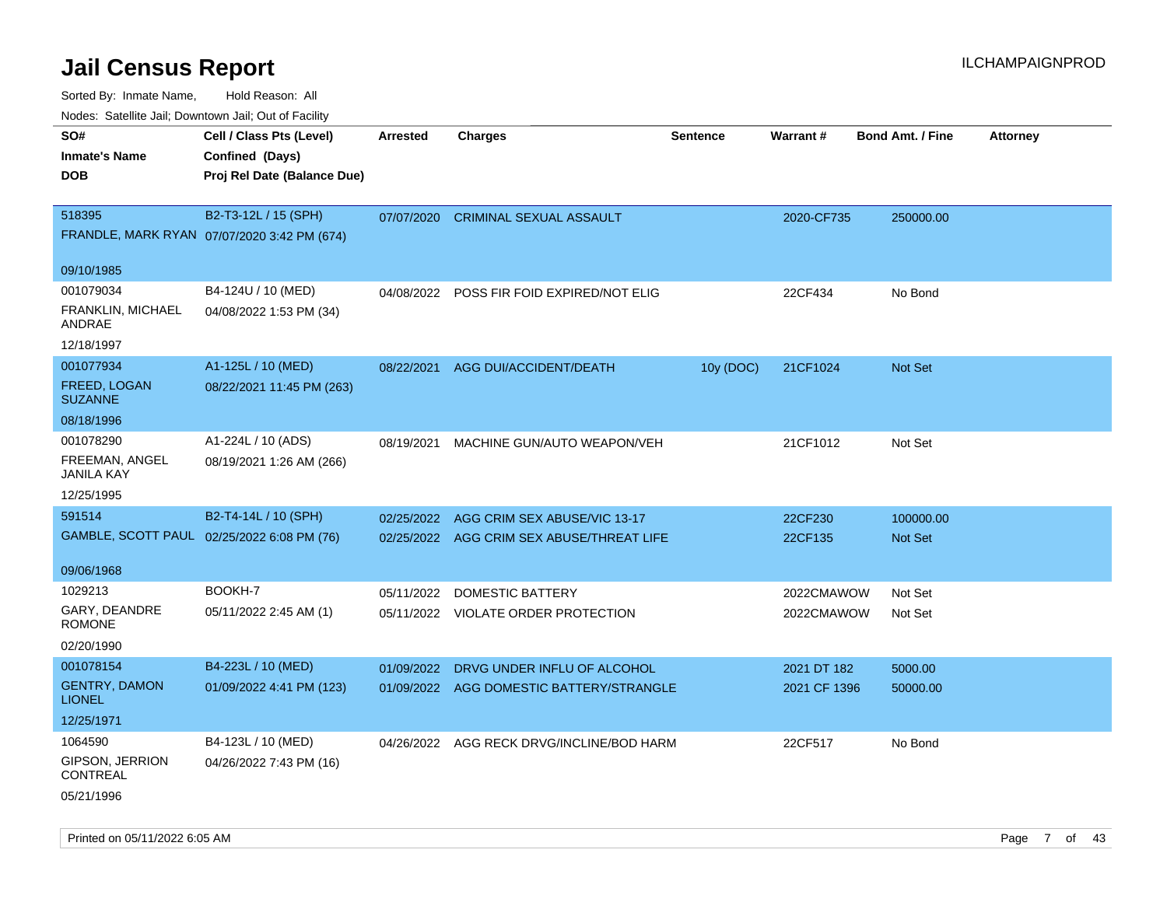Sorted By: Inmate Name, Hold Reason: All

Nodes: Satellite Jail; Downtown Jail; Out of Facility

| rouce. Calcinic Jan, Downtown Jan, Out or Facility |                                             |                 |                                           |                 |              |                         |                 |
|----------------------------------------------------|---------------------------------------------|-----------------|-------------------------------------------|-----------------|--------------|-------------------------|-----------------|
| SO#                                                | Cell / Class Pts (Level)                    | <b>Arrested</b> | <b>Charges</b>                            | <b>Sentence</b> | Warrant#     | <b>Bond Amt. / Fine</b> | <b>Attorney</b> |
| <b>Inmate's Name</b>                               | Confined (Days)                             |                 |                                           |                 |              |                         |                 |
| <b>DOB</b>                                         | Proj Rel Date (Balance Due)                 |                 |                                           |                 |              |                         |                 |
|                                                    |                                             |                 |                                           |                 |              |                         |                 |
| 518395                                             | B2-T3-12L / 15 (SPH)                        | 07/07/2020      | <b>CRIMINAL SEXUAL ASSAULT</b>            |                 | 2020-CF735   | 250000.00               |                 |
|                                                    | FRANDLE, MARK RYAN 07/07/2020 3:42 PM (674) |                 |                                           |                 |              |                         |                 |
|                                                    |                                             |                 |                                           |                 |              |                         |                 |
| 09/10/1985                                         |                                             |                 |                                           |                 |              |                         |                 |
| 001079034                                          | B4-124U / 10 (MED)                          |                 | 04/08/2022 POSS FIR FOID EXPIRED/NOT ELIG |                 | 22CF434      | No Bond                 |                 |
| FRANKLIN, MICHAEL<br>ANDRAE                        | 04/08/2022 1:53 PM (34)                     |                 |                                           |                 |              |                         |                 |
| 12/18/1997                                         |                                             |                 |                                           |                 |              |                         |                 |
| 001077934                                          | A1-125L / 10 (MED)                          | 08/22/2021      | AGG DUI/ACCIDENT/DEATH                    | 10y (DOC)       | 21CF1024     | <b>Not Set</b>          |                 |
| FREED, LOGAN<br><b>SUZANNE</b>                     | 08/22/2021 11:45 PM (263)                   |                 |                                           |                 |              |                         |                 |
| 08/18/1996                                         |                                             |                 |                                           |                 |              |                         |                 |
| 001078290                                          | A1-224L / 10 (ADS)                          | 08/19/2021      | MACHINE GUN/AUTO WEAPON/VEH               |                 | 21CF1012     | Not Set                 |                 |
| FREEMAN, ANGEL<br><b>JANILA KAY</b>                | 08/19/2021 1:26 AM (266)                    |                 |                                           |                 |              |                         |                 |
| 12/25/1995                                         |                                             |                 |                                           |                 |              |                         |                 |
| 591514                                             | B2-T4-14L / 10 (SPH)                        | 02/25/2022      | AGG CRIM SEX ABUSE/VIC 13-17              |                 | 22CF230      | 100000.00               |                 |
|                                                    | GAMBLE, SCOTT PAUL 02/25/2022 6:08 PM (76)  |                 | 02/25/2022 AGG CRIM SEX ABUSE/THREAT LIFE |                 | 22CF135      | <b>Not Set</b>          |                 |
|                                                    |                                             |                 |                                           |                 |              |                         |                 |
| 09/06/1968                                         |                                             |                 |                                           |                 |              |                         |                 |
| 1029213                                            | BOOKH-7                                     | 05/11/2022      | <b>DOMESTIC BATTERY</b>                   |                 | 2022CMAWOW   | Not Set                 |                 |
| GARY, DEANDRE<br><b>ROMONE</b>                     | 05/11/2022 2:45 AM (1)                      |                 | 05/11/2022 VIOLATE ORDER PROTECTION       |                 | 2022CMAWOW   | Not Set                 |                 |
| 02/20/1990                                         |                                             |                 |                                           |                 |              |                         |                 |
| 001078154                                          | B4-223L / 10 (MED)                          | 01/09/2022      | DRVG UNDER INFLU OF ALCOHOL               |                 | 2021 DT 182  | 5000.00                 |                 |
| <b>GENTRY, DAMON</b><br><b>LIONEL</b>              | 01/09/2022 4:41 PM (123)                    |                 | 01/09/2022 AGG DOMESTIC BATTERY/STRANGLE  |                 | 2021 CF 1396 | 50000.00                |                 |
| 12/25/1971                                         |                                             |                 |                                           |                 |              |                         |                 |
| 1064590                                            | B4-123L / 10 (MED)                          |                 | 04/26/2022 AGG RECK DRVG/INCLINE/BOD HARM |                 | 22CF517      | No Bond                 |                 |
| GIPSON, JERRION<br><b>CONTREAL</b>                 | 04/26/2022 7:43 PM (16)                     |                 |                                           |                 |              |                         |                 |
| 05/21/1996                                         |                                             |                 |                                           |                 |              |                         |                 |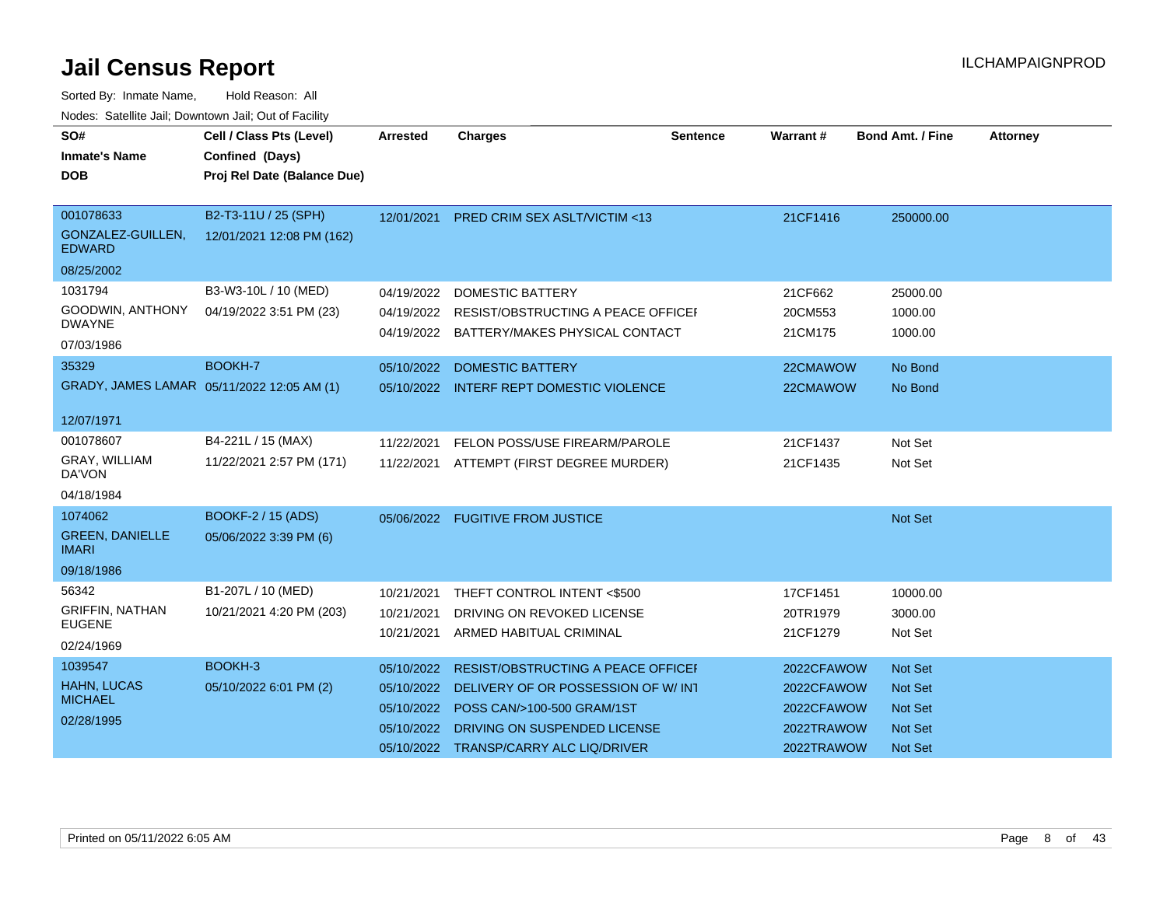| SO#                                    | Cell / Class Pts (Level)                   | <b>Arrested</b> | <b>Charges</b>                                | <b>Sentence</b> | Warrant#   | <b>Bond Amt. / Fine</b> | <b>Attorney</b> |
|----------------------------------------|--------------------------------------------|-----------------|-----------------------------------------------|-----------------|------------|-------------------------|-----------------|
| <b>Inmate's Name</b>                   | Confined (Days)                            |                 |                                               |                 |            |                         |                 |
| <b>DOB</b>                             | Proj Rel Date (Balance Due)                |                 |                                               |                 |            |                         |                 |
|                                        |                                            |                 |                                               |                 |            |                         |                 |
| 001078633                              | B2-T3-11U / 25 (SPH)                       | 12/01/2021      | <b>PRED CRIM SEX ASLT/VICTIM &lt;13</b>       |                 | 21CF1416   | 250000.00               |                 |
| GONZALEZ-GUILLEN,<br><b>EDWARD</b>     | 12/01/2021 12:08 PM (162)                  |                 |                                               |                 |            |                         |                 |
| 08/25/2002                             |                                            |                 |                                               |                 |            |                         |                 |
| 1031794                                | B3-W3-10L / 10 (MED)                       | 04/19/2022      | <b>DOMESTIC BATTERY</b>                       |                 | 21CF662    | 25000.00                |                 |
| GOODWIN, ANTHONY                       | 04/19/2022 3:51 PM (23)                    | 04/19/2022      | RESIST/OBSTRUCTING A PEACE OFFICEF            |                 | 20CM553    | 1000.00                 |                 |
| <b>DWAYNE</b>                          |                                            |                 | 04/19/2022 BATTERY/MAKES PHYSICAL CONTACT     |                 | 21CM175    | 1000.00                 |                 |
| 07/03/1986                             |                                            |                 |                                               |                 |            |                         |                 |
| 35329                                  | BOOKH-7                                    |                 | 05/10/2022 DOMESTIC BATTERY                   |                 | 22CMAWOW   | No Bond                 |                 |
|                                        | GRADY, JAMES LAMAR 05/11/2022 12:05 AM (1) |                 | 05/10/2022 INTERF REPT DOMESTIC VIOLENCE      |                 | 22CMAWOW   | No Bond                 |                 |
| 12/07/1971                             |                                            |                 |                                               |                 |            |                         |                 |
| 001078607                              | B4-221L / 15 (MAX)                         |                 |                                               |                 |            |                         |                 |
|                                        |                                            | 11/22/2021      | FELON POSS/USE FIREARM/PAROLE                 |                 | 21CF1437   | Not Set                 |                 |
| GRAY, WILLIAM<br>DA'VON                | 11/22/2021 2:57 PM (171)                   | 11/22/2021      | ATTEMPT (FIRST DEGREE MURDER)                 |                 | 21CF1435   | Not Set                 |                 |
| 04/18/1984                             |                                            |                 |                                               |                 |            |                         |                 |
| 1074062                                | <b>BOOKF-2 / 15 (ADS)</b>                  |                 | 05/06/2022 FUGITIVE FROM JUSTICE              |                 |            | Not Set                 |                 |
| <b>GREEN, DANIELLE</b><br><b>IMARI</b> | 05/06/2022 3:39 PM (6)                     |                 |                                               |                 |            |                         |                 |
| 09/18/1986                             |                                            |                 |                                               |                 |            |                         |                 |
| 56342                                  | B1-207L / 10 (MED)                         | 10/21/2021      | THEFT CONTROL INTENT <\$500                   |                 | 17CF1451   | 10000.00                |                 |
| <b>GRIFFIN, NATHAN</b>                 | 10/21/2021 4:20 PM (203)                   | 10/21/2021      | DRIVING ON REVOKED LICENSE                    |                 | 20TR1979   | 3000.00                 |                 |
| <b>EUGENE</b>                          |                                            | 10/21/2021      | ARMED HABITUAL CRIMINAL                       |                 | 21CF1279   | Not Set                 |                 |
| 02/24/1969                             |                                            |                 |                                               |                 |            |                         |                 |
| 1039547                                | BOOKH-3                                    | 05/10/2022      | RESIST/OBSTRUCTING A PEACE OFFICEF            |                 | 2022CFAWOW | <b>Not Set</b>          |                 |
| <b>HAHN, LUCAS</b>                     | 05/10/2022 6:01 PM (2)                     |                 | 05/10/2022 DELIVERY OF OR POSSESSION OF W/INT |                 | 2022CFAWOW | <b>Not Set</b>          |                 |
| <b>MICHAEL</b>                         |                                            | 05/10/2022      | POSS CAN/>100-500 GRAM/1ST                    |                 | 2022CFAWOW | <b>Not Set</b>          |                 |
| 02/28/1995                             |                                            | 05/10/2022      | DRIVING ON SUSPENDED LICENSE                  |                 | 2022TRAWOW | Not Set                 |                 |
|                                        |                                            |                 | 05/10/2022 TRANSP/CARRY ALC LIQ/DRIVER        |                 | 2022TRAWOW | <b>Not Set</b>          |                 |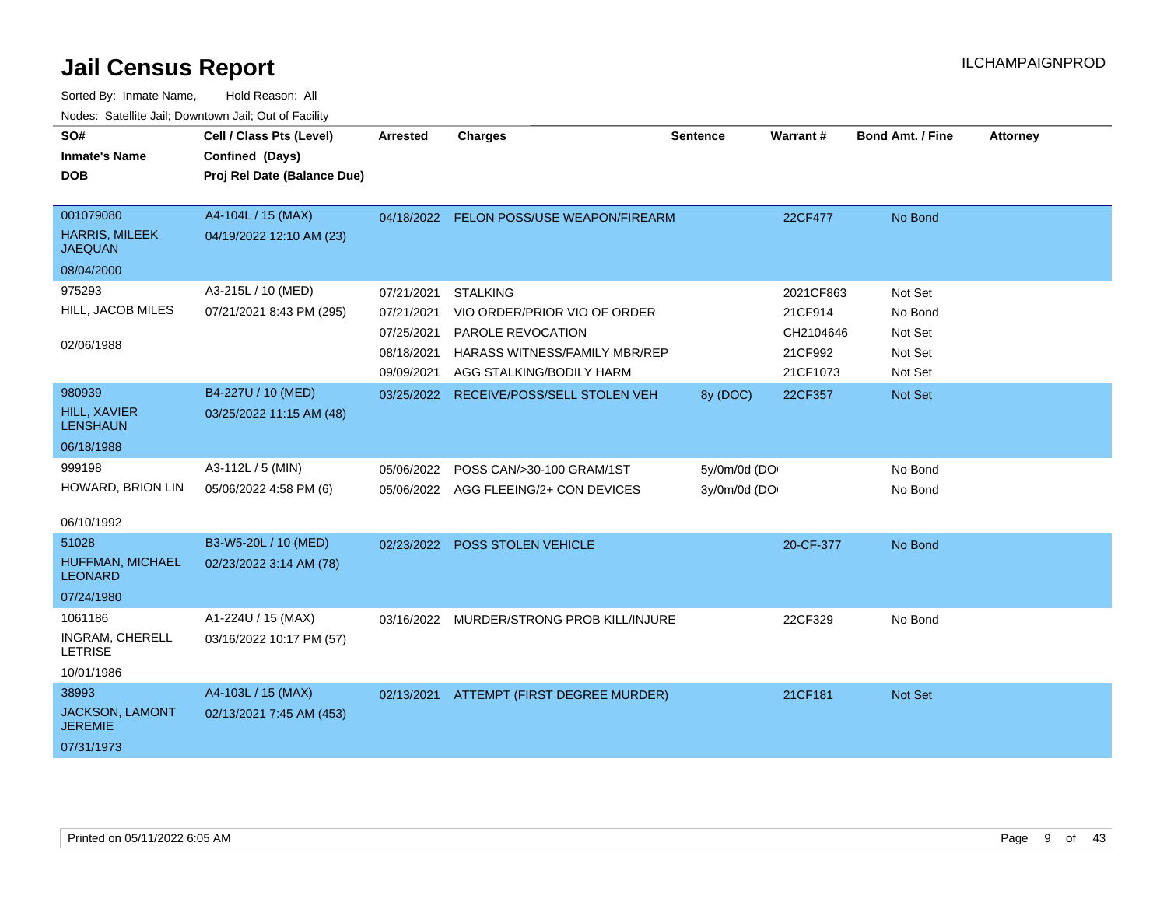| SO#                                      | Cell / Class Pts (Level)    | <b>Arrested</b> | <b>Charges</b>                           | <b>Sentence</b> | Warrant#  | <b>Bond Amt. / Fine</b> | <b>Attorney</b> |
|------------------------------------------|-----------------------------|-----------------|------------------------------------------|-----------------|-----------|-------------------------|-----------------|
| <b>Inmate's Name</b>                     | Confined (Days)             |                 |                                          |                 |           |                         |                 |
| <b>DOB</b>                               | Proj Rel Date (Balance Due) |                 |                                          |                 |           |                         |                 |
|                                          |                             |                 |                                          |                 |           |                         |                 |
| 001079080                                | A4-104L / 15 (MAX)          |                 | 04/18/2022 FELON POSS/USE WEAPON/FIREARM |                 | 22CF477   | No Bond                 |                 |
| <b>HARRIS, MILEEK</b><br><b>JAEQUAN</b>  | 04/19/2022 12:10 AM (23)    |                 |                                          |                 |           |                         |                 |
| 08/04/2000                               |                             |                 |                                          |                 |           |                         |                 |
| 975293                                   | A3-215L / 10 (MED)          | 07/21/2021      | <b>STALKING</b>                          |                 | 2021CF863 | Not Set                 |                 |
| HILL, JACOB MILES                        | 07/21/2021 8:43 PM (295)    | 07/21/2021      | VIO ORDER/PRIOR VIO OF ORDER             |                 | 21CF914   | No Bond                 |                 |
|                                          |                             | 07/25/2021      | PAROLE REVOCATION                        |                 | CH2104646 | Not Set                 |                 |
| 02/06/1988                               |                             | 08/18/2021      | HARASS WITNESS/FAMILY MBR/REP            |                 | 21CF992   | Not Set                 |                 |
|                                          |                             | 09/09/2021      | AGG STALKING/BODILY HARM                 |                 | 21CF1073  | Not Set                 |                 |
| 980939                                   | B4-227U / 10 (MED)          | 03/25/2022      | RECEIVE/POSS/SELL STOLEN VEH             | 8y (DOC)        | 22CF357   | Not Set                 |                 |
| <b>HILL, XAVIER</b><br><b>LENSHAUN</b>   | 03/25/2022 11:15 AM (48)    |                 |                                          |                 |           |                         |                 |
| 06/18/1988                               |                             |                 |                                          |                 |           |                         |                 |
| 999198                                   | A3-112L / 5 (MIN)           | 05/06/2022      | POSS CAN/>30-100 GRAM/1ST                | 5y/0m/0d (DO    |           | No Bond                 |                 |
| HOWARD, BRION LIN                        | 05/06/2022 4:58 PM (6)      |                 | 05/06/2022 AGG FLEEING/2+ CON DEVICES    | 3y/0m/0d (DO    |           | No Bond                 |                 |
|                                          |                             |                 |                                          |                 |           |                         |                 |
| 06/10/1992                               |                             |                 |                                          |                 |           |                         |                 |
| 51028                                    | B3-W5-20L / 10 (MED)        |                 | 02/23/2022 POSS STOLEN VEHICLE           |                 | 20-CF-377 | No Bond                 |                 |
| HUFFMAN, MICHAEL<br><b>LEONARD</b>       | 02/23/2022 3:14 AM (78)     |                 |                                          |                 |           |                         |                 |
| 07/24/1980                               |                             |                 |                                          |                 |           |                         |                 |
| 1061186                                  | A1-224U / 15 (MAX)          | 03/16/2022      | MURDER/STRONG PROB KILL/INJURE           |                 | 22CF329   | No Bond                 |                 |
| INGRAM, CHERELL<br><b>LETRISE</b>        | 03/16/2022 10:17 PM (57)    |                 |                                          |                 |           |                         |                 |
| 10/01/1986                               |                             |                 |                                          |                 |           |                         |                 |
| 38993                                    | A4-103L / 15 (MAX)          |                 | 02/13/2021 ATTEMPT (FIRST DEGREE MURDER) |                 | 21CF181   | Not Set                 |                 |
| <b>JACKSON, LAMONT</b><br><b>JEREMIE</b> | 02/13/2021 7:45 AM (453)    |                 |                                          |                 |           |                         |                 |
| 07/31/1973                               |                             |                 |                                          |                 |           |                         |                 |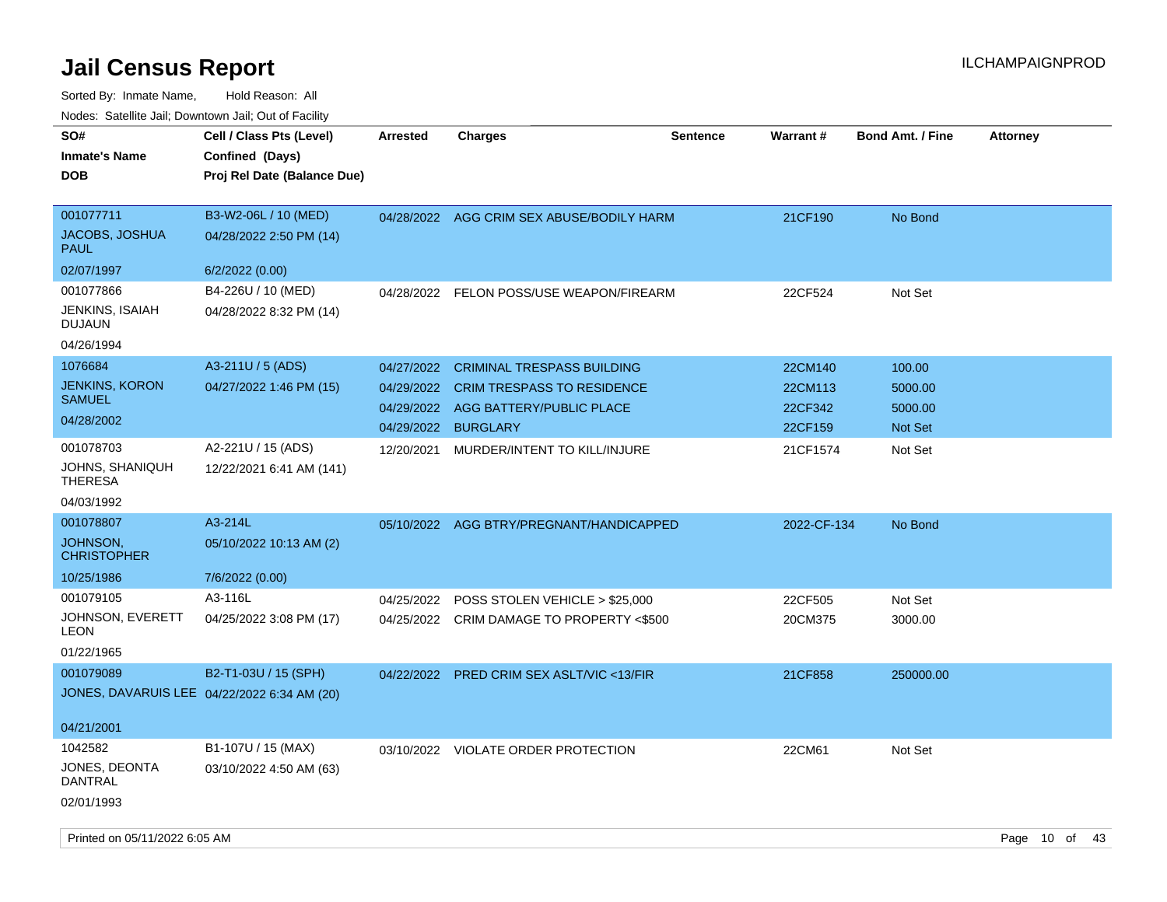| SO#<br><b>Inmate's Name</b><br><b>DOB</b>                       | Cell / Class Pts (Level)<br>Confined (Days)<br>Proj Rel Date (Balance Due) | <b>Arrested</b>                        | Charges                                                                                            | <b>Sentence</b> | <b>Warrant#</b>               | <b>Bond Amt. / Fine</b>      | <b>Attorney</b> |
|-----------------------------------------------------------------|----------------------------------------------------------------------------|----------------------------------------|----------------------------------------------------------------------------------------------------|-----------------|-------------------------------|------------------------------|-----------------|
| 001077711<br><b>JACOBS, JOSHUA</b><br><b>PAUL</b>               | B3-W2-06L / 10 (MED)<br>04/28/2022 2:50 PM (14)                            |                                        | 04/28/2022 AGG CRIM SEX ABUSE/BODILY HARM                                                          |                 | 21CF190                       | No Bond                      |                 |
| 02/07/1997                                                      | 6/2/2022 (0.00)                                                            |                                        |                                                                                                    |                 |                               |                              |                 |
| 001077866<br>JENKINS, ISAIAH<br><b>DUJAUN</b>                   | B4-226U / 10 (MED)<br>04/28/2022 8:32 PM (14)                              |                                        | 04/28/2022 FELON POSS/USE WEAPON/FIREARM                                                           |                 | 22CF524                       | Not Set                      |                 |
| 04/26/1994<br>1076684<br><b>JENKINS, KORON</b><br><b>SAMUEL</b> | A3-211U / 5 (ADS)<br>04/27/2022 1:46 PM (15)                               | 04/27/2022<br>04/29/2022<br>04/29/2022 | <b>CRIMINAL TRESPASS BUILDING</b><br><b>CRIM TRESPASS TO RESIDENCE</b><br>AGG BATTERY/PUBLIC PLACE |                 | 22CM140<br>22CM113<br>22CF342 | 100.00<br>5000.00<br>5000.00 |                 |
| 04/28/2002                                                      |                                                                            | 04/29/2022                             | <b>BURGLARY</b>                                                                                    |                 | 22CF159                       | <b>Not Set</b>               |                 |
| 001078703<br>JOHNS, SHANIQUH<br>THERESA<br>04/03/1992           | A2-221U / 15 (ADS)<br>12/22/2021 6:41 AM (141)                             | 12/20/2021                             | MURDER/INTENT TO KILL/INJURE                                                                       |                 | 21CF1574                      | Not Set                      |                 |
| 001078807                                                       | A3-214L                                                                    | 05/10/2022                             | AGG BTRY/PREGNANT/HANDICAPPED                                                                      |                 | 2022-CF-134                   | No Bond                      |                 |
| <b>JOHNSON,</b><br><b>CHRISTOPHER</b>                           | 05/10/2022 10:13 AM (2)                                                    |                                        |                                                                                                    |                 |                               |                              |                 |
| 10/25/1986                                                      | 7/6/2022 (0.00)                                                            |                                        |                                                                                                    |                 |                               |                              |                 |
| 001079105<br>JOHNSON, EVERETT<br>LEON<br>01/22/1965             | A3-116L<br>04/25/2022 3:08 PM (17)                                         | 04/25/2022                             | POSS STOLEN VEHICLE > \$25,000<br>04/25/2022 CRIM DAMAGE TO PROPERTY <\$500                        |                 | 22CF505<br>20CM375            | Not Set<br>3000.00           |                 |
| 001079089                                                       | B2-T1-03U / 15 (SPH)<br>JONES, DAVARUIS LEE 04/22/2022 6:34 AM (20)        | 04/22/2022                             | <b>PRED CRIM SEX ASLT/VIC &lt;13/FIR</b>                                                           |                 | 21CF858                       | 250000.00                    |                 |
| 04/21/2001                                                      |                                                                            |                                        |                                                                                                    |                 |                               |                              |                 |
| 1042582<br>JONES, DEONTA<br>DANTRAL                             | B1-107U / 15 (MAX)<br>03/10/2022 4:50 AM (63)                              |                                        | 03/10/2022 VIOLATE ORDER PROTECTION                                                                |                 | 22CM61                        | Not Set                      |                 |
| 02/01/1993                                                      |                                                                            |                                        |                                                                                                    |                 |                               |                              |                 |
|                                                                 |                                                                            |                                        |                                                                                                    |                 |                               |                              |                 |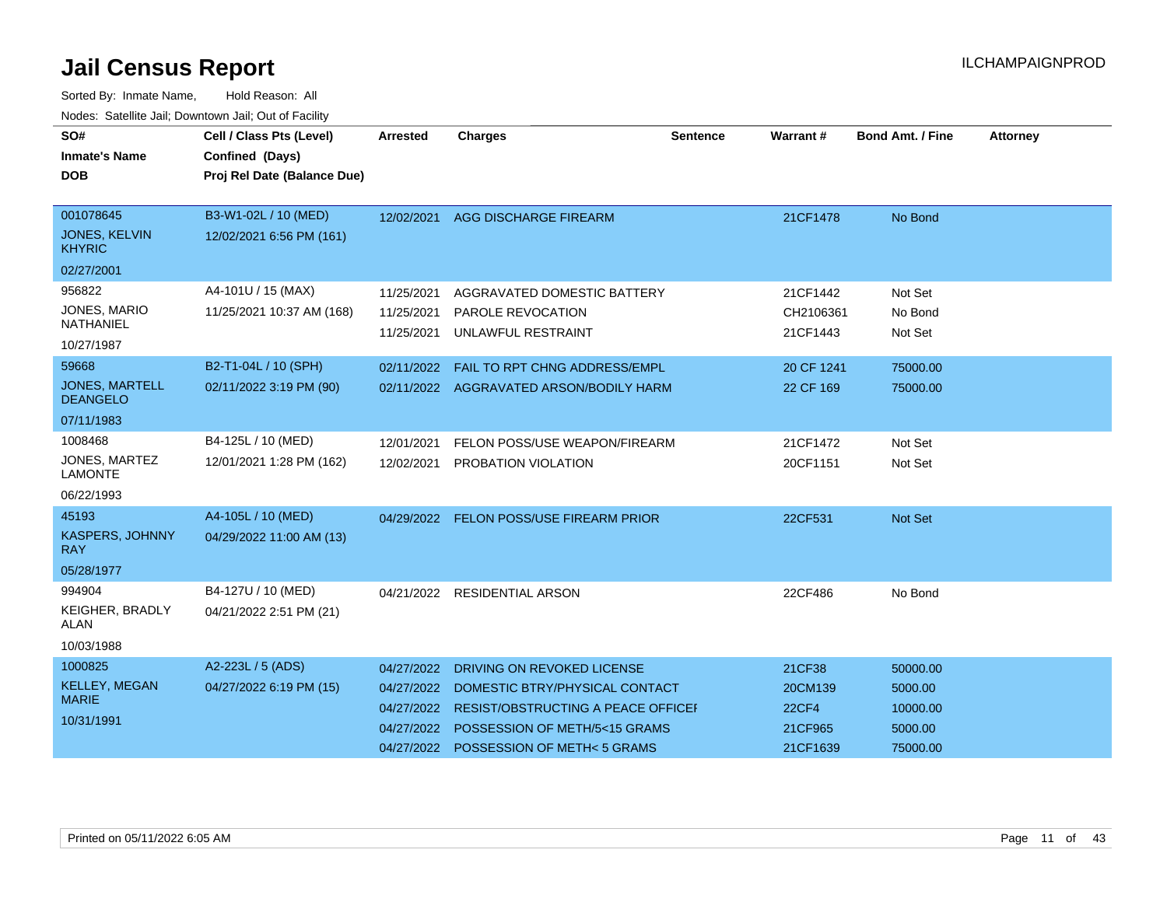| SO#<br><b>Inmate's Name</b>                                     | Cell / Class Pts (Level)<br>Confined (Days)      | <b>Arrested</b>                                                    | <b>Charges</b>                                                                                                                                                    | <b>Sentence</b> | Warrant#                                                 | <b>Bond Amt. / Fine</b>                                | <b>Attorney</b> |
|-----------------------------------------------------------------|--------------------------------------------------|--------------------------------------------------------------------|-------------------------------------------------------------------------------------------------------------------------------------------------------------------|-----------------|----------------------------------------------------------|--------------------------------------------------------|-----------------|
| <b>DOB</b>                                                      | Proj Rel Date (Balance Due)                      |                                                                    |                                                                                                                                                                   |                 |                                                          |                                                        |                 |
| 001078645<br>JONES, KELVIN<br><b>KHYRIC</b><br>02/27/2001       | B3-W1-02L / 10 (MED)<br>12/02/2021 6:56 PM (161) | 12/02/2021                                                         | <b>AGG DISCHARGE FIREARM</b>                                                                                                                                      |                 | 21CF1478                                                 | No Bond                                                |                 |
| 956822<br><b>JONES, MARIO</b><br>NATHANIEL<br>10/27/1987        | A4-101U / 15 (MAX)<br>11/25/2021 10:37 AM (168)  | 11/25/2021<br>11/25/2021<br>11/25/2021                             | AGGRAVATED DOMESTIC BATTERY<br>PAROLE REVOCATION<br>UNLAWFUL RESTRAINT                                                                                            |                 | 21CF1442<br>CH2106361<br>21CF1443                        | Not Set<br>No Bond<br>Not Set                          |                 |
| 59668<br><b>JONES, MARTELL</b><br><b>DEANGELO</b><br>07/11/1983 | B2-T1-04L / 10 (SPH)<br>02/11/2022 3:19 PM (90)  | 02/11/2022<br>02/11/2022                                           | FAIL TO RPT CHNG ADDRESS/EMPL<br>AGGRAVATED ARSON/BODILY HARM                                                                                                     |                 | 20 CF 1241<br>22 CF 169                                  | 75000.00<br>75000.00                                   |                 |
| 1008468<br>JONES, MARTEZ<br><b>LAMONTE</b><br>06/22/1993        | B4-125L / 10 (MED)<br>12/01/2021 1:28 PM (162)   | 12/01/2021<br>12/02/2021                                           | FELON POSS/USE WEAPON/FIREARM<br>PROBATION VIOLATION                                                                                                              |                 | 21CF1472<br>20CF1151                                     | Not Set<br>Not Set                                     |                 |
| 45193<br><b>KASPERS, JOHNNY</b><br><b>RAY</b><br>05/28/1977     | A4-105L / 10 (MED)<br>04/29/2022 11:00 AM (13)   |                                                                    | 04/29/2022 FELON POSS/USE FIREARM PRIOR                                                                                                                           |                 | 22CF531                                                  | Not Set                                                |                 |
| 994904<br><b>KEIGHER, BRADLY</b><br><b>ALAN</b><br>10/03/1988   | B4-127U / 10 (MED)<br>04/21/2022 2:51 PM (21)    |                                                                    | 04/21/2022 RESIDENTIAL ARSON                                                                                                                                      |                 | 22CF486                                                  | No Bond                                                |                 |
| 1000825<br><b>KELLEY, MEGAN</b><br><b>MARIE</b><br>10/31/1991   | A2-223L / 5 (ADS)<br>04/27/2022 6:19 PM (15)     | 04/27/2022<br>04/27/2022<br>04/27/2022<br>04/27/2022<br>04/27/2022 | DRIVING ON REVOKED LICENSE<br>DOMESTIC BTRY/PHYSICAL CONTACT<br>RESIST/OBSTRUCTING A PEACE OFFICEI<br>POSSESSION OF METH/5<15 GRAMS<br>POSSESSION OF METH<5 GRAMS |                 | 21CF38<br>20CM139<br><b>22CF4</b><br>21CF965<br>21CF1639 | 50000.00<br>5000.00<br>10000.00<br>5000.00<br>75000.00 |                 |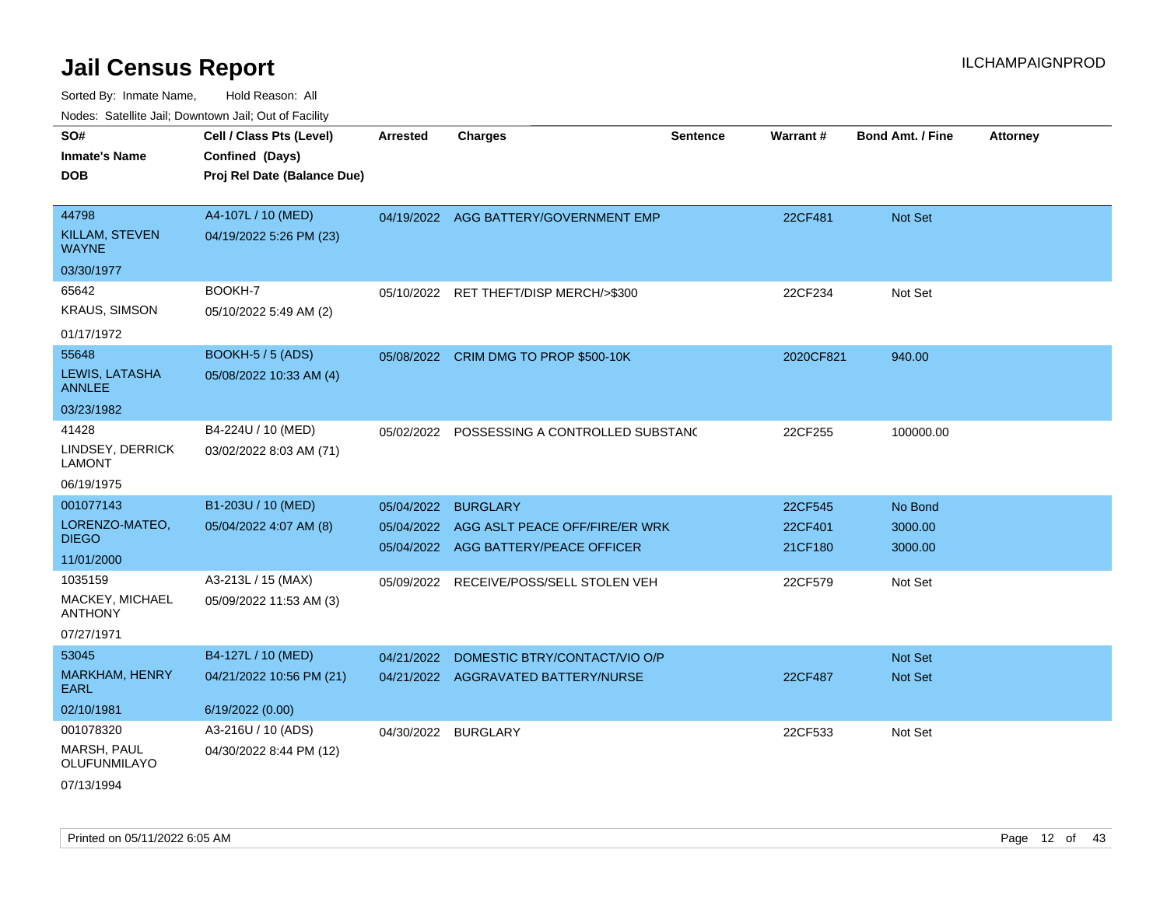| rouce. Calcinic Jan, Downtown Jan, Out of Facility |                             |                     |                                           |                 |                 |                         |                 |
|----------------------------------------------------|-----------------------------|---------------------|-------------------------------------------|-----------------|-----------------|-------------------------|-----------------|
| SO#                                                | Cell / Class Pts (Level)    | <b>Arrested</b>     | <b>Charges</b>                            | <b>Sentence</b> | <b>Warrant#</b> | <b>Bond Amt. / Fine</b> | <b>Attorney</b> |
| <b>Inmate's Name</b>                               | Confined (Days)             |                     |                                           |                 |                 |                         |                 |
| <b>DOB</b>                                         | Proj Rel Date (Balance Due) |                     |                                           |                 |                 |                         |                 |
|                                                    |                             |                     |                                           |                 |                 |                         |                 |
| 44798                                              | A4-107L / 10 (MED)          |                     | 04/19/2022 AGG BATTERY/GOVERNMENT EMP     |                 | 22CF481         | Not Set                 |                 |
| KILLAM, STEVEN<br><b>WAYNE</b>                     | 04/19/2022 5:26 PM (23)     |                     |                                           |                 |                 |                         |                 |
| 03/30/1977                                         |                             |                     |                                           |                 |                 |                         |                 |
| 65642                                              | BOOKH-7                     |                     | 05/10/2022 RET THEFT/DISP MERCH/>\$300    |                 | 22CF234         | Not Set                 |                 |
| <b>KRAUS, SIMSON</b>                               | 05/10/2022 5:49 AM (2)      |                     |                                           |                 |                 |                         |                 |
| 01/17/1972                                         |                             |                     |                                           |                 |                 |                         |                 |
| 55648                                              | <b>BOOKH-5 / 5 (ADS)</b>    |                     | 05/08/2022 CRIM DMG TO PROP \$500-10K     |                 | 2020CF821       | 940.00                  |                 |
| LEWIS, LATASHA<br><b>ANNLEE</b>                    | 05/08/2022 10:33 AM (4)     |                     |                                           |                 |                 |                         |                 |
| 03/23/1982                                         |                             |                     |                                           |                 |                 |                         |                 |
| 41428                                              | B4-224U / 10 (MED)          | 05/02/2022          | POSSESSING A CONTROLLED SUBSTAND          |                 | 22CF255         | 100000.00               |                 |
| LINDSEY, DERRICK<br><b>LAMONT</b>                  | 03/02/2022 8:03 AM (71)     |                     |                                           |                 |                 |                         |                 |
| 06/19/1975                                         |                             |                     |                                           |                 |                 |                         |                 |
| 001077143                                          | B1-203U / 10 (MED)          | 05/04/2022          | <b>BURGLARY</b>                           |                 | 22CF545         | No Bond                 |                 |
| LORENZO-MATEO,                                     | 05/04/2022 4:07 AM (8)      |                     | 05/04/2022 AGG ASLT PEACE OFF/FIRE/ER WRK |                 | 22CF401         | 3000.00                 |                 |
| <b>DIEGO</b>                                       |                             |                     | 05/04/2022 AGG BATTERY/PEACE OFFICER      |                 | 21CF180         | 3000.00                 |                 |
| 11/01/2000                                         |                             |                     |                                           |                 |                 |                         |                 |
| 1035159                                            | A3-213L / 15 (MAX)          | 05/09/2022          | RECEIVE/POSS/SELL STOLEN VEH              |                 | 22CF579         | Not Set                 |                 |
| MACKEY, MICHAEL<br><b>ANTHONY</b>                  | 05/09/2022 11:53 AM (3)     |                     |                                           |                 |                 |                         |                 |
| 07/27/1971                                         |                             |                     |                                           |                 |                 |                         |                 |
| 53045                                              | B4-127L / 10 (MED)          | 04/21/2022          | DOMESTIC BTRY/CONTACT/VIO O/P             |                 |                 | Not Set                 |                 |
| MARKHAM, HENRY<br>EARL                             | 04/21/2022 10:56 PM (21)    |                     | 04/21/2022 AGGRAVATED BATTERY/NURSE       |                 | 22CF487         | <b>Not Set</b>          |                 |
| 02/10/1981                                         | 6/19/2022 (0.00)            |                     |                                           |                 |                 |                         |                 |
| 001078320                                          | A3-216U / 10 (ADS)          | 04/30/2022 BURGLARY |                                           |                 | 22CF533         | Not Set                 |                 |
| MARSH, PAUL<br>OLUFUNMILAYO                        | 04/30/2022 8:44 PM (12)     |                     |                                           |                 |                 |                         |                 |
| 07/13/1994                                         |                             |                     |                                           |                 |                 |                         |                 |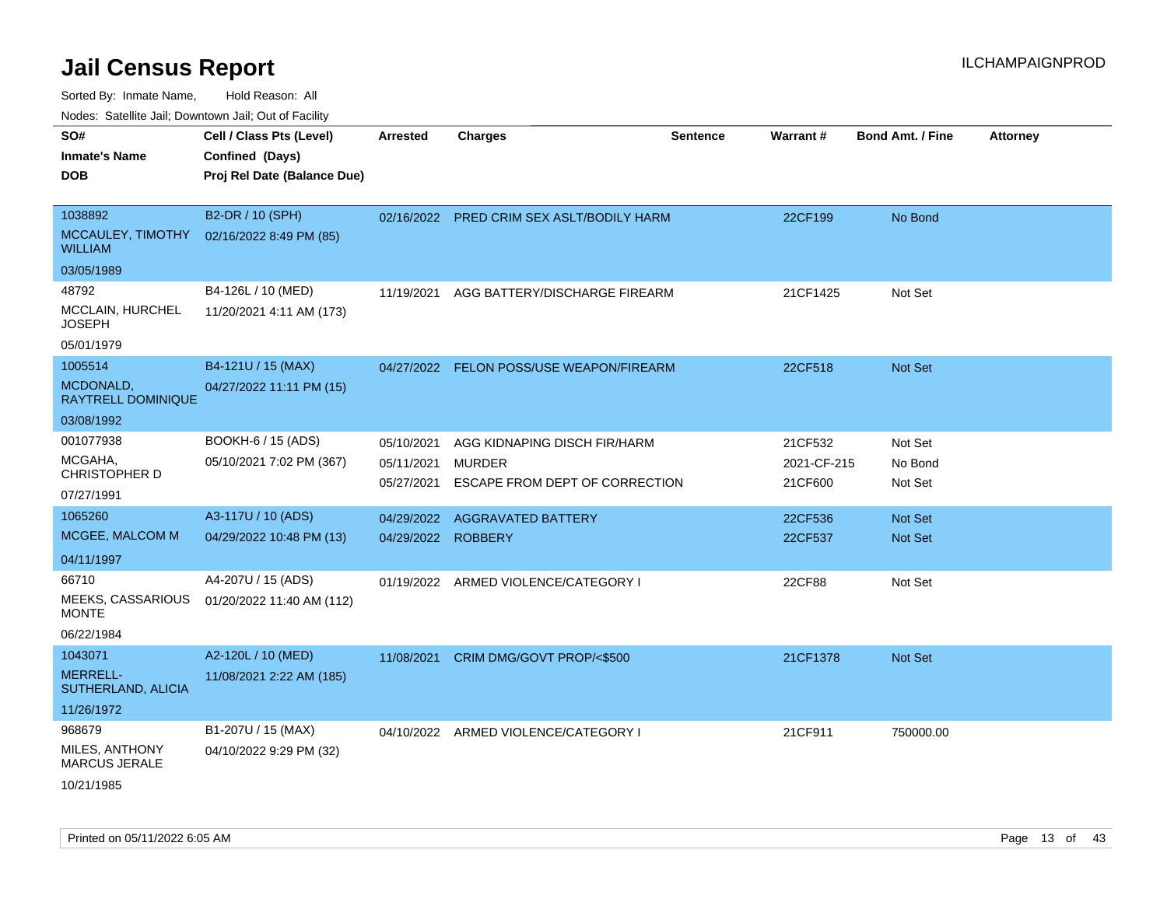Sorted By: Inmate Name, Hold Reason: All

Nodes: Satellite Jail; Downtown Jail; Out of Facility

| SO#<br><b>Inmate's Name</b><br><b>DOB</b>                | Cell / Class Pts (Level)<br>Confined (Days)<br>Proj Rel Date (Balance Due) | <b>Arrested</b>                        | <b>Charges</b>                                                                  | <b>Sentence</b> | Warrant#                          | Bond Amt. / Fine              | <b>Attorney</b> |
|----------------------------------------------------------|----------------------------------------------------------------------------|----------------------------------------|---------------------------------------------------------------------------------|-----------------|-----------------------------------|-------------------------------|-----------------|
| 1038892<br>MCCAULEY, TIMOTHY<br><b>WILLIAM</b>           | B2-DR / 10 (SPH)<br>02/16/2022 8:49 PM (85)                                |                                        | 02/16/2022 PRED CRIM SEX ASLT/BODILY HARM                                       |                 | 22CF199                           | No Bond                       |                 |
| 03/05/1989                                               |                                                                            |                                        |                                                                                 |                 |                                   |                               |                 |
| 48792<br>MCCLAIN, HURCHEL<br><b>JOSEPH</b>               | B4-126L / 10 (MED)<br>11/20/2021 4:11 AM (173)                             | 11/19/2021                             | AGG BATTERY/DISCHARGE FIREARM                                                   |                 | 21CF1425                          | Not Set                       |                 |
| 05/01/1979                                               |                                                                            |                                        |                                                                                 |                 |                                   |                               |                 |
| 1005514<br>MCDONALD,<br><b>RAYTRELL DOMINIQUE</b>        | B4-121U / 15 (MAX)<br>04/27/2022 11:11 PM (15)                             |                                        | 04/27/2022 FELON POSS/USE WEAPON/FIREARM                                        |                 | 22CF518                           | <b>Not Set</b>                |                 |
| 03/08/1992                                               |                                                                            |                                        |                                                                                 |                 |                                   |                               |                 |
| 001077938<br>MCGAHA,<br>CHRISTOPHER D<br>07/27/1991      | BOOKH-6 / 15 (ADS)<br>05/10/2021 7:02 PM (367)                             | 05/10/2021<br>05/11/2021<br>05/27/2021 | AGG KIDNAPING DISCH FIR/HARM<br><b>MURDER</b><br>ESCAPE FROM DEPT OF CORRECTION |                 | 21CF532<br>2021-CF-215<br>21CF600 | Not Set<br>No Bond<br>Not Set |                 |
| 1065260                                                  | A3-117U / 10 (ADS)                                                         | 04/29/2022                             | <b>AGGRAVATED BATTERY</b>                                                       |                 | 22CF536                           | <b>Not Set</b>                |                 |
| MCGEE, MALCOM M                                          | 04/29/2022 10:48 PM (13)                                                   | 04/29/2022 ROBBERY                     |                                                                                 |                 | 22CF537                           | <b>Not Set</b>                |                 |
| 04/11/1997                                               |                                                                            |                                        |                                                                                 |                 |                                   |                               |                 |
| 66710<br>MEEKS, CASSARIOUS<br><b>MONTE</b><br>06/22/1984 | A4-207U / 15 (ADS)<br>01/20/2022 11:40 AM (112)                            | 01/19/2022                             | ARMED VIOLENCE/CATEGORY I                                                       |                 | 22CF88                            | Not Set                       |                 |
| 1043071                                                  | A2-120L / 10 (MED)                                                         | 11/08/2021                             | CRIM DMG/GOVT PROP/<\$500                                                       |                 | 21CF1378                          | Not Set                       |                 |
| <b>MERRELL-</b><br>SUTHERLAND, ALICIA                    | 11/08/2021 2:22 AM (185)                                                   |                                        |                                                                                 |                 |                                   |                               |                 |
| 11/26/1972                                               |                                                                            |                                        |                                                                                 |                 |                                   |                               |                 |
| 968679<br>MILES, ANTHONY<br>MARCUS JERALE<br>10/21/1985  | B1-207U / 15 (MAX)<br>04/10/2022 9:29 PM (32)                              |                                        | 04/10/2022 ARMED VIOLENCE/CATEGORY I                                            |                 | 21CF911                           | 750000.00                     |                 |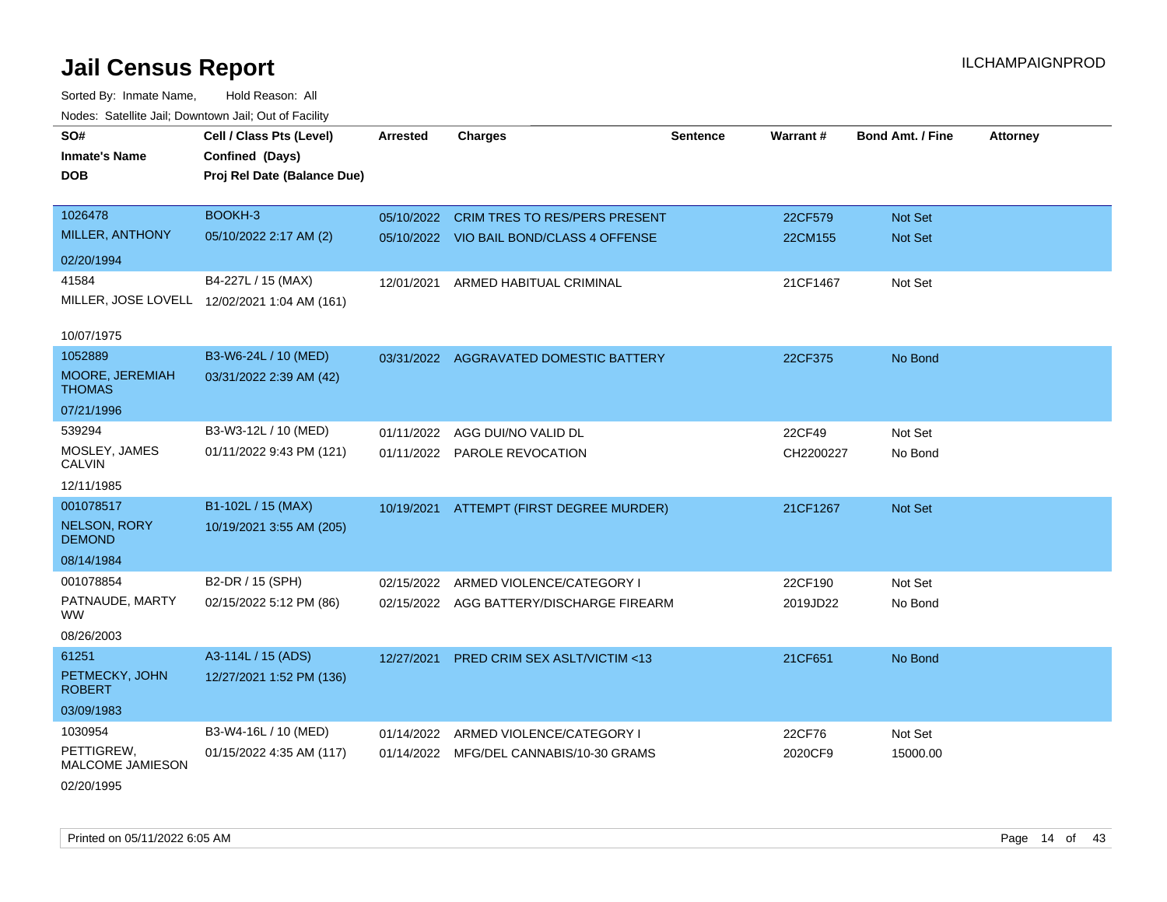Sorted By: Inmate Name, Hold Reason: All Nodes: Satellite Jail; Downtown Jail; Out of Facility

| SO#                                  | Cell / Class Pts (Level)                     | <b>Arrested</b> | <b>Charges</b>                           | <b>Sentence</b> | Warrant#  | Bond Amt. / Fine | <b>Attorney</b> |
|--------------------------------------|----------------------------------------------|-----------------|------------------------------------------|-----------------|-----------|------------------|-----------------|
| <b>Inmate's Name</b>                 | Confined (Days)                              |                 |                                          |                 |           |                  |                 |
| <b>DOB</b>                           | Proj Rel Date (Balance Due)                  |                 |                                          |                 |           |                  |                 |
|                                      |                                              |                 |                                          |                 |           |                  |                 |
| 1026478                              | BOOKH-3                                      | 05/10/2022      | <b>CRIM TRES TO RES/PERS PRESENT</b>     |                 | 22CF579   | Not Set          |                 |
| MILLER, ANTHONY                      | 05/10/2022 2:17 AM (2)                       |                 | 05/10/2022 VIO BAIL BOND/CLASS 4 OFFENSE |                 | 22CM155   | Not Set          |                 |
| 02/20/1994                           |                                              |                 |                                          |                 |           |                  |                 |
| 41584                                | B4-227L / 15 (MAX)                           | 12/01/2021      | ARMED HABITUAL CRIMINAL                  |                 | 21CF1467  | Not Set          |                 |
|                                      | MILLER, JOSE LOVELL 12/02/2021 1:04 AM (161) |                 |                                          |                 |           |                  |                 |
|                                      |                                              |                 |                                          |                 |           |                  |                 |
| 10/07/1975                           |                                              |                 |                                          |                 |           |                  |                 |
| 1052889                              | B3-W6-24L / 10 (MED)                         |                 | 03/31/2022 AGGRAVATED DOMESTIC BATTERY   |                 | 22CF375   | No Bond          |                 |
| MOORE, JEREMIAH<br><b>THOMAS</b>     | 03/31/2022 2:39 AM (42)                      |                 |                                          |                 |           |                  |                 |
| 07/21/1996                           |                                              |                 |                                          |                 |           |                  |                 |
| 539294                               | B3-W3-12L / 10 (MED)                         | 01/11/2022      | AGG DUI/NO VALID DL                      |                 | 22CF49    | Not Set          |                 |
| MOSLEY, JAMES<br>CALVIN              | 01/11/2022 9:43 PM (121)                     |                 | 01/11/2022 PAROLE REVOCATION             |                 | CH2200227 | No Bond          |                 |
| 12/11/1985                           |                                              |                 |                                          |                 |           |                  |                 |
| 001078517                            | B1-102L / 15 (MAX)                           | 10/19/2021      | ATTEMPT (FIRST DEGREE MURDER)            |                 | 21CF1267  | Not Set          |                 |
| <b>NELSON, RORY</b><br><b>DEMOND</b> | 10/19/2021 3:55 AM (205)                     |                 |                                          |                 |           |                  |                 |
| 08/14/1984                           |                                              |                 |                                          |                 |           |                  |                 |
| 001078854                            | B2-DR / 15 (SPH)                             | 02/15/2022      | ARMED VIOLENCE/CATEGORY I                |                 | 22CF190   | Not Set          |                 |
| PATNAUDE, MARTY<br>WW.               | 02/15/2022 5:12 PM (86)                      |                 | 02/15/2022 AGG BATTERY/DISCHARGE FIREARM |                 | 2019JD22  | No Bond          |                 |
| 08/26/2003                           |                                              |                 |                                          |                 |           |                  |                 |
| 61251                                | A3-114L / 15 (ADS)                           | 12/27/2021      | PRED CRIM SEX ASLT/VICTIM <13            |                 | 21CF651   | No Bond          |                 |
| PETMECKY, JOHN<br><b>ROBERT</b>      | 12/27/2021 1:52 PM (136)                     |                 |                                          |                 |           |                  |                 |
| 03/09/1983                           |                                              |                 |                                          |                 |           |                  |                 |
| 1030954                              | B3-W4-16L / 10 (MED)                         | 01/14/2022      | ARMED VIOLENCE/CATEGORY I                |                 | 22CF76    | Not Set          |                 |
| PETTIGREW,<br>MALCOME JAMIESON       | 01/15/2022 4:35 AM (117)                     |                 | 01/14/2022 MFG/DEL CANNABIS/10-30 GRAMS  |                 | 2020CF9   | 15000.00         |                 |

02/20/1995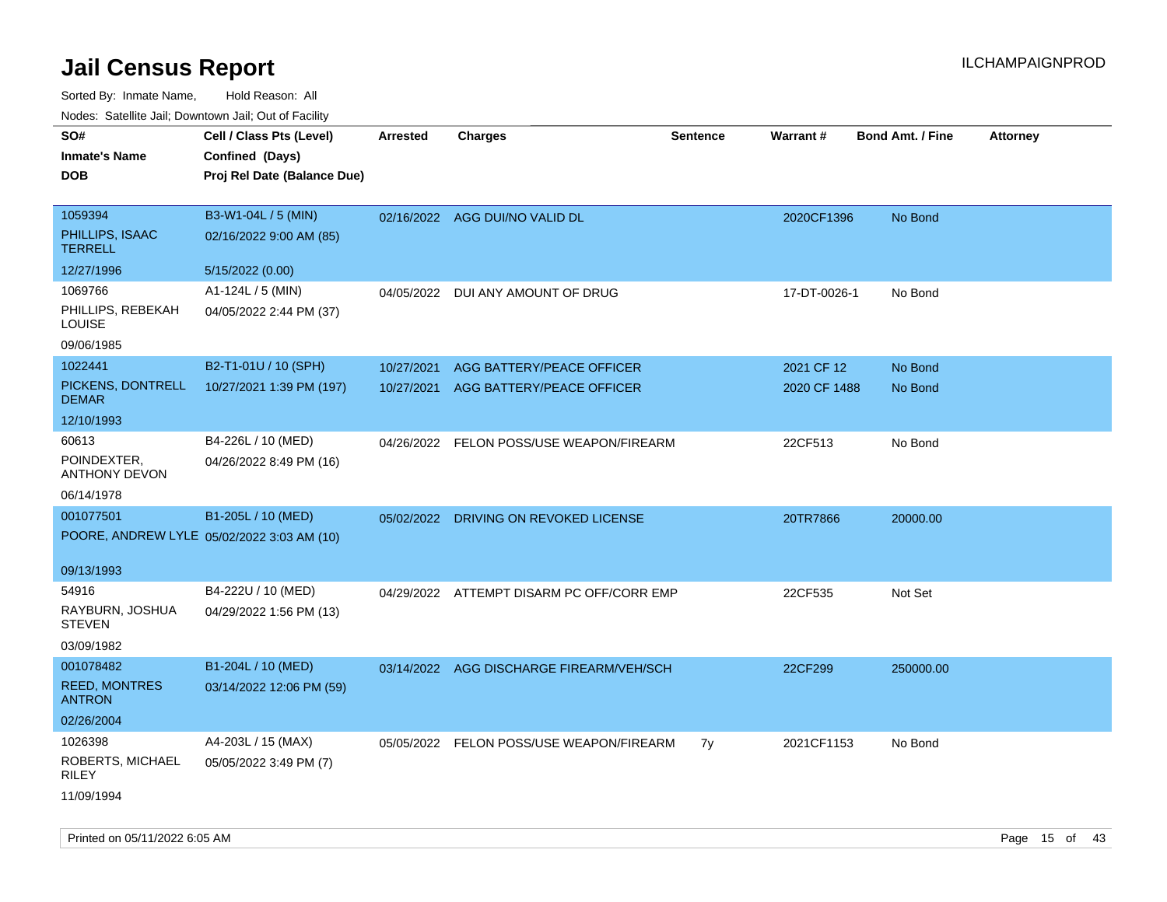| ivuutos. Saltiilit Jall, Duwilluwii Jall, Oul of Facility |                             |                 |                                           |                 |                 |                         |                 |
|-----------------------------------------------------------|-----------------------------|-----------------|-------------------------------------------|-----------------|-----------------|-------------------------|-----------------|
| SO#                                                       | Cell / Class Pts (Level)    | <b>Arrested</b> | <b>Charges</b>                            | <b>Sentence</b> | <b>Warrant#</b> | <b>Bond Amt. / Fine</b> | <b>Attorney</b> |
| <b>Inmate's Name</b>                                      | Confined (Days)             |                 |                                           |                 |                 |                         |                 |
| <b>DOB</b>                                                | Proj Rel Date (Balance Due) |                 |                                           |                 |                 |                         |                 |
|                                                           |                             |                 |                                           |                 |                 |                         |                 |
| 1059394                                                   | B3-W1-04L / 5 (MIN)         |                 | 02/16/2022 AGG DUI/NO VALID DL            |                 | 2020CF1396      | No Bond                 |                 |
| PHILLIPS, ISAAC<br><b>TERRELL</b>                         | 02/16/2022 9:00 AM (85)     |                 |                                           |                 |                 |                         |                 |
| 12/27/1996                                                | 5/15/2022 (0.00)            |                 |                                           |                 |                 |                         |                 |
| 1069766                                                   | A1-124L / 5 (MIN)           |                 | 04/05/2022 DUI ANY AMOUNT OF DRUG         |                 | 17-DT-0026-1    | No Bond                 |                 |
| PHILLIPS, REBEKAH<br>LOUISE                               | 04/05/2022 2:44 PM (37)     |                 |                                           |                 |                 |                         |                 |
| 09/06/1985                                                |                             |                 |                                           |                 |                 |                         |                 |
| 1022441                                                   | B2-T1-01U / 10 (SPH)        | 10/27/2021      | AGG BATTERY/PEACE OFFICER                 |                 | 2021 CF 12      | No Bond                 |                 |
| PICKENS, DONTRELL<br><b>DEMAR</b>                         | 10/27/2021 1:39 PM (197)    | 10/27/2021      | AGG BATTERY/PEACE OFFICER                 |                 | 2020 CF 1488    | No Bond                 |                 |
| 12/10/1993                                                |                             |                 |                                           |                 |                 |                         |                 |
| 60613                                                     | B4-226L / 10 (MED)          |                 | 04/26/2022 FELON POSS/USE WEAPON/FIREARM  |                 | 22CF513         | No Bond                 |                 |
| POINDEXTER,<br><b>ANTHONY DEVON</b>                       | 04/26/2022 8:49 PM (16)     |                 |                                           |                 |                 |                         |                 |
| 06/14/1978                                                |                             |                 |                                           |                 |                 |                         |                 |
| 001077501                                                 | B1-205L / 10 (MED)          |                 | 05/02/2022 DRIVING ON REVOKED LICENSE     |                 | 20TR7866        | 20000.00                |                 |
| POORE, ANDREW LYLE 05/02/2022 3:03 AM (10)                |                             |                 |                                           |                 |                 |                         |                 |
|                                                           |                             |                 |                                           |                 |                 |                         |                 |
| 09/13/1993                                                |                             |                 |                                           |                 |                 |                         |                 |
| 54916                                                     | B4-222U / 10 (MED)          |                 | 04/29/2022 ATTEMPT DISARM PC OFF/CORR EMP |                 | 22CF535         | Not Set                 |                 |
| RAYBURN, JOSHUA<br><b>STEVEN</b>                          | 04/29/2022 1:56 PM (13)     |                 |                                           |                 |                 |                         |                 |
| 03/09/1982                                                |                             |                 |                                           |                 |                 |                         |                 |
| 001078482                                                 | B1-204L / 10 (MED)          | 03/14/2022      | AGG DISCHARGE FIREARM/VEH/SCH             |                 | 22CF299         | 250000.00               |                 |
| <b>REED, MONTRES</b><br><b>ANTRON</b>                     | 03/14/2022 12:06 PM (59)    |                 |                                           |                 |                 |                         |                 |
| 02/26/2004                                                |                             |                 |                                           |                 |                 |                         |                 |
| 1026398                                                   | A4-203L / 15 (MAX)          |                 | 05/05/2022 FELON POSS/USE WEAPON/FIREARM  | 7y              | 2021CF1153      | No Bond                 |                 |
| ROBERTS, MICHAEL<br><b>RILEY</b>                          | 05/05/2022 3:49 PM (7)      |                 |                                           |                 |                 |                         |                 |
| 11/09/1994                                                |                             |                 |                                           |                 |                 |                         |                 |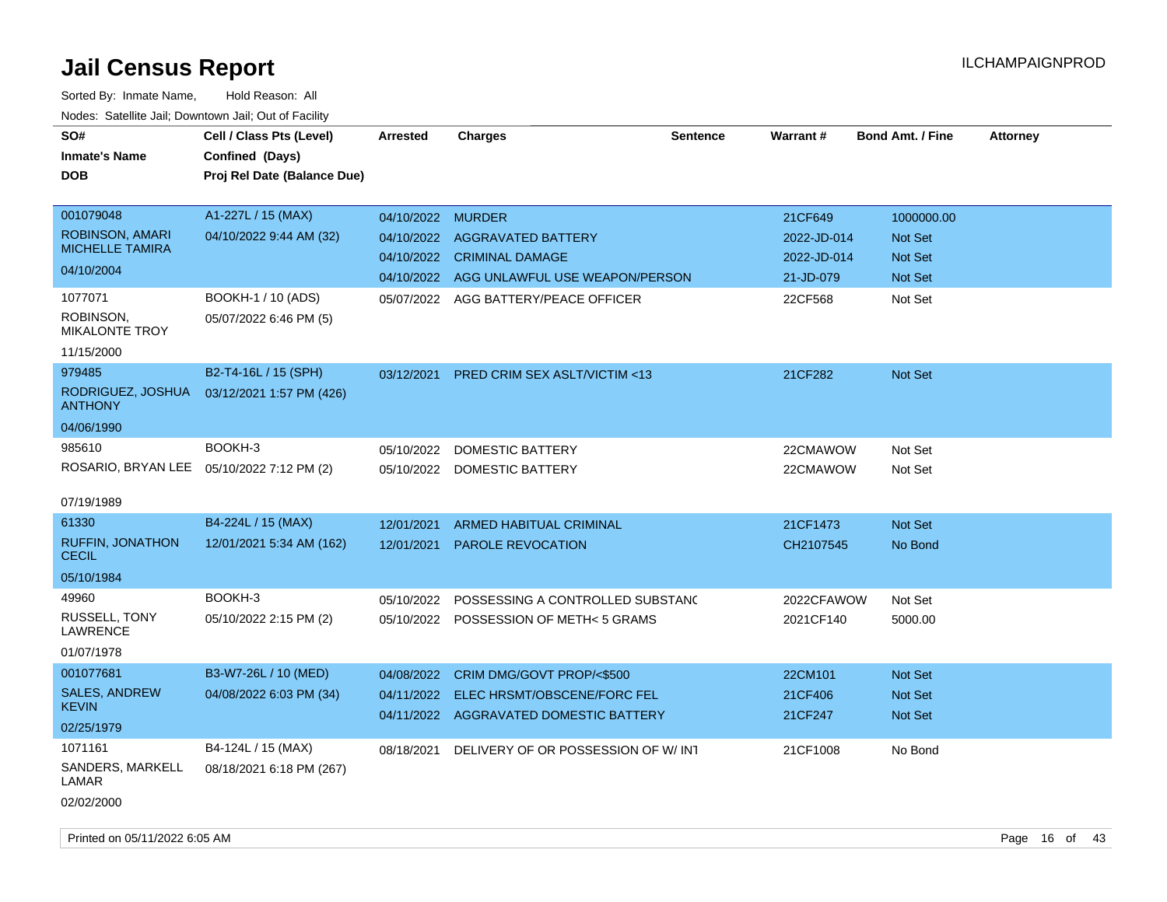| SO#<br><b>Inmate's Name</b><br><b>DOB</b>                                                                                           | Cell / Class Pts (Level)<br>Confined (Days)<br>Proj Rel Date (Balance Due)                    | <b>Arrested</b>                 | <b>Charges</b>                                                                                                                               | <b>Sentence</b> | Warrant #                                                     | <b>Bond Amt. / Fine</b>                                       | <b>Attorney</b> |
|-------------------------------------------------------------------------------------------------------------------------------------|-----------------------------------------------------------------------------------------------|---------------------------------|----------------------------------------------------------------------------------------------------------------------------------------------|-----------------|---------------------------------------------------------------|---------------------------------------------------------------|-----------------|
| 001079048<br>ROBINSON, AMARI<br><b>MICHELLE TAMIRA</b><br>04/10/2004<br>1077071<br>ROBINSON,<br><b>MIKALONTE TROY</b><br>11/15/2000 | A1-227L / 15 (MAX)<br>04/10/2022 9:44 AM (32)<br>BOOKH-1 / 10 (ADS)<br>05/07/2022 6:46 PM (5) | 04/10/2022 MURDER<br>04/10/2022 | <b>AGGRAVATED BATTERY</b><br>04/10/2022 CRIMINAL DAMAGE<br>04/10/2022 AGG UNLAWFUL USE WEAPON/PERSON<br>05/07/2022 AGG BATTERY/PEACE OFFICER |                 | 21CF649<br>2022-JD-014<br>2022-JD-014<br>21-JD-079<br>22CF568 | 1000000.00<br>Not Set<br><b>Not Set</b><br>Not Set<br>Not Set |                 |
| 979485<br>RODRIGUEZ, JOSHUA<br><b>ANTHONY</b><br>04/06/1990<br>985610                                                               | B2-T4-16L / 15 (SPH)<br>03/12/2021 1:57 PM (426)<br>BOOKH-3                                   | 03/12/2021<br>05/10/2022        | <b>PRED CRIM SEX ASLT/VICTIM &lt;13</b><br>DOMESTIC BATTERY                                                                                  |                 | 21CF282<br>22CMAWOW                                           | <b>Not Set</b><br>Not Set                                     |                 |
| 07/19/1989                                                                                                                          | ROSARIO, BRYAN LEE 05/10/2022 7:12 PM (2)                                                     |                                 | 05/10/2022 DOMESTIC BATTERY                                                                                                                  |                 | 22CMAWOW                                                      | Not Set                                                       |                 |
| 61330<br><b>RUFFIN, JONATHON</b><br><b>CECIL</b><br>05/10/1984                                                                      | B4-224L / 15 (MAX)<br>12/01/2021 5:34 AM (162)                                                | 12/01/2021<br>12/01/2021        | <b>ARMED HABITUAL CRIMINAL</b><br><b>PAROLE REVOCATION</b>                                                                                   |                 | 21CF1473<br>CH2107545                                         | <b>Not Set</b><br>No Bond                                     |                 |
| 49960<br>RUSSELL, TONY<br><b>LAWRENCE</b><br>01/07/1978                                                                             | BOOKH-3<br>05/10/2022 2:15 PM (2)                                                             | 05/10/2022                      | POSSESSING A CONTROLLED SUBSTANC<br>05/10/2022 POSSESSION OF METH< 5 GRAMS                                                                   |                 | 2022CFAWOW<br>2021CF140                                       | Not Set<br>5000.00                                            |                 |
| 001077681<br><b>SALES, ANDREW</b><br><b>KEVIN</b><br>02/25/1979                                                                     | B3-W7-26L / 10 (MED)<br>04/08/2022 6:03 PM (34)                                               | 04/08/2022                      | CRIM DMG/GOVT PROP/<\$500<br>04/11/2022 ELEC HRSMT/OBSCENE/FORC FEL<br>04/11/2022 AGGRAVATED DOMESTIC BATTERY                                |                 | 22CM101<br>21CF406<br>21CF247                                 | <b>Not Set</b><br><b>Not Set</b><br>Not Set                   |                 |
| 1071161<br>SANDERS, MARKELL<br>LAMAR<br>02/02/2000                                                                                  | B4-124L / 15 (MAX)<br>08/18/2021 6:18 PM (267)                                                | 08/18/2021                      | DELIVERY OF OR POSSESSION OF W/ INT                                                                                                          |                 | 21CF1008                                                      | No Bond                                                       |                 |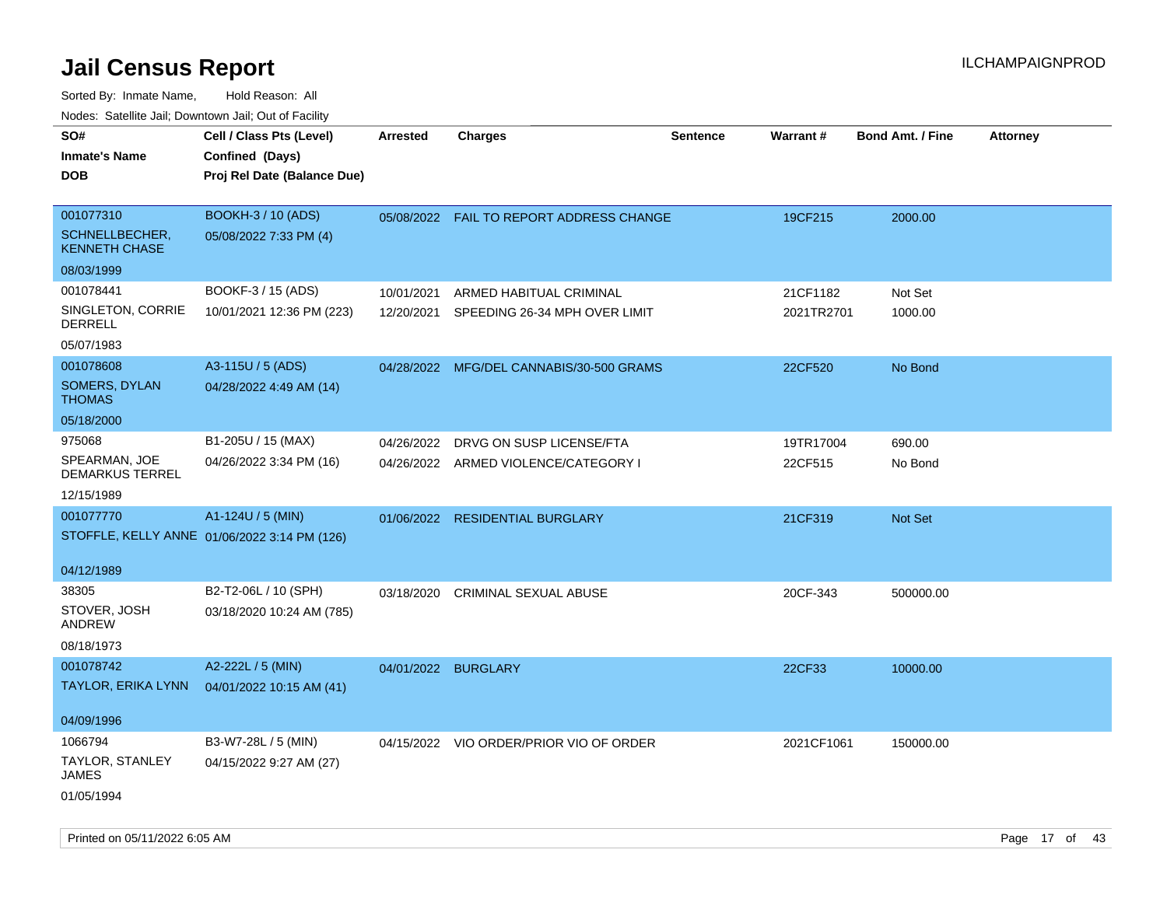| ivouss. Saleline Jali, Downtown Jali, Out of Facility |                                              |                     |                                          |                 |            |                         |                 |
|-------------------------------------------------------|----------------------------------------------|---------------------|------------------------------------------|-----------------|------------|-------------------------|-----------------|
| SO#                                                   | Cell / Class Pts (Level)                     | <b>Arrested</b>     | <b>Charges</b>                           | <b>Sentence</b> | Warrant#   | <b>Bond Amt. / Fine</b> | <b>Attorney</b> |
| <b>Inmate's Name</b>                                  | Confined (Days)                              |                     |                                          |                 |            |                         |                 |
| <b>DOB</b>                                            | Proj Rel Date (Balance Due)                  |                     |                                          |                 |            |                         |                 |
|                                                       |                                              |                     |                                          |                 |            |                         |                 |
| 001077310                                             | BOOKH-3 / 10 (ADS)                           |                     | 05/08/2022 FAIL TO REPORT ADDRESS CHANGE |                 | 19CF215    | 2000.00                 |                 |
| SCHNELLBECHER,<br><b>KENNETH CHASE</b>                | 05/08/2022 7:33 PM (4)                       |                     |                                          |                 |            |                         |                 |
| 08/03/1999                                            |                                              |                     |                                          |                 |            |                         |                 |
| 001078441                                             | BOOKF-3 / 15 (ADS)                           | 10/01/2021          | ARMED HABITUAL CRIMINAL                  |                 | 21CF1182   | Not Set                 |                 |
| SINGLETON, CORRIE<br><b>DERRELL</b>                   | 10/01/2021 12:36 PM (223)                    | 12/20/2021          | SPEEDING 26-34 MPH OVER LIMIT            |                 | 2021TR2701 | 1000.00                 |                 |
| 05/07/1983                                            |                                              |                     |                                          |                 |            |                         |                 |
| 001078608                                             | A3-115U / 5 (ADS)                            |                     | 04/28/2022 MFG/DEL CANNABIS/30-500 GRAMS |                 | 22CF520    | No Bond                 |                 |
| <b>SOMERS, DYLAN</b><br><b>THOMAS</b>                 | 04/28/2022 4:49 AM (14)                      |                     |                                          |                 |            |                         |                 |
| 05/18/2000                                            |                                              |                     |                                          |                 |            |                         |                 |
| 975068                                                | B1-205U / 15 (MAX)                           | 04/26/2022          | DRVG ON SUSP LICENSE/FTA                 |                 | 19TR17004  | 690.00                  |                 |
| SPEARMAN, JOE<br><b>DEMARKUS TERREL</b>               | 04/26/2022 3:34 PM (16)                      |                     | 04/26/2022 ARMED VIOLENCE/CATEGORY I     |                 | 22CF515    | No Bond                 |                 |
| 12/15/1989                                            |                                              |                     |                                          |                 |            |                         |                 |
| 001077770                                             | A1-124U / 5 (MIN)                            |                     | 01/06/2022 RESIDENTIAL BURGLARY          |                 | 21CF319    | <b>Not Set</b>          |                 |
|                                                       | STOFFLE, KELLY ANNE 01/06/2022 3:14 PM (126) |                     |                                          |                 |            |                         |                 |
|                                                       |                                              |                     |                                          |                 |            |                         |                 |
| 04/12/1989                                            |                                              |                     |                                          |                 |            |                         |                 |
| 38305                                                 | B2-T2-06L / 10 (SPH)                         | 03/18/2020          | CRIMINAL SEXUAL ABUSE                    |                 | 20CF-343   | 500000.00               |                 |
| STOVER, JOSH<br><b>ANDREW</b>                         | 03/18/2020 10:24 AM (785)                    |                     |                                          |                 |            |                         |                 |
| 08/18/1973                                            |                                              |                     |                                          |                 |            |                         |                 |
| 001078742                                             | A2-222L / 5 (MIN)                            | 04/01/2022 BURGLARY |                                          |                 | 22CF33     | 10000.00                |                 |
| <b>TAYLOR, ERIKA LYNN</b>                             | 04/01/2022 10:15 AM (41)                     |                     |                                          |                 |            |                         |                 |
|                                                       |                                              |                     |                                          |                 |            |                         |                 |
| 04/09/1996                                            |                                              |                     |                                          |                 |            |                         |                 |
| 1066794                                               | B3-W7-28L / 5 (MIN)                          |                     | 04/15/2022 VIO ORDER/PRIOR VIO OF ORDER  |                 | 2021CF1061 | 150000.00               |                 |
| TAYLOR, STANLEY<br><b>JAMES</b>                       | 04/15/2022 9:27 AM (27)                      |                     |                                          |                 |            |                         |                 |
| 01/05/1994                                            |                                              |                     |                                          |                 |            |                         |                 |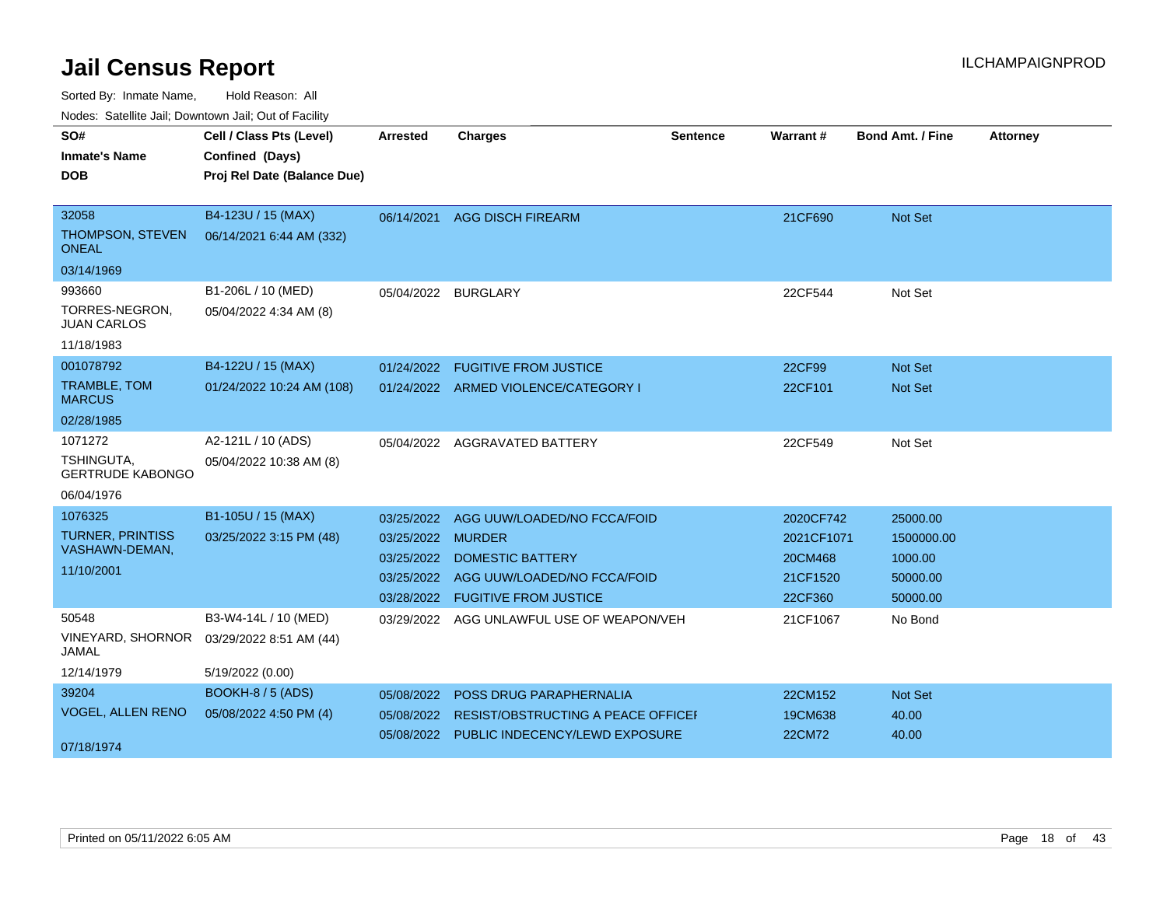Sorted By: Inmate Name, Hold Reason: All

| Nodes: Satellite Jail; Downtown Jail; Out of Facility |  |
|-------------------------------------------------------|--|
|-------------------------------------------------------|--|

| SO#                                          | Cell / Class Pts (Level)    | <b>Arrested</b>     | <b>Charges</b>                            | Sentence | Warrant#   | <b>Bond Amt. / Fine</b> | <b>Attorney</b> |
|----------------------------------------------|-----------------------------|---------------------|-------------------------------------------|----------|------------|-------------------------|-----------------|
| <b>Inmate's Name</b>                         | Confined (Days)             |                     |                                           |          |            |                         |                 |
| <b>DOB</b>                                   | Proj Rel Date (Balance Due) |                     |                                           |          |            |                         |                 |
|                                              |                             |                     |                                           |          |            |                         |                 |
| 32058                                        | B4-123U / 15 (MAX)          | 06/14/2021          | <b>AGG DISCH FIREARM</b>                  |          | 21CF690    | Not Set                 |                 |
| THOMPSON, STEVEN<br><b>ONEAL</b>             | 06/14/2021 6:44 AM (332)    |                     |                                           |          |            |                         |                 |
| 03/14/1969                                   |                             |                     |                                           |          |            |                         |                 |
| 993660                                       | B1-206L / 10 (MED)          | 05/04/2022 BURGLARY |                                           |          | 22CF544    | Not Set                 |                 |
| TORRES-NEGRON,<br><b>JUAN CARLOS</b>         | 05/04/2022 4:34 AM (8)      |                     |                                           |          |            |                         |                 |
| 11/18/1983                                   |                             |                     |                                           |          |            |                         |                 |
| 001078792                                    | B4-122U / 15 (MAX)          | 01/24/2022          | <b>FUGITIVE FROM JUSTICE</b>              |          | 22CF99     | <b>Not Set</b>          |                 |
| TRAMBLE, TOM<br><b>MARCUS</b>                | 01/24/2022 10:24 AM (108)   |                     | 01/24/2022 ARMED VIOLENCE/CATEGORY I      |          | 22CF101    | <b>Not Set</b>          |                 |
| 02/28/1985                                   |                             |                     |                                           |          |            |                         |                 |
| 1071272                                      | A2-121L / 10 (ADS)          |                     | 05/04/2022 AGGRAVATED BATTERY             |          | 22CF549    | Not Set                 |                 |
| <b>TSHINGUTA,</b><br><b>GERTRUDE KABONGO</b> | 05/04/2022 10:38 AM (8)     |                     |                                           |          |            |                         |                 |
| 06/04/1976                                   |                             |                     |                                           |          |            |                         |                 |
| 1076325                                      | B1-105U / 15 (MAX)          | 03/25/2022          | AGG UUW/LOADED/NO FCCA/FOID               |          | 2020CF742  | 25000.00                |                 |
| <b>TURNER, PRINTISS</b>                      | 03/25/2022 3:15 PM (48)     | 03/25/2022          | <b>MURDER</b>                             |          | 2021CF1071 | 1500000.00              |                 |
| VASHAWN-DEMAN,                               |                             | 03/25/2022          | <b>DOMESTIC BATTERY</b>                   |          | 20CM468    | 1000.00                 |                 |
| 11/10/2001                                   |                             |                     | 03/25/2022 AGG UUW/LOADED/NO FCCA/FOID    |          | 21CF1520   | 50000.00                |                 |
|                                              |                             | 03/28/2022          | <b>FUGITIVE FROM JUSTICE</b>              |          | 22CF360    | 50000.00                |                 |
| 50548                                        | B3-W4-14L / 10 (MED)        |                     | 03/29/2022 AGG UNLAWFUL USE OF WEAPON/VEH |          | 21CF1067   | No Bond                 |                 |
| <b>VINEYARD, SHORNOR</b><br><b>JAMAL</b>     | 03/29/2022 8:51 AM (44)     |                     |                                           |          |            |                         |                 |
| 12/14/1979                                   | 5/19/2022 (0.00)            |                     |                                           |          |            |                         |                 |
| 39204                                        | <b>BOOKH-8 / 5 (ADS)</b>    | 05/08/2022          | POSS DRUG PARAPHERNALIA                   |          | 22CM152    | <b>Not Set</b>          |                 |
| <b>VOGEL, ALLEN RENO</b>                     | 05/08/2022 4:50 PM (4)      | 05/08/2022          | RESIST/OBSTRUCTING A PEACE OFFICEL        |          | 19CM638    | 40.00                   |                 |
| 07/18/1974                                   |                             | 05/08/2022          | PUBLIC INDECENCY/LEWD EXPOSURE            |          | 22CM72     | 40.00                   |                 |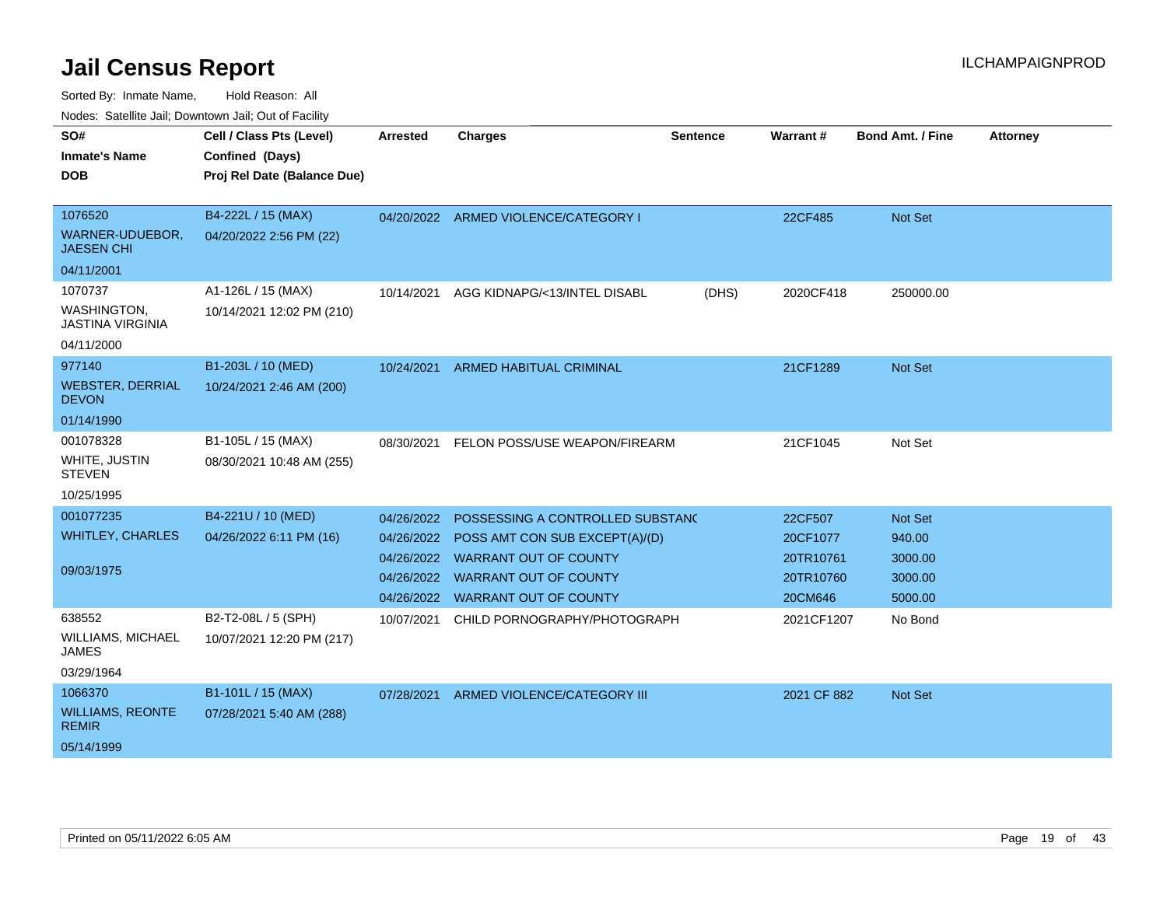Sorted By: Inmate Name, Hold Reason: All

Nodes: Satellite Jail; Downtown Jail; Out of Facility

| SO#<br><b>Inmate's Name</b><br><b>DOB</b>          | Cell / Class Pts (Level)<br>Confined (Days)<br>Proj Rel Date (Balance Due) | <b>Arrested</b> | <b>Charges</b>                            | <b>Sentence</b> | Warrant#    | <b>Bond Amt. / Fine</b> | <b>Attorney</b> |
|----------------------------------------------------|----------------------------------------------------------------------------|-----------------|-------------------------------------------|-----------------|-------------|-------------------------|-----------------|
| 1076520<br>WARNER-UDUEBOR,<br><b>JAESEN CHI</b>    | B4-222L / 15 (MAX)<br>04/20/2022 2:56 PM (22)                              |                 | 04/20/2022 ARMED VIOLENCE/CATEGORY I      |                 | 22CF485     | Not Set                 |                 |
| 04/11/2001<br>1070737                              | A1-126L / 15 (MAX)                                                         |                 |                                           |                 |             |                         |                 |
| WASHINGTON,<br><b>JASTINA VIRGINIA</b>             | 10/14/2021 12:02 PM (210)                                                  | 10/14/2021      | AGG KIDNAPG/<13/INTEL DISABL              | (DHS)           | 2020CF418   | 250000.00               |                 |
| 04/11/2000                                         |                                                                            |                 |                                           |                 |             |                         |                 |
| 977140                                             | B1-203L / 10 (MED)                                                         | 10/24/2021      | <b>ARMED HABITUAL CRIMINAL</b>            |                 | 21CF1289    | <b>Not Set</b>          |                 |
| <b>WEBSTER, DERRIAL</b><br><b>DEVON</b>            | 10/24/2021 2:46 AM (200)                                                   |                 |                                           |                 |             |                         |                 |
| 01/14/1990                                         |                                                                            |                 |                                           |                 |             |                         |                 |
| 001078328                                          | B1-105L / 15 (MAX)                                                         | 08/30/2021      | FELON POSS/USE WEAPON/FIREARM             |                 | 21CF1045    | Not Set                 |                 |
| WHITE, JUSTIN<br><b>STEVEN</b>                     | 08/30/2021 10:48 AM (255)                                                  |                 |                                           |                 |             |                         |                 |
| 10/25/1995                                         |                                                                            |                 |                                           |                 |             |                         |                 |
| 001077235                                          | B4-221U / 10 (MED)                                                         | 04/26/2022      | POSSESSING A CONTROLLED SUBSTAND          |                 | 22CF507     | <b>Not Set</b>          |                 |
| <b>WHITLEY, CHARLES</b>                            | 04/26/2022 6:11 PM (16)                                                    |                 | 04/26/2022 POSS AMT CON SUB EXCEPT(A)/(D) |                 | 20CF1077    | 940.00                  |                 |
|                                                    |                                                                            | 04/26/2022      | <b>WARRANT OUT OF COUNTY</b>              |                 | 20TR10761   | 3000.00                 |                 |
| 09/03/1975                                         |                                                                            | 04/26/2022      | <b>WARRANT OUT OF COUNTY</b>              |                 | 20TR10760   | 3000.00                 |                 |
|                                                    |                                                                            |                 | 04/26/2022 WARRANT OUT OF COUNTY          |                 | 20CM646     | 5000.00                 |                 |
| 638552<br><b>WILLIAMS, MICHAEL</b><br><b>JAMES</b> | B2-T2-08L / 5 (SPH)<br>10/07/2021 12:20 PM (217)                           | 10/07/2021      | CHILD PORNOGRAPHY/PHOTOGRAPH              |                 | 2021CF1207  | No Bond                 |                 |
| 03/29/1964                                         |                                                                            |                 |                                           |                 |             |                         |                 |
| 1066370                                            | B1-101L / 15 (MAX)                                                         |                 | 07/28/2021 ARMED VIOLENCE/CATEGORY III    |                 | 2021 CF 882 | Not Set                 |                 |
| <b>WILLIAMS, REONTE</b><br><b>REMIR</b>            | 07/28/2021 5:40 AM (288)                                                   |                 |                                           |                 |             |                         |                 |
| 05/14/1999                                         |                                                                            |                 |                                           |                 |             |                         |                 |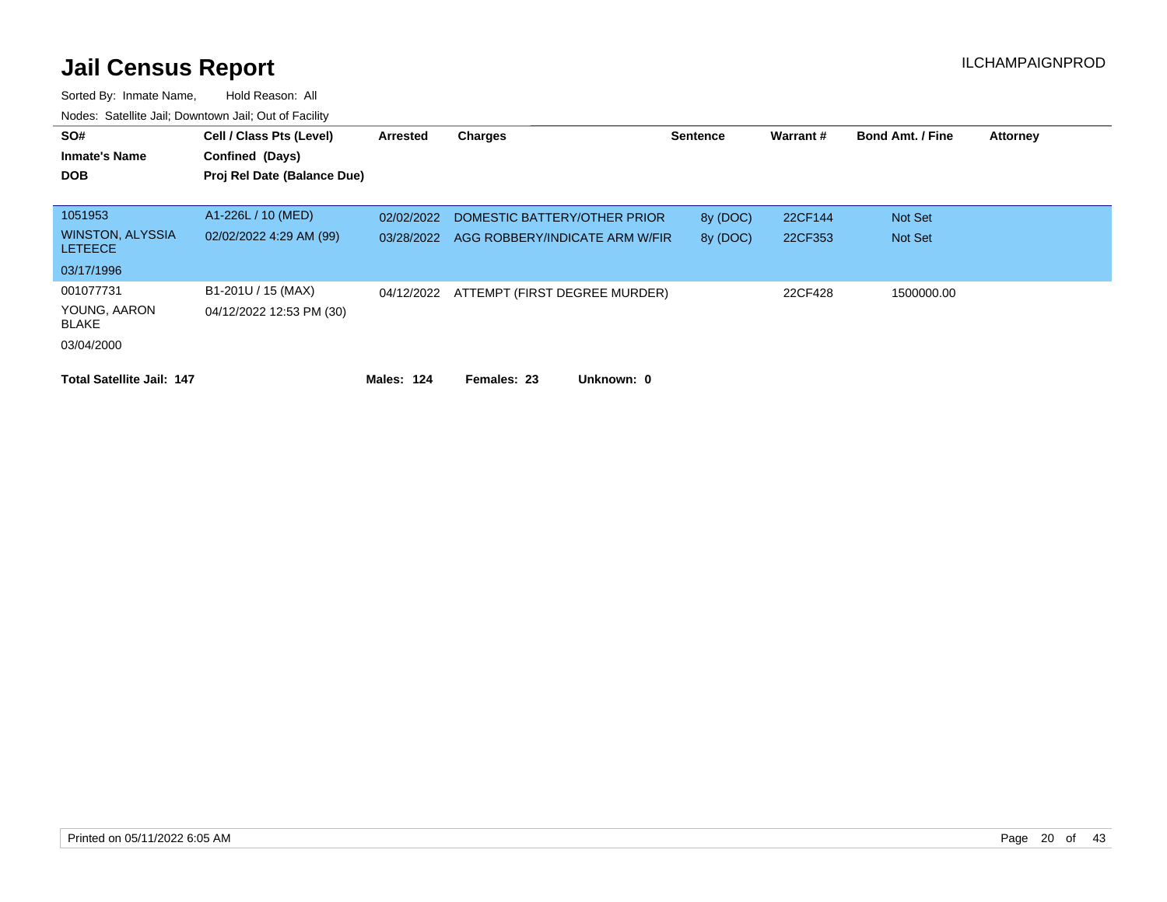| SO#<br><b>Inmate's Name</b><br><b>DOB</b> | Cell / Class Pts (Level)<br>Confined (Days)<br>Proj Rel Date (Balance Due) | Arrested   | Charges                        | <b>Sentence</b> | Warrant# | <b>Bond Amt. / Fine</b> | <b>Attorney</b> |
|-------------------------------------------|----------------------------------------------------------------------------|------------|--------------------------------|-----------------|----------|-------------------------|-----------------|
| 1051953                                   | A1-226L / 10 (MED)                                                         | 02/02/2022 | DOMESTIC BATTERY/OTHER PRIOR   | 8y (DOC)        | 22CF144  | Not Set                 |                 |
| <b>WINSTON, ALYSSIA</b><br><b>LETEECE</b> | 02/02/2022 4:29 AM (99)                                                    | 03/28/2022 | AGG ROBBERY/INDICATE ARM W/FIR | 8y (DOC)        | 22CF353  | <b>Not Set</b>          |                 |
| 03/17/1996                                |                                                                            |            |                                |                 |          |                         |                 |
| 001077731<br>YOUNG, AARON<br><b>BLAKE</b> | B1-201U / 15 (MAX)<br>04/12/2022 12:53 PM (30)                             | 04/12/2022 | ATTEMPT (FIRST DEGREE MURDER)  |                 | 22CF428  | 1500000.00              |                 |
| 03/04/2000                                |                                                                            |            |                                |                 |          |                         |                 |
| <b>Total Satellite Jail: 147</b>          |                                                                            | Males: 124 | Females: 23<br>Unknown: 0      |                 |          |                         |                 |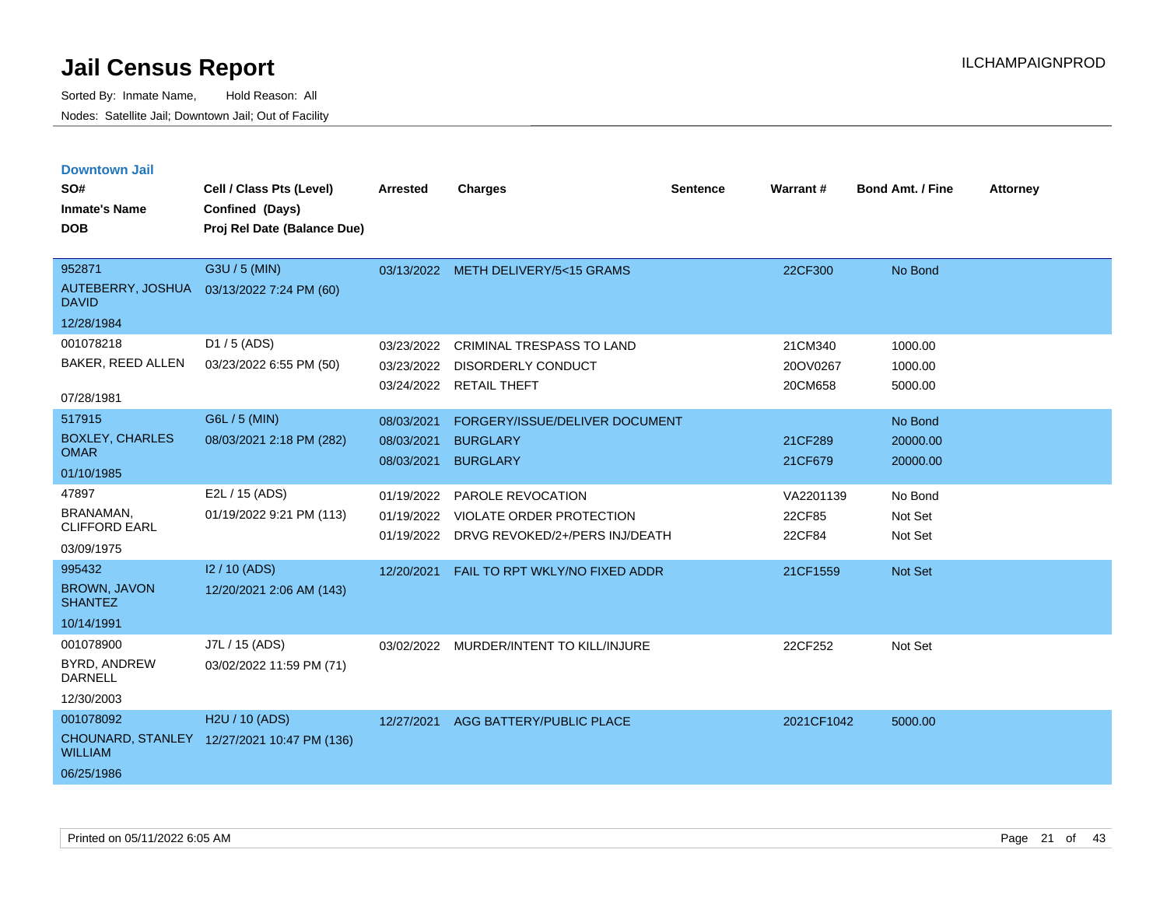| <b>Downtown Jail</b>                     |                                             |                 |                                                                              |                 |                  |                         |                 |
|------------------------------------------|---------------------------------------------|-----------------|------------------------------------------------------------------------------|-----------------|------------------|-------------------------|-----------------|
| SO#                                      | Cell / Class Pts (Level)                    | <b>Arrested</b> | <b>Charges</b>                                                               | <b>Sentence</b> | Warrant#         | <b>Bond Amt. / Fine</b> | <b>Attorney</b> |
| <b>Inmate's Name</b>                     | Confined (Days)                             |                 |                                                                              |                 |                  |                         |                 |
| <b>DOB</b>                               | Proj Rel Date (Balance Due)                 |                 |                                                                              |                 |                  |                         |                 |
|                                          |                                             |                 |                                                                              |                 |                  |                         |                 |
| 952871                                   | G3U / 5 (MIN)                               |                 | 03/13/2022 METH DELIVERY/5<15 GRAMS                                          |                 | 22CF300          | No Bond                 |                 |
| AUTEBERRY, JOSHUA<br><b>DAVID</b>        | 03/13/2022 7:24 PM (60)                     |                 |                                                                              |                 |                  |                         |                 |
| 12/28/1984                               |                                             |                 |                                                                              |                 |                  |                         |                 |
| 001078218                                | $D1 / 5$ (ADS)                              | 03/23/2022      | CRIMINAL TRESPASS TO LAND                                                    |                 | 21CM340          | 1000.00                 |                 |
| BAKER, REED ALLEN                        | 03/23/2022 6:55 PM (50)                     | 03/23/2022      | <b>DISORDERLY CONDUCT</b>                                                    |                 | 20OV0267         | 1000.00                 |                 |
| 07/28/1981                               |                                             |                 | 03/24/2022 RETAIL THEFT                                                      |                 | 20CM658          | 5000.00                 |                 |
| 517915                                   | G6L / 5 (MIN)                               | 08/03/2021      | FORGERY/ISSUE/DELIVER DOCUMENT                                               |                 |                  | No Bond                 |                 |
| <b>BOXLEY, CHARLES</b>                   | 08/03/2021 2:18 PM (282)                    | 08/03/2021      | <b>BURGLARY</b>                                                              |                 | 21CF289          | 20000.00                |                 |
| <b>OMAR</b>                              |                                             | 08/03/2021      | <b>BURGLARY</b>                                                              |                 | 21CF679          | 20000.00                |                 |
| 01/10/1985                               |                                             |                 |                                                                              |                 |                  |                         |                 |
| 47897                                    | E2L / 15 (ADS)                              | 01/19/2022      | PAROLE REVOCATION                                                            |                 | VA2201139        | No Bond                 |                 |
| <b>BRANAMAN,</b><br><b>CLIFFORD EARL</b> | 01/19/2022 9:21 PM (113)                    | 01/19/2022      | <b>VIOLATE ORDER PROTECTION</b><br>01/19/2022 DRVG REVOKED/2+/PERS INJ/DEATH |                 | 22CF85<br>22CF84 | Not Set<br>Not Set      |                 |
| 03/09/1975                               |                                             |                 |                                                                              |                 |                  |                         |                 |
| 995432                                   | 12/10 (ADS)                                 | 12/20/2021      | FAIL TO RPT WKLY/NO FIXED ADDR                                               |                 | 21CF1559         | <b>Not Set</b>          |                 |
| <b>BROWN, JAVON</b><br><b>SHANTEZ</b>    | 12/20/2021 2:06 AM (143)                    |                 |                                                                              |                 |                  |                         |                 |
| 10/14/1991                               |                                             |                 |                                                                              |                 |                  |                         |                 |
| 001078900                                | J7L / 15 (ADS)                              | 03/02/2022      | MURDER/INTENT TO KILL/INJURE                                                 |                 | 22CF252          | Not Set                 |                 |
| BYRD, ANDREW<br><b>DARNELL</b>           | 03/02/2022 11:59 PM (71)                    |                 |                                                                              |                 |                  |                         |                 |
| 12/30/2003                               |                                             |                 |                                                                              |                 |                  |                         |                 |
| 001078092                                | H <sub>2</sub> U / 10 (ADS)                 | 12/27/2021      | AGG BATTERY/PUBLIC PLACE                                                     |                 | 2021CF1042       | 5000.00                 |                 |
| <b>WILLIAM</b>                           | CHOUNARD, STANLEY 12/27/2021 10:47 PM (136) |                 |                                                                              |                 |                  |                         |                 |
| 06/25/1986                               |                                             |                 |                                                                              |                 |                  |                         |                 |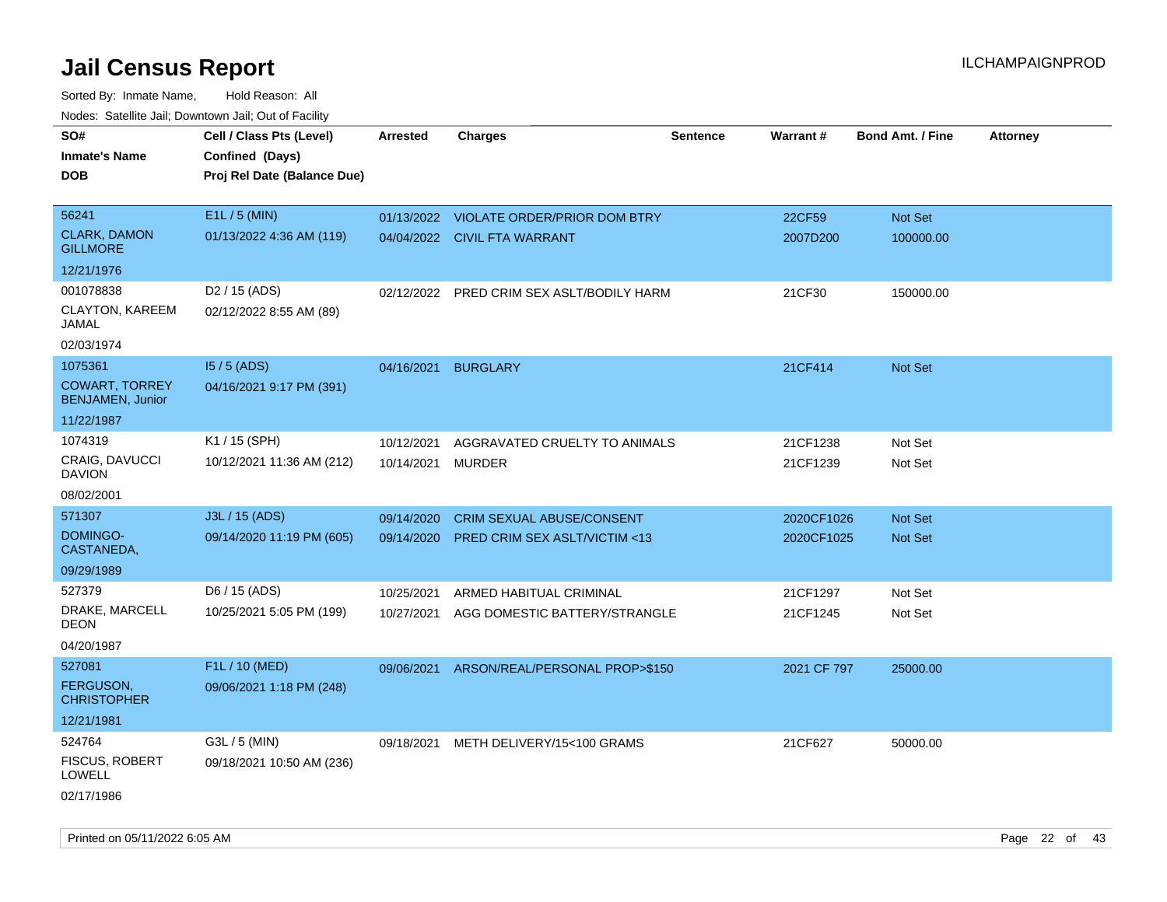| SO#<br><b>Inmate's Name</b><br><b>DOB</b>        | Cell / Class Pts (Level)<br>Confined (Days)<br>Proj Rel Date (Balance Due) | <b>Arrested</b> | <b>Charges</b>                            | <b>Sentence</b> | Warrant#    | <b>Bond Amt. / Fine</b> | <b>Attorney</b> |
|--------------------------------------------------|----------------------------------------------------------------------------|-----------------|-------------------------------------------|-----------------|-------------|-------------------------|-----------------|
| 56241                                            | E1L / 5 (MIN)                                                              |                 | 01/13/2022 VIOLATE ORDER/PRIOR DOM BTRY   |                 | 22CF59      | Not Set                 |                 |
| <b>CLARK, DAMON</b><br><b>GILLMORE</b>           | 01/13/2022 4:36 AM (119)                                                   |                 | 04/04/2022 CIVIL FTA WARRANT              |                 | 2007D200    | 100000.00               |                 |
| 12/21/1976                                       |                                                                            |                 |                                           |                 |             |                         |                 |
| 001078838                                        | D <sub>2</sub> / 15 (ADS)                                                  |                 | 02/12/2022 PRED CRIM SEX ASLT/BODILY HARM |                 | 21CF30      | 150000.00               |                 |
| CLAYTON, KAREEM<br>JAMAL                         | 02/12/2022 8:55 AM (89)                                                    |                 |                                           |                 |             |                         |                 |
| 02/03/1974                                       |                                                                            |                 |                                           |                 |             |                         |                 |
| 1075361                                          | $15/5$ (ADS)                                                               | 04/16/2021      | <b>BURGLARY</b>                           |                 | 21CF414     | Not Set                 |                 |
| <b>COWART, TORREY</b><br><b>BENJAMEN, Junior</b> | 04/16/2021 9:17 PM (391)                                                   |                 |                                           |                 |             |                         |                 |
| 11/22/1987                                       |                                                                            |                 |                                           |                 |             |                         |                 |
| 1074319                                          | K1 / 15 (SPH)                                                              | 10/12/2021      | AGGRAVATED CRUELTY TO ANIMALS             |                 | 21CF1238    | Not Set                 |                 |
| <b>CRAIG, DAVUCCI</b><br><b>DAVION</b>           | 10/12/2021 11:36 AM (212)                                                  | 10/14/2021      | MURDER                                    |                 | 21CF1239    | Not Set                 |                 |
| 08/02/2001                                       |                                                                            |                 |                                           |                 |             |                         |                 |
| 571307                                           | J3L / 15 (ADS)                                                             | 09/14/2020      | CRIM SEXUAL ABUSE/CONSENT                 |                 | 2020CF1026  | <b>Not Set</b>          |                 |
| DOMINGO-<br>CASTANEDA,                           | 09/14/2020 11:19 PM (605)                                                  | 09/14/2020      | PRED CRIM SEX ASLT/VICTIM <13             |                 | 2020CF1025  | <b>Not Set</b>          |                 |
| 09/29/1989                                       |                                                                            |                 |                                           |                 |             |                         |                 |
| 527379                                           | D6 / 15 (ADS)                                                              | 10/25/2021      | ARMED HABITUAL CRIMINAL                   |                 | 21CF1297    | Not Set                 |                 |
| DRAKE, MARCELL<br>DEON                           | 10/25/2021 5:05 PM (199)                                                   | 10/27/2021      | AGG DOMESTIC BATTERY/STRANGLE             |                 | 21CF1245    | Not Set                 |                 |
| 04/20/1987                                       |                                                                            |                 |                                           |                 |             |                         |                 |
| 527081                                           | F1L / 10 (MED)                                                             | 09/06/2021      | ARSON/REAL/PERSONAL PROP>\$150            |                 | 2021 CF 797 | 25000.00                |                 |
| <b>FERGUSON.</b><br><b>CHRISTOPHER</b>           | 09/06/2021 1:18 PM (248)                                                   |                 |                                           |                 |             |                         |                 |
| 12/21/1981                                       |                                                                            |                 |                                           |                 |             |                         |                 |
| 524764                                           | G3L / 5 (MIN)                                                              | 09/18/2021      | METH DELIVERY/15<100 GRAMS                |                 | 21CF627     | 50000.00                |                 |
| <b>FISCUS, ROBERT</b><br>LOWELL                  | 09/18/2021 10:50 AM (236)                                                  |                 |                                           |                 |             |                         |                 |
| 02/17/1986                                       |                                                                            |                 |                                           |                 |             |                         |                 |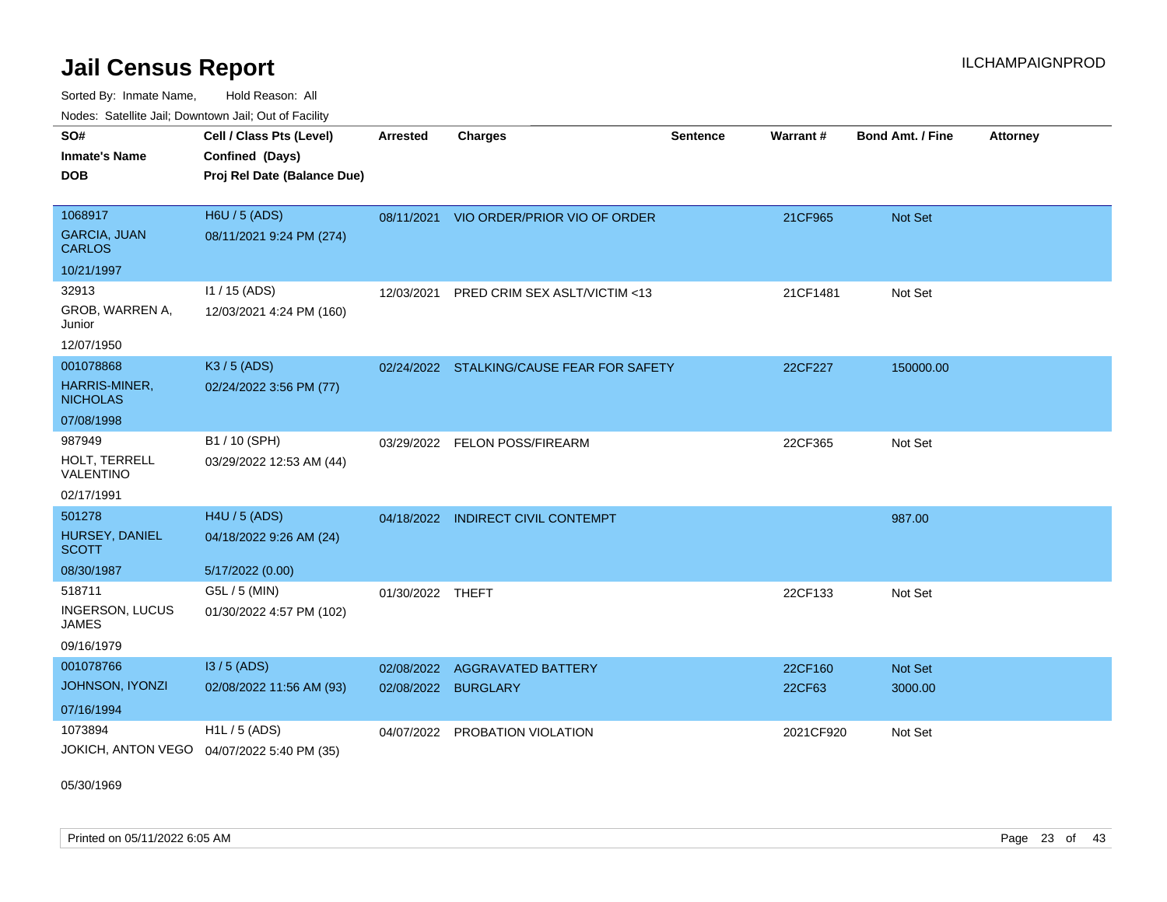Sorted By: Inmate Name, Hold Reason: All Nodes: Satellite Jail; Downtown Jail; Out of Facility

| 110000. 001011110 0011, Dominomi odli, Odi oli dollit |                                            |                  |                                           |                 |                 |                         |                 |
|-------------------------------------------------------|--------------------------------------------|------------------|-------------------------------------------|-----------------|-----------------|-------------------------|-----------------|
| SO#                                                   | Cell / Class Pts (Level)                   | <b>Arrested</b>  | <b>Charges</b>                            | <b>Sentence</b> | <b>Warrant#</b> | <b>Bond Amt. / Fine</b> | <b>Attorney</b> |
| <b>Inmate's Name</b>                                  | Confined (Days)                            |                  |                                           |                 |                 |                         |                 |
| <b>DOB</b>                                            | Proj Rel Date (Balance Due)                |                  |                                           |                 |                 |                         |                 |
|                                                       |                                            |                  |                                           |                 |                 |                         |                 |
| 1068917                                               | <b>H6U / 5 (ADS)</b>                       | 08/11/2021       | VIO ORDER/PRIOR VIO OF ORDER              |                 | 21CF965         | <b>Not Set</b>          |                 |
| <b>GARCIA, JUAN</b><br><b>CARLOS</b>                  | 08/11/2021 9:24 PM (274)                   |                  |                                           |                 |                 |                         |                 |
| 10/21/1997                                            |                                            |                  |                                           |                 |                 |                         |                 |
| 32913                                                 | $11 / 15$ (ADS)                            | 12/03/2021       | PRED CRIM SEX ASLT/VICTIM <13             |                 | 21CF1481        | Not Set                 |                 |
| GROB, WARREN A,<br>Junior                             | 12/03/2021 4:24 PM (160)                   |                  |                                           |                 |                 |                         |                 |
| 12/07/1950                                            |                                            |                  |                                           |                 |                 |                         |                 |
| 001078868                                             | K3 / 5 (ADS)                               |                  | 02/24/2022 STALKING/CAUSE FEAR FOR SAFETY |                 | 22CF227         | 150000.00               |                 |
| <b>HARRIS-MINER,</b><br><b>NICHOLAS</b>               | 02/24/2022 3:56 PM (77)                    |                  |                                           |                 |                 |                         |                 |
| 07/08/1998                                            |                                            |                  |                                           |                 |                 |                         |                 |
| 987949                                                | B1 / 10 (SPH)                              | 03/29/2022       | <b>FELON POSS/FIREARM</b>                 |                 | 22CF365         | Not Set                 |                 |
| HOLT, TERRELL<br>VALENTINO                            | 03/29/2022 12:53 AM (44)                   |                  |                                           |                 |                 |                         |                 |
| 02/17/1991                                            |                                            |                  |                                           |                 |                 |                         |                 |
| 501278                                                | H4U / 5 (ADS)                              | 04/18/2022       | <b>INDIRECT CIVIL CONTEMPT</b>            |                 |                 | 987.00                  |                 |
| HURSEY, DANIEL<br><b>SCOTT</b>                        | 04/18/2022 9:26 AM (24)                    |                  |                                           |                 |                 |                         |                 |
| 08/30/1987                                            | 5/17/2022 (0.00)                           |                  |                                           |                 |                 |                         |                 |
| 518711                                                | G5L / 5 (MIN)                              | 01/30/2022 THEFT |                                           |                 | 22CF133         | Not Set                 |                 |
| <b>INGERSON, LUCUS</b><br>JAMES                       | 01/30/2022 4:57 PM (102)                   |                  |                                           |                 |                 |                         |                 |
| 09/16/1979                                            |                                            |                  |                                           |                 |                 |                         |                 |
| 001078766                                             | $13/5$ (ADS)                               | 02/08/2022       | <b>AGGRAVATED BATTERY</b>                 |                 | 22CF160         | <b>Not Set</b>          |                 |
| JOHNSON, IYONZI                                       | 02/08/2022 11:56 AM (93)                   | 02/08/2022       | <b>BURGLARY</b>                           |                 | 22CF63          | 3000.00                 |                 |
| 07/16/1994                                            |                                            |                  |                                           |                 |                 |                         |                 |
| 1073894                                               | $H1L / 5$ (ADS)                            | 04/07/2022       | PROBATION VIOLATION                       |                 | 2021CF920       | Not Set                 |                 |
|                                                       | JOKICH, ANTON VEGO 04/07/2022 5:40 PM (35) |                  |                                           |                 |                 |                         |                 |

05/30/1969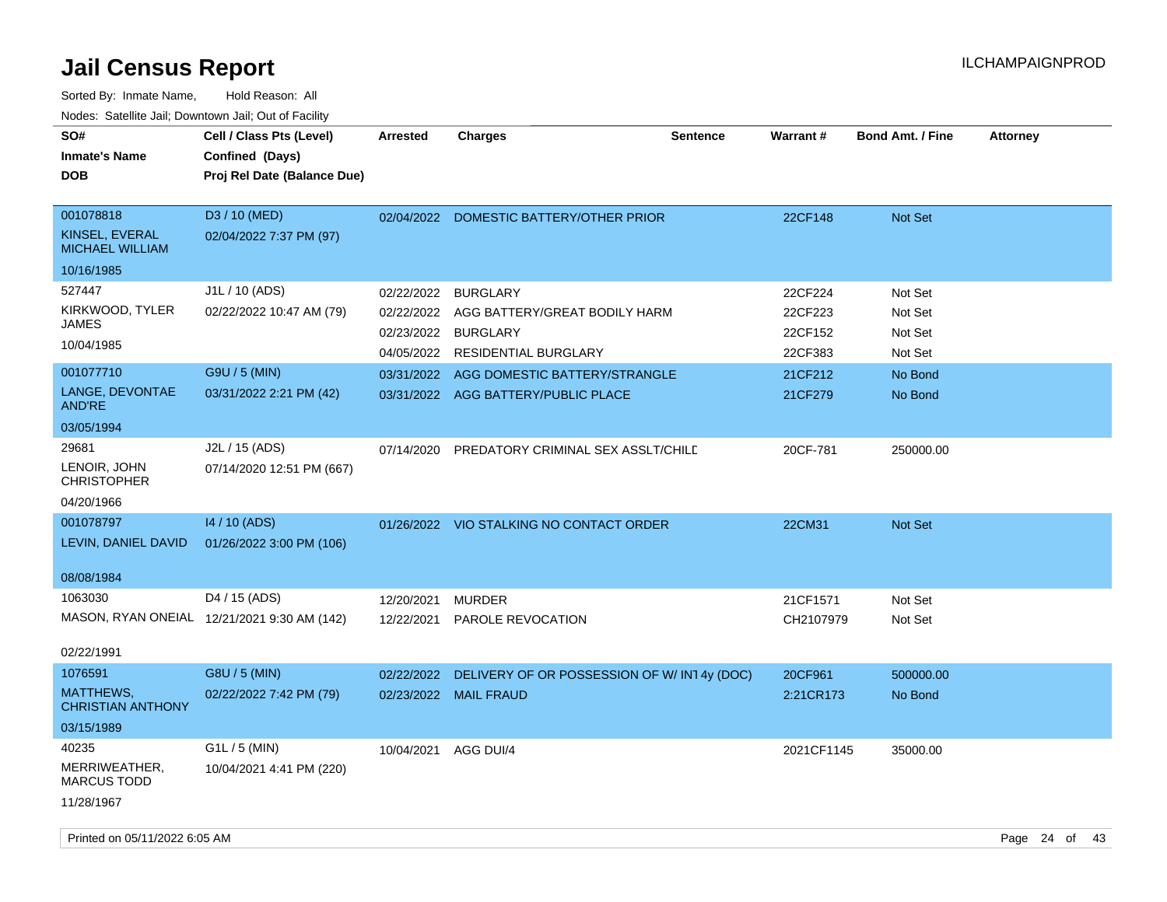| SO#<br><b>Inmate's Name</b><br><b>DOB</b>                                                | Cell / Class Pts (Level)<br>Confined (Days)<br>Proj Rel Date (Balance Due)             | <b>Arrested</b>                                                    | <b>Charges</b>                                                                                                                                                      | <b>Sentence</b> | Warrant#                                                       | <b>Bond Amt. / Fine</b>                                        | <b>Attorney</b> |
|------------------------------------------------------------------------------------------|----------------------------------------------------------------------------------------|--------------------------------------------------------------------|---------------------------------------------------------------------------------------------------------------------------------------------------------------------|-----------------|----------------------------------------------------------------|----------------------------------------------------------------|-----------------|
| 001078818<br>KINSEL, EVERAL<br><b>MICHAEL WILLIAM</b><br>10/16/1985                      | D3 / 10 (MED)<br>02/04/2022 7:37 PM (97)                                               |                                                                    | 02/04/2022 DOMESTIC BATTERY/OTHER PRIOR                                                                                                                             |                 | 22CF148                                                        | Not Set                                                        |                 |
| 527447<br>KIRKWOOD, TYLER<br><b>JAMES</b><br>10/04/1985<br>001077710<br>LANGE, DEVONTAE  | J1L / 10 (ADS)<br>02/22/2022 10:47 AM (79)<br>G9U / 5 (MIN)<br>03/31/2022 2:21 PM (42) | 02/22/2022<br>02/22/2022<br>02/23/2022<br>04/05/2022<br>03/31/2022 | <b>BURGLARY</b><br>AGG BATTERY/GREAT BODILY HARM<br><b>BURGLARY</b><br>RESIDENTIAL BURGLARY<br>AGG DOMESTIC BATTERY/STRANGLE<br>03/31/2022 AGG BATTERY/PUBLIC PLACE |                 | 22CF224<br>22CF223<br>22CF152<br>22CF383<br>21CF212<br>21CF279 | Not Set<br>Not Set<br>Not Set<br>Not Set<br>No Bond<br>No Bond |                 |
| <b>AND'RE</b><br>03/05/1994<br>29681<br>LENOIR, JOHN<br><b>CHRISTOPHER</b><br>04/20/1966 | J2L / 15 (ADS)<br>07/14/2020 12:51 PM (667)                                            | 07/14/2020                                                         | PREDATORY CRIMINAL SEX ASSLT/CHILE                                                                                                                                  |                 | 20CF-781                                                       | 250000.00                                                      |                 |
| 001078797<br>LEVIN, DANIEL DAVID<br>08/08/1984                                           | 14 / 10 (ADS)<br>01/26/2022 3:00 PM (106)                                              |                                                                    | 01/26/2022 VIO STALKING NO CONTACT ORDER                                                                                                                            |                 | 22CM31                                                         | <b>Not Set</b>                                                 |                 |
| 1063030<br>02/22/1991                                                                    | D4 / 15 (ADS)<br>MASON, RYAN ONEIAL 12/21/2021 9:30 AM (142)                           | 12/20/2021<br>12/22/2021                                           | <b>MURDER</b><br>PAROLE REVOCATION                                                                                                                                  |                 | 21CF1571<br>CH2107979                                          | Not Set<br>Not Set                                             |                 |
| 1076591<br>MATTHEWS,<br><b>CHRISTIAN ANTHONY</b><br>03/15/1989                           | G8U / 5 (MIN)<br>02/22/2022 7:42 PM (79)                                               | 02/22/2022<br>02/23/2022                                           | DELIVERY OF OR POSSESSION OF W/IN14y (DOC)<br><b>MAIL FRAUD</b>                                                                                                     |                 | 20CF961<br>2:21CR173                                           | 500000.00<br>No Bond                                           |                 |
| 40235<br>MERRIWEATHER,<br><b>MARCUS TODD</b><br>11/28/1967                               | G1L / 5 (MIN)<br>10/04/2021 4:41 PM (220)                                              | 10/04/2021                                                         | AGG DUI/4                                                                                                                                                           |                 | 2021CF1145                                                     | 35000.00                                                       |                 |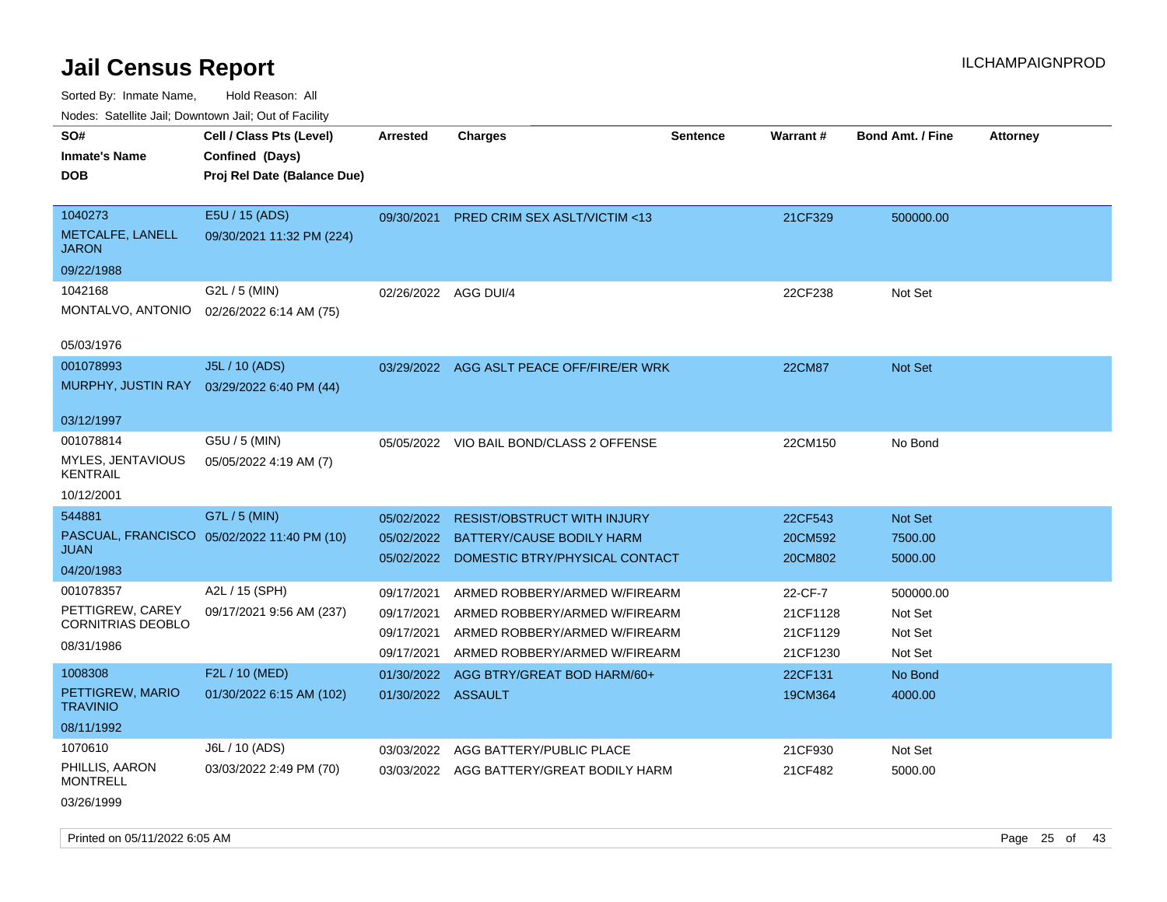| rougs. Calcing Jan, Downtown Jan, Out of Facinty  |                                                                            |                          |                                                                |          |                      |                         |                 |
|---------------------------------------------------|----------------------------------------------------------------------------|--------------------------|----------------------------------------------------------------|----------|----------------------|-------------------------|-----------------|
| SO#<br><b>Inmate's Name</b><br><b>DOB</b>         | Cell / Class Pts (Level)<br>Confined (Days)<br>Proj Rel Date (Balance Due) | <b>Arrested</b>          | <b>Charges</b>                                                 | Sentence | <b>Warrant#</b>      | <b>Bond Amt. / Fine</b> | <b>Attorney</b> |
| 1040273<br>METCALFE, LANELL<br><b>JARON</b>       | E5U / 15 (ADS)<br>09/30/2021 11:32 PM (224)                                | 09/30/2021               | <b>PRED CRIM SEX ASLT/VICTIM &lt;13</b>                        |          | 21CF329              | 500000.00               |                 |
| 09/22/1988                                        |                                                                            |                          |                                                                |          |                      |                         |                 |
| 1042168<br>MONTALVO, ANTONIO                      | G2L / 5 (MIN)<br>02/26/2022 6:14 AM (75)                                   | 02/26/2022 AGG DUI/4     |                                                                |          | 22CF238              | Not Set                 |                 |
| 05/03/1976                                        |                                                                            |                          |                                                                |          |                      |                         |                 |
| 001078993<br>MURPHY, JUSTIN RAY                   | J5L / 10 (ADS)<br>03/29/2022 6:40 PM (44)                                  |                          | 03/29/2022 AGG ASLT PEACE OFF/FIRE/ER WRK                      |          | <b>22CM87</b>        | Not Set                 |                 |
| 03/12/1997                                        |                                                                            |                          |                                                                |          |                      |                         |                 |
| 001078814<br>MYLES, JENTAVIOUS<br><b>KENTRAIL</b> | G5U / 5 (MIN)<br>05/05/2022 4:19 AM (7)                                    |                          | 05/05/2022 VIO BAIL BOND/CLASS 2 OFFENSE                       |          | 22CM150              | No Bond                 |                 |
| 10/12/2001                                        |                                                                            |                          |                                                                |          |                      |                         |                 |
| 544881                                            | G7L / 5 (MIN)                                                              | 05/02/2022               | <b>RESIST/OBSTRUCT WITH INJURY</b>                             |          | 22CF543              | Not Set                 |                 |
| <b>JUAN</b>                                       | PASCUAL, FRANCISCO 05/02/2022 11:40 PM (10)                                | 05/02/2022               | BATTERY/CAUSE BODILY HARM                                      |          | 20CM592              | 7500.00                 |                 |
| 04/20/1983                                        |                                                                            | 05/02/2022               | DOMESTIC BTRY/PHYSICAL CONTACT                                 |          | 20CM802              | 5000.00                 |                 |
| 001078357                                         | A2L / 15 (SPH)                                                             | 09/17/2021               | ARMED ROBBERY/ARMED W/FIREARM                                  |          | 22-CF-7              | 500000.00               |                 |
| PETTIGREW, CAREY<br>CORNITRIAS DEOBLO             | 09/17/2021 9:56 AM (237)                                                   | 09/17/2021               | ARMED ROBBERY/ARMED W/FIREARM                                  |          | 21CF1128             | Not Set                 |                 |
| 08/31/1986                                        |                                                                            | 09/17/2021<br>09/17/2021 | ARMED ROBBERY/ARMED W/FIREARM<br>ARMED ROBBERY/ARMED W/FIREARM |          | 21CF1129<br>21CF1230 | Not Set<br>Not Set      |                 |
| 1008308                                           | F2L / 10 (MED)                                                             | 01/30/2022               | AGG BTRY/GREAT BOD HARM/60+                                    |          | 22CF131              | No Bond                 |                 |
| PETTIGREW, MARIO<br><b>TRAVINIO</b>               | 01/30/2022 6:15 AM (102)                                                   | 01/30/2022 ASSAULT       |                                                                |          | 19CM364              | 4000.00                 |                 |
| 08/11/1992                                        |                                                                            |                          |                                                                |          |                      |                         |                 |
| 1070610                                           | J6L / 10 (ADS)                                                             | 03/03/2022               | AGG BATTERY/PUBLIC PLACE                                       |          | 21CF930              | Not Set                 |                 |
| PHILLIS, AARON<br><b>MONTRELL</b>                 | 03/03/2022 2:49 PM (70)                                                    |                          | 03/03/2022 AGG BATTERY/GREAT BODILY HARM                       |          | 21CF482              | 5000.00                 |                 |
| 03/26/1999                                        |                                                                            |                          |                                                                |          |                      |                         |                 |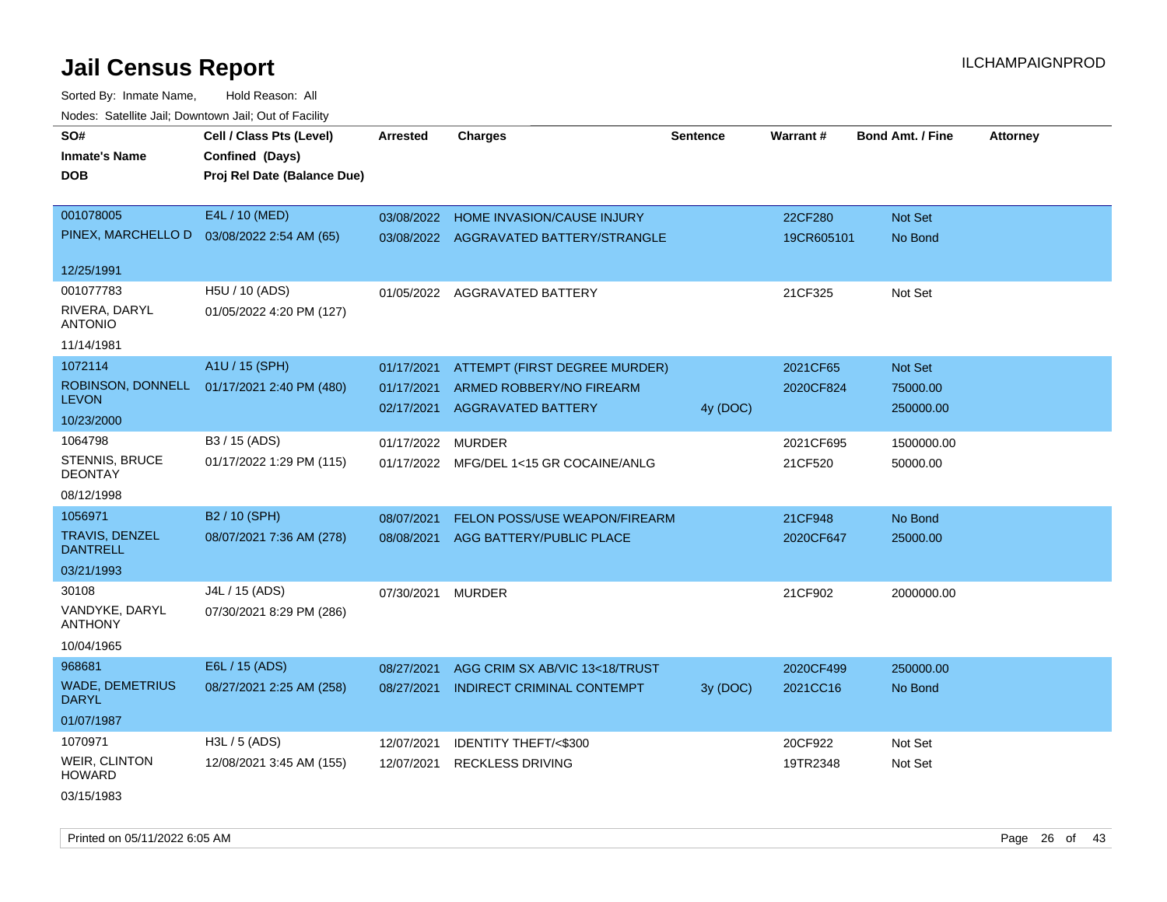Sorted By: Inmate Name, Hold Reason: All Nodes: Satellite Jail; Downtown Jail; Out of Facility

| SO#                                      | Cell / Class Pts (Level)    | <b>Arrested</b> | <b>Charges</b>                         | <b>Sentence</b> | Warrant#   | <b>Bond Amt. / Fine</b> | <b>Attorney</b> |
|------------------------------------------|-----------------------------|-----------------|----------------------------------------|-----------------|------------|-------------------------|-----------------|
| <b>Inmate's Name</b>                     | Confined (Days)             |                 |                                        |                 |            |                         |                 |
| <b>DOB</b>                               | Proj Rel Date (Balance Due) |                 |                                        |                 |            |                         |                 |
|                                          |                             |                 |                                        |                 |            |                         |                 |
| 001078005                                | E4L / 10 (MED)              |                 | 03/08/2022 HOME INVASION/CAUSE INJURY  |                 | 22CF280    | Not Set                 |                 |
| PINEX, MARCHELLO D                       | 03/08/2022 2:54 AM (65)     |                 | 03/08/2022 AGGRAVATED BATTERY/STRANGLE |                 | 19CR605101 | No Bond                 |                 |
| 12/25/1991                               |                             |                 |                                        |                 |            |                         |                 |
| 001077783                                | H5U / 10 (ADS)              |                 | 01/05/2022 AGGRAVATED BATTERY          |                 | 21CF325    | Not Set                 |                 |
| RIVERA, DARYL<br><b>ANTONIO</b>          | 01/05/2022 4:20 PM (127)    |                 |                                        |                 |            |                         |                 |
| 11/14/1981                               |                             |                 |                                        |                 |            |                         |                 |
| 1072114                                  | A1U / 15 (SPH)              | 01/17/2021      | ATTEMPT (FIRST DEGREE MURDER)          |                 | 2021CF65   | Not Set                 |                 |
| ROBINSON, DONNELL                        | 01/17/2021 2:40 PM (480)    | 01/17/2021      | ARMED ROBBERY/NO FIREARM               |                 | 2020CF824  | 75000.00                |                 |
| <b>LEVON</b>                             |                             | 02/17/2021      | <b>AGGRAVATED BATTERY</b>              | 4y (DOC)        |            | 250000.00               |                 |
| 10/23/2000                               |                             |                 |                                        |                 |            |                         |                 |
| 1064798                                  | B3 / 15 (ADS)               | 01/17/2022      | MURDER                                 |                 | 2021CF695  | 1500000.00              |                 |
| <b>STENNIS, BRUCE</b><br><b>DEONTAY</b>  | 01/17/2022 1:29 PM (115)    | 01/17/2022      | MFG/DEL 1<15 GR COCAINE/ANLG           |                 | 21CF520    | 50000.00                |                 |
| 08/12/1998                               |                             |                 |                                        |                 |            |                         |                 |
| 1056971                                  | B2 / 10 (SPH)               | 08/07/2021      | FELON POSS/USE WEAPON/FIREARM          |                 | 21CF948    | No Bond                 |                 |
| <b>TRAVIS, DENZEL</b><br><b>DANTRELL</b> | 08/07/2021 7:36 AM (278)    | 08/08/2021      | AGG BATTERY/PUBLIC PLACE               |                 | 2020CF647  | 25000.00                |                 |
| 03/21/1993                               |                             |                 |                                        |                 |            |                         |                 |
| 30108                                    | J4L / 15 (ADS)              | 07/30/2021      | <b>MURDER</b>                          |                 | 21CF902    | 2000000.00              |                 |
| VANDYKE, DARYL<br><b>ANTHONY</b>         | 07/30/2021 8:29 PM (286)    |                 |                                        |                 |            |                         |                 |
| 10/04/1965                               |                             |                 |                                        |                 |            |                         |                 |
| 968681                                   | E6L / 15 (ADS)              | 08/27/2021      | AGG CRIM SX AB/VIC 13<18/TRUST         |                 | 2020CF499  | 250000.00               |                 |
| <b>WADE, DEMETRIUS</b><br><b>DARYL</b>   | 08/27/2021 2:25 AM (258)    | 08/27/2021      | <b>INDIRECT CRIMINAL CONTEMPT</b>      | 3y (DOC)        | 2021CC16   | No Bond                 |                 |
| 01/07/1987                               |                             |                 |                                        |                 |            |                         |                 |
| 1070971                                  | $H3L / 5$ (ADS)             | 12/07/2021      | <b>IDENTITY THEFT/&lt;\$300</b>        |                 | 20CF922    | Not Set                 |                 |
| <b>WEIR, CLINTON</b><br><b>HOWARD</b>    | 12/08/2021 3:45 AM (155)    | 12/07/2021      | <b>RECKLESS DRIVING</b>                |                 | 19TR2348   | Not Set                 |                 |
| 03/15/1983                               |                             |                 |                                        |                 |            |                         |                 |

Printed on 05/11/2022 6:05 AM Page 26 of 43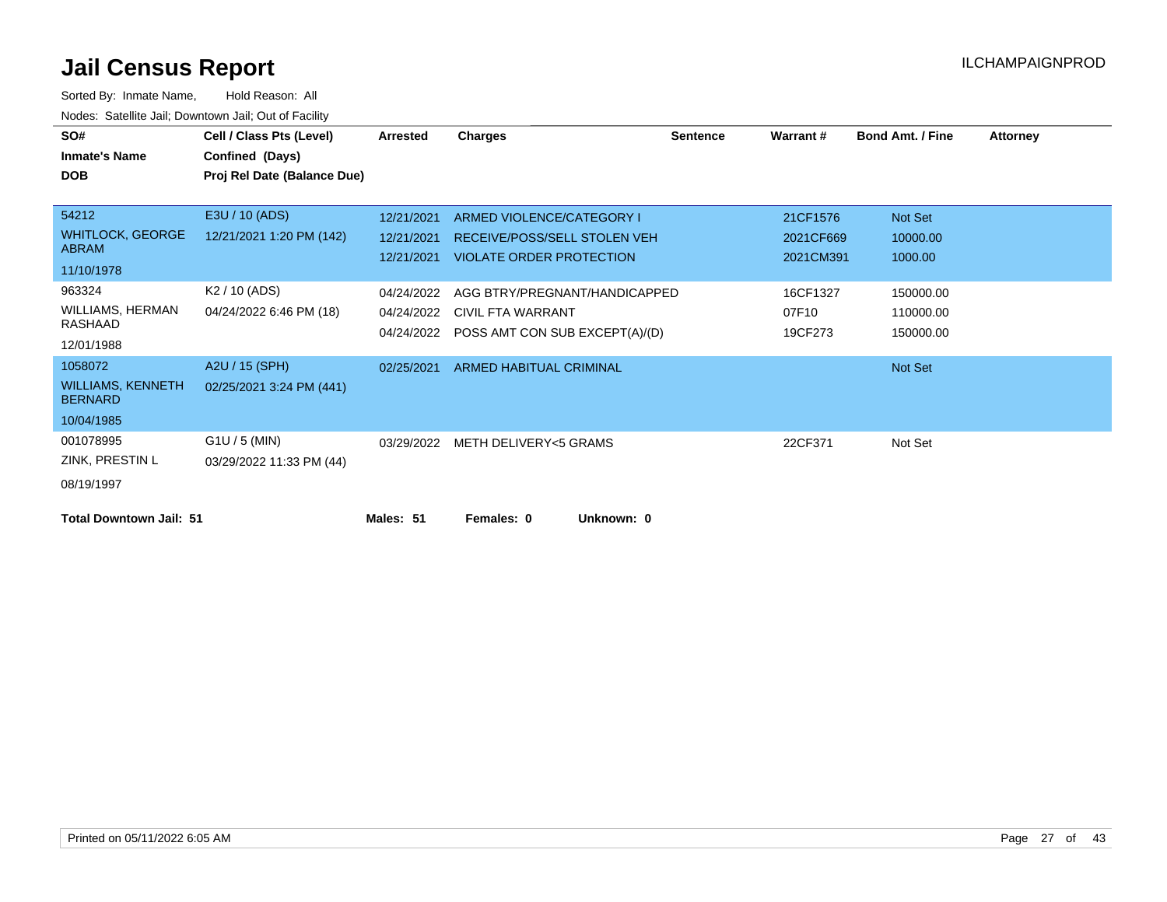| SO#                                        | Cell / Class Pts (Level)    | Arrested   | Charges                                   | <b>Sentence</b> | Warrant#  | <b>Bond Amt. / Fine</b> | <b>Attorney</b> |
|--------------------------------------------|-----------------------------|------------|-------------------------------------------|-----------------|-----------|-------------------------|-----------------|
|                                            |                             |            |                                           |                 |           |                         |                 |
| <b>Inmate's Name</b>                       | Confined (Days)             |            |                                           |                 |           |                         |                 |
| <b>DOB</b>                                 | Proj Rel Date (Balance Due) |            |                                           |                 |           |                         |                 |
|                                            |                             |            |                                           |                 |           |                         |                 |
| 54212                                      | E3U / 10 (ADS)              | 12/21/2021 | ARMED VIOLENCE/CATEGORY I                 |                 | 21CF1576  | Not Set                 |                 |
| <b>WHITLOCK, GEORGE</b>                    | 12/21/2021 1:20 PM (142)    | 12/21/2021 | RECEIVE/POSS/SELL STOLEN VEH              |                 | 2021CF669 | 10000.00                |                 |
| <b>ABRAM</b>                               |                             |            | 12/21/2021 VIOLATE ORDER PROTECTION       |                 | 2021CM391 | 1000.00                 |                 |
| 11/10/1978                                 |                             |            |                                           |                 |           |                         |                 |
| 963324                                     | K <sub>2</sub> / 10 (ADS)   | 04/24/2022 | AGG BTRY/PREGNANT/HANDICAPPED             |                 | 16CF1327  | 150000.00               |                 |
| WILLIAMS, HERMAN                           | 04/24/2022 6:46 PM (18)     |            | 04/24/2022 CIVIL FTA WARRANT              |                 | 07F10     | 110000.00               |                 |
| RASHAAD                                    |                             |            | 04/24/2022 POSS AMT CON SUB EXCEPT(A)/(D) |                 | 19CF273   | 150000.00               |                 |
| 12/01/1988                                 |                             |            |                                           |                 |           |                         |                 |
| 1058072                                    | A2U / 15 (SPH)              | 02/25/2021 | <b>ARMED HABITUAL CRIMINAL</b>            |                 |           | Not Set                 |                 |
| <b>WILLIAMS, KENNETH</b><br><b>BERNARD</b> | 02/25/2021 3:24 PM (441)    |            |                                           |                 |           |                         |                 |
| 10/04/1985                                 |                             |            |                                           |                 |           |                         |                 |
| 001078995                                  | $G1U / 5$ (MIN)             |            | 03/29/2022 METH DELIVERY<5 GRAMS          |                 | 22CF371   | Not Set                 |                 |
| ZINK, PRESTIN L                            | 03/29/2022 11:33 PM (44)    |            |                                           |                 |           |                         |                 |
| 08/19/1997                                 |                             |            |                                           |                 |           |                         |                 |
| <b>Total Downtown Jail: 51</b>             |                             | Males: 51  | Females: 0<br>Unknown: 0                  |                 |           |                         |                 |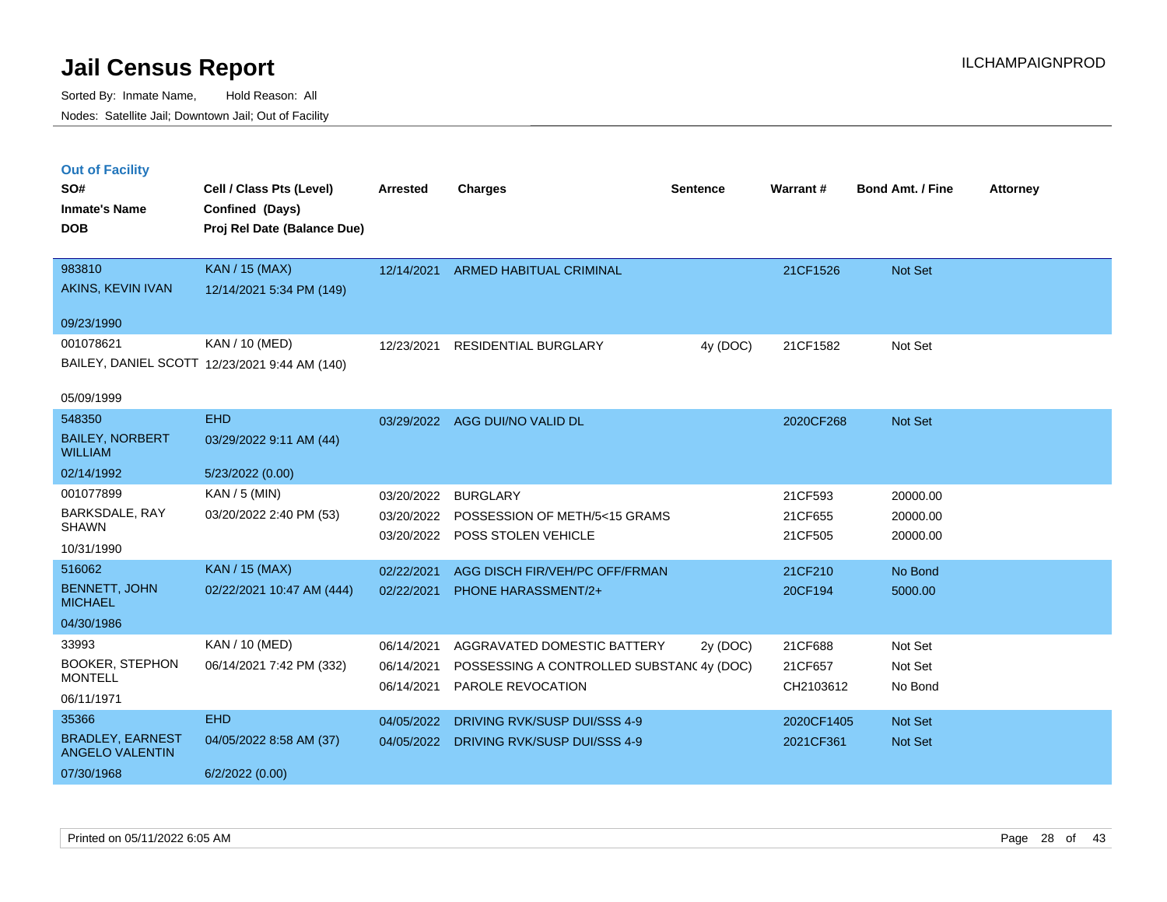|  | <b>Out of Facility</b> |  |
|--|------------------------|--|
|  |                        |  |
|  |                        |  |
|  |                        |  |

| SO#                                      | Cell / Class Pts (Level)                       | <b>Arrested</b> | <b>Charges</b>                           | <b>Sentence</b> | <b>Warrant#</b> | <b>Bond Amt. / Fine</b> | <b>Attorney</b> |
|------------------------------------------|------------------------------------------------|-----------------|------------------------------------------|-----------------|-----------------|-------------------------|-----------------|
| <b>Inmate's Name</b><br><b>DOB</b>       | Confined (Days)<br>Proj Rel Date (Balance Due) |                 |                                          |                 |                 |                         |                 |
| 983810                                   | <b>KAN / 15 (MAX)</b>                          | 12/14/2021      | ARMED HABITUAL CRIMINAL                  |                 | 21CF1526        | Not Set                 |                 |
| AKINS, KEVIN IVAN                        | 12/14/2021 5:34 PM (149)                       |                 |                                          |                 |                 |                         |                 |
| 09/23/1990                               |                                                |                 |                                          |                 |                 |                         |                 |
| 001078621                                | KAN / 10 (MED)                                 | 12/23/2021      | <b>RESIDENTIAL BURGLARY</b>              | 4y (DOC)        | 21CF1582        | Not Set                 |                 |
|                                          | BAILEY, DANIEL SCOTT 12/23/2021 9:44 AM (140)  |                 |                                          |                 |                 |                         |                 |
| 05/09/1999                               |                                                |                 |                                          |                 |                 |                         |                 |
| 548350                                   | <b>EHD</b>                                     |                 | 03/29/2022 AGG DUI/NO VALID DL           |                 | 2020CF268       | Not Set                 |                 |
| <b>BAILEY, NORBERT</b><br><b>WILLIAM</b> | 03/29/2022 9:11 AM (44)                        |                 |                                          |                 |                 |                         |                 |
| 02/14/1992                               | 5/23/2022 (0.00)                               |                 |                                          |                 |                 |                         |                 |
| 001077899                                | KAN / 5 (MIN)                                  | 03/20/2022      | <b>BURGLARY</b>                          |                 | 21CF593         | 20000.00                |                 |
| BARKSDALE, RAY<br><b>SHAWN</b>           | 03/20/2022 2:40 PM (53)                        |                 | 03/20/2022 POSSESSION OF METH/5<15 GRAMS |                 | 21CF655         | 20000.00                |                 |
| 10/31/1990                               |                                                | 03/20/2022      | <b>POSS STOLEN VEHICLE</b>               |                 | 21CF505         | 20000.00                |                 |
| 516062                                   | <b>KAN / 15 (MAX)</b>                          | 02/22/2021      | AGG DISCH FIR/VEH/PC OFF/FRMAN           |                 | 21CF210         | No Bond                 |                 |
| <b>BENNETT, JOHN</b>                     | 02/22/2021 10:47 AM (444)                      | 02/22/2021      | <b>PHONE HARASSMENT/2+</b>               |                 | 20CF194         | 5000.00                 |                 |
| <b>MICHAEL</b>                           |                                                |                 |                                          |                 |                 |                         |                 |
| 04/30/1986                               |                                                |                 |                                          |                 |                 |                         |                 |
| 33993                                    | KAN / 10 (MED)                                 | 06/14/2021      | AGGRAVATED DOMESTIC BATTERY              | 2y (DOC)        | 21CF688         | Not Set                 |                 |
| <b>BOOKER, STEPHON</b><br><b>MONTELL</b> | 06/14/2021 7:42 PM (332)                       | 06/14/2021      | POSSESSING A CONTROLLED SUBSTAN(4y (DOC) |                 | 21CF657         | Not Set                 |                 |
| 06/11/1971                               |                                                | 06/14/2021      | PAROLE REVOCATION                        |                 | CH2103612       | No Bond                 |                 |
| 35366                                    | <b>EHD</b>                                     | 04/05/2022      | DRIVING RVK/SUSP DUI/SSS 4-9             |                 | 2020CF1405      | Not Set                 |                 |
| <b>BRADLEY, EARNEST</b>                  | 04/05/2022 8:58 AM (37)                        |                 | 04/05/2022 DRIVING RVK/SUSP DUI/SSS 4-9  |                 | 2021CF361       | Not Set                 |                 |
| <b>ANGELO VALENTIN</b>                   |                                                |                 |                                          |                 |                 |                         |                 |
| 07/30/1968                               | 6/2/2022(0.00)                                 |                 |                                          |                 |                 |                         |                 |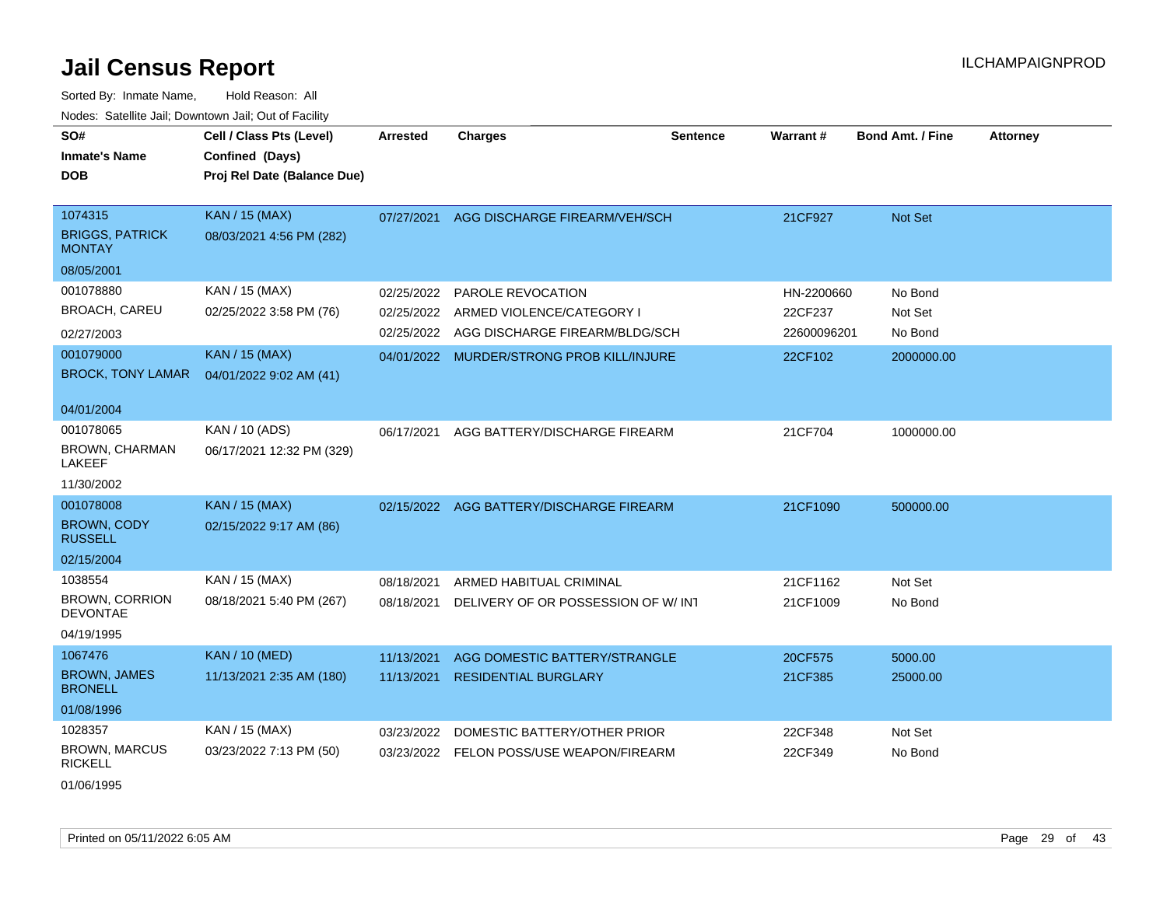Sorted By: Inmate Name, Hold Reason: All Nodes: Satellite Jail; Downtown Jail; Out of Facility

| SO#<br><b>Inmate's Name</b><br><b>DOB</b>          | Cell / Class Pts (Level)<br>Confined (Days)<br>Proj Rel Date (Balance Due) | <b>Arrested</b> | <b>Charges</b>                            | <b>Sentence</b> | Warrant#    | <b>Bond Amt. / Fine</b> | <b>Attorney</b> |
|----------------------------------------------------|----------------------------------------------------------------------------|-----------------|-------------------------------------------|-----------------|-------------|-------------------------|-----------------|
| 1074315<br><b>BRIGGS, PATRICK</b><br><b>MONTAY</b> | <b>KAN / 15 (MAX)</b><br>08/03/2021 4:56 PM (282)                          | 07/27/2021      | AGG DISCHARGE FIREARM/VEH/SCH             |                 | 21CF927     | <b>Not Set</b>          |                 |
| 08/05/2001                                         |                                                                            |                 |                                           |                 |             |                         |                 |
| 001078880                                          | KAN / 15 (MAX)                                                             | 02/25/2022      | <b>PAROLE REVOCATION</b>                  |                 | HN-2200660  | No Bond                 |                 |
| <b>BROACH, CAREU</b>                               | 02/25/2022 3:58 PM (76)                                                    | 02/25/2022      | ARMED VIOLENCE/CATEGORY I                 |                 | 22CF237     | Not Set                 |                 |
| 02/27/2003                                         |                                                                            | 02/25/2022      | AGG DISCHARGE FIREARM/BLDG/SCH            |                 | 22600096201 | No Bond                 |                 |
| 001079000<br><b>BROCK, TONY LAMAR</b>              | <b>KAN / 15 (MAX)</b><br>04/01/2022 9:02 AM (41)                           |                 | 04/01/2022 MURDER/STRONG PROB KILL/INJURE |                 | 22CF102     | 2000000.00              |                 |
| 04/01/2004                                         |                                                                            |                 |                                           |                 |             |                         |                 |
| 001078065<br><b>BROWN, CHARMAN</b><br>LAKEEF       | KAN / 10 (ADS)<br>06/17/2021 12:32 PM (329)                                | 06/17/2021      | AGG BATTERY/DISCHARGE FIREARM             |                 | 21CF704     | 1000000.00              |                 |
| 11/30/2002                                         |                                                                            |                 |                                           |                 |             |                         |                 |
| 001078008                                          | <b>KAN / 15 (MAX)</b>                                                      |                 | 02/15/2022 AGG BATTERY/DISCHARGE FIREARM  |                 | 21CF1090    | 500000.00               |                 |
| <b>BROWN, CODY</b><br><b>RUSSELL</b>               | 02/15/2022 9:17 AM (86)                                                    |                 |                                           |                 |             |                         |                 |
| 02/15/2004                                         |                                                                            |                 |                                           |                 |             |                         |                 |
| 1038554                                            | KAN / 15 (MAX)                                                             | 08/18/2021      | ARMED HABITUAL CRIMINAL                   |                 | 21CF1162    | Not Set                 |                 |
| <b>BROWN, CORRION</b><br><b>DEVONTAE</b>           | 08/18/2021 5:40 PM (267)                                                   | 08/18/2021      | DELIVERY OF OR POSSESSION OF W/INT        |                 | 21CF1009    | No Bond                 |                 |
| 04/19/1995                                         |                                                                            |                 |                                           |                 |             |                         |                 |
| 1067476                                            | <b>KAN / 10 (MED)</b>                                                      | 11/13/2021      | AGG DOMESTIC BATTERY/STRANGLE             |                 | 20CF575     | 5000.00                 |                 |
| <b>BROWN, JAMES</b><br><b>BRONELL</b>              | 11/13/2021 2:35 AM (180)                                                   | 11/13/2021      | <b>RESIDENTIAL BURGLARY</b>               |                 | 21CF385     | 25000.00                |                 |
| 01/08/1996                                         |                                                                            |                 |                                           |                 |             |                         |                 |
| 1028357                                            | KAN / 15 (MAX)                                                             | 03/23/2022      | DOMESTIC BATTERY/OTHER PRIOR              |                 | 22CF348     | Not Set                 |                 |
| <b>BROWN, MARCUS</b><br><b>RICKELL</b>             | 03/23/2022 7:13 PM (50)                                                    | 03/23/2022      | <b>FELON POSS/USE WEAPON/FIREARM</b>      |                 | 22CF349     | No Bond                 |                 |

01/06/1995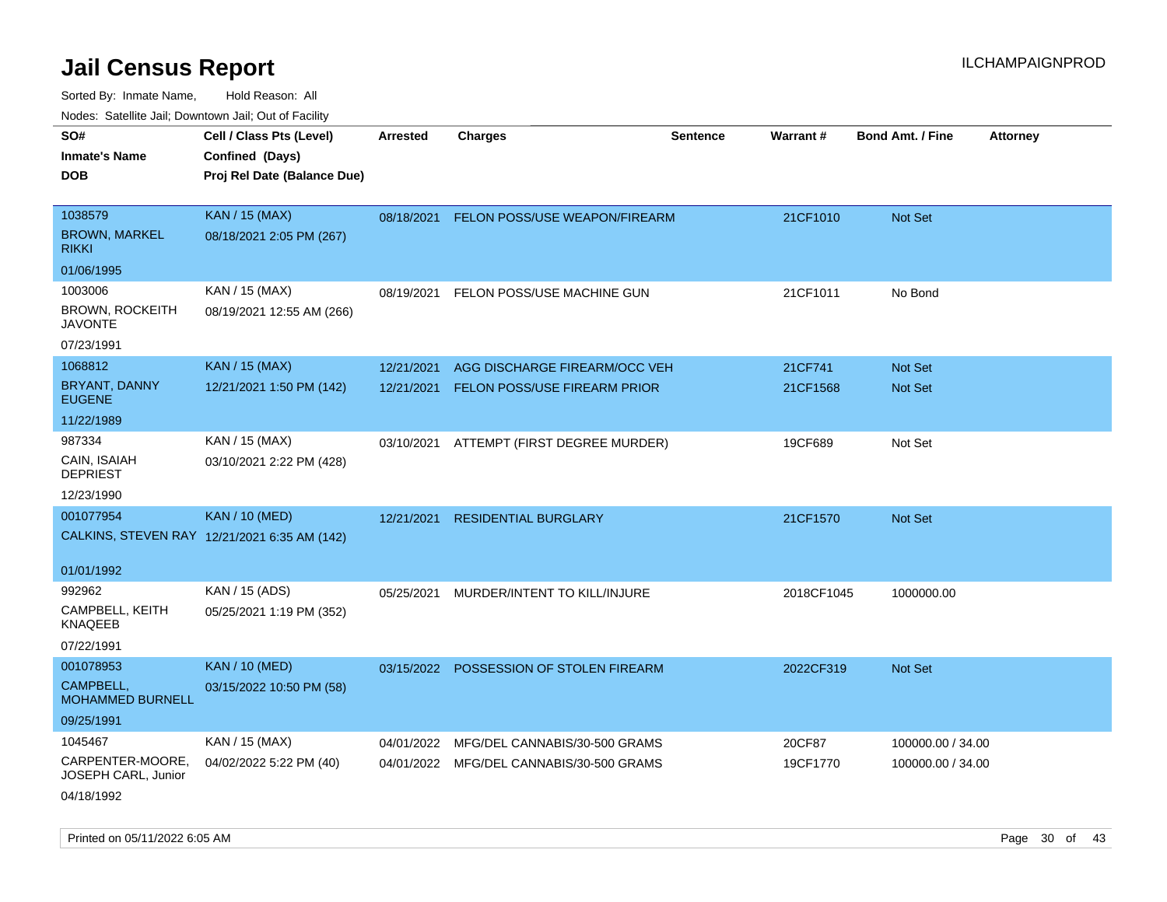| rouce. Calcinic Jan, Downtown Jan, Out or Facility |                                              |                 |                                          |                 |            |                         |                 |
|----------------------------------------------------|----------------------------------------------|-----------------|------------------------------------------|-----------------|------------|-------------------------|-----------------|
| SO#                                                | Cell / Class Pts (Level)                     | <b>Arrested</b> | <b>Charges</b>                           | <b>Sentence</b> | Warrant#   | <b>Bond Amt. / Fine</b> | <b>Attorney</b> |
| <b>Inmate's Name</b>                               | Confined (Days)                              |                 |                                          |                 |            |                         |                 |
| <b>DOB</b>                                         | Proj Rel Date (Balance Due)                  |                 |                                          |                 |            |                         |                 |
|                                                    |                                              |                 |                                          |                 |            |                         |                 |
| 1038579                                            | <b>KAN / 15 (MAX)</b>                        |                 | 08/18/2021 FELON POSS/USE WEAPON/FIREARM |                 | 21CF1010   | Not Set                 |                 |
| <b>BROWN, MARKEL</b><br><b>RIKKI</b>               | 08/18/2021 2:05 PM (267)                     |                 |                                          |                 |            |                         |                 |
| 01/06/1995                                         |                                              |                 |                                          |                 |            |                         |                 |
| 1003006                                            | KAN / 15 (MAX)                               | 08/19/2021      | FELON POSS/USE MACHINE GUN               |                 | 21CF1011   | No Bond                 |                 |
| <b>BROWN, ROCKEITH</b><br><b>JAVONTE</b>           | 08/19/2021 12:55 AM (266)                    |                 |                                          |                 |            |                         |                 |
| 07/23/1991                                         |                                              |                 |                                          |                 |            |                         |                 |
| 1068812                                            | <b>KAN / 15 (MAX)</b>                        | 12/21/2021      | AGG DISCHARGE FIREARM/OCC VEH            |                 | 21CF741    | Not Set                 |                 |
| <b>BRYANT, DANNY</b><br><b>EUGENE</b>              | 12/21/2021 1:50 PM (142)                     | 12/21/2021      | FELON POSS/USE FIREARM PRIOR             |                 | 21CF1568   | <b>Not Set</b>          |                 |
| 11/22/1989                                         |                                              |                 |                                          |                 |            |                         |                 |
| 987334                                             | KAN / 15 (MAX)                               | 03/10/2021      | ATTEMPT (FIRST DEGREE MURDER)            |                 | 19CF689    | Not Set                 |                 |
| CAIN, ISAIAH<br><b>DEPRIEST</b>                    | 03/10/2021 2:22 PM (428)                     |                 |                                          |                 |            |                         |                 |
| 12/23/1990                                         |                                              |                 |                                          |                 |            |                         |                 |
| 001077954                                          | <b>KAN / 10 (MED)</b>                        | 12/21/2021      | <b>RESIDENTIAL BURGLARY</b>              |                 | 21CF1570   | Not Set                 |                 |
|                                                    | CALKINS, STEVEN RAY 12/21/2021 6:35 AM (142) |                 |                                          |                 |            |                         |                 |
| 01/01/1992                                         |                                              |                 |                                          |                 |            |                         |                 |
| 992962                                             | KAN / 15 (ADS)                               | 05/25/2021      | MURDER/INTENT TO KILL/INJURE             |                 | 2018CF1045 | 1000000.00              |                 |
| CAMPBELL, KEITH<br><b>KNAQEEB</b>                  | 05/25/2021 1:19 PM (352)                     |                 |                                          |                 |            |                         |                 |
| 07/22/1991                                         |                                              |                 |                                          |                 |            |                         |                 |
| 001078953                                          | <b>KAN / 10 (MED)</b>                        |                 | 03/15/2022 POSSESSION OF STOLEN FIREARM  |                 | 2022CF319  | Not Set                 |                 |
| CAMPBELL,<br>MOHAMMED BURNELL                      | 03/15/2022 10:50 PM (58)                     |                 |                                          |                 |            |                         |                 |
| 09/25/1991                                         |                                              |                 |                                          |                 |            |                         |                 |
| 1045467                                            | KAN / 15 (MAX)                               | 04/01/2022      | MFG/DEL CANNABIS/30-500 GRAMS            |                 | 20CF87     | 100000.00 / 34.00       |                 |
| CARPENTER-MOORE,<br>JOSEPH CARL, Junior            | 04/02/2022 5:22 PM (40)                      |                 | 04/01/2022 MFG/DEL CANNABIS/30-500 GRAMS |                 | 19CF1770   | 100000.00 / 34.00       |                 |
| 04/18/1992                                         |                                              |                 |                                          |                 |            |                         |                 |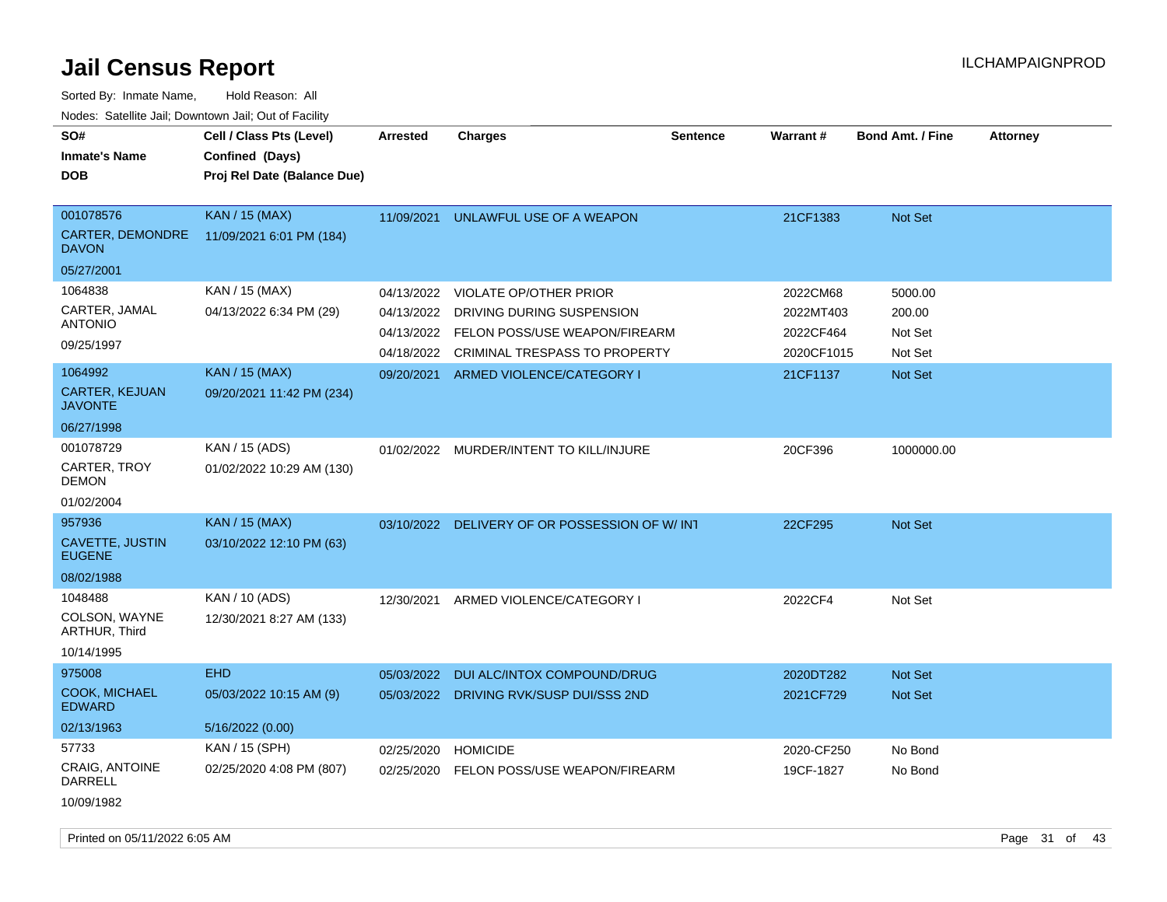| SO#<br><b>Inmate's Name</b><br><b>DOB</b>            | Cell / Class Pts (Level)<br>Confined (Days)<br>Proj Rel Date (Balance Due) | Arrested                 | Charges                                                        | <b>Sentence</b> | <b>Warrant#</b>         | <b>Bond Amt. / Fine</b> | <b>Attorney</b> |  |
|------------------------------------------------------|----------------------------------------------------------------------------|--------------------------|----------------------------------------------------------------|-----------------|-------------------------|-------------------------|-----------------|--|
| 001078576<br><b>CARTER, DEMONDRE</b><br><b>DAVON</b> | <b>KAN</b> / 15 (MAX)<br>11/09/2021 6:01 PM (184)                          | 11/09/2021               | UNLAWFUL USE OF A WEAPON                                       |                 | 21CF1383                | <b>Not Set</b>          |                 |  |
| 05/27/2001                                           |                                                                            |                          |                                                                |                 |                         |                         |                 |  |
| 1064838                                              | KAN / 15 (MAX)                                                             | 04/13/2022               | <b>VIOLATE OP/OTHER PRIOR</b>                                  |                 | 2022CM68                | 5000.00                 |                 |  |
| CARTER, JAMAL<br>ANTONIO                             | 04/13/2022 6:34 PM (29)                                                    | 04/13/2022               | DRIVING DURING SUSPENSION                                      |                 | 2022MT403               | 200.00                  |                 |  |
| 09/25/1997                                           |                                                                            | 04/13/2022<br>04/18/2022 | FELON POSS/USE WEAPON/FIREARM<br>CRIMINAL TRESPASS TO PROPERTY |                 | 2022CF464<br>2020CF1015 | Not Set<br>Not Set      |                 |  |
| 1064992                                              | <b>KAN / 15 (MAX)</b>                                                      | 09/20/2021               | ARMED VIOLENCE/CATEGORY I                                      |                 | 21CF1137                | Not Set                 |                 |  |
| <b>CARTER, KEJUAN</b><br>JAVONTE                     | 09/20/2021 11:42 PM (234)                                                  |                          |                                                                |                 |                         |                         |                 |  |
| 06/27/1998                                           |                                                                            |                          |                                                                |                 |                         |                         |                 |  |
| 001078729<br>CARTER, TROY<br>DEMON                   | KAN / 15 (ADS)<br>01/02/2022 10:29 AM (130)                                |                          | 01/02/2022 MURDER/INTENT TO KILL/INJURE                        |                 | 20CF396                 | 1000000.00              |                 |  |
| 01/02/2004                                           |                                                                            |                          |                                                                |                 |                         |                         |                 |  |
| 957936                                               | <b>KAN</b> / 15 (MAX)                                                      |                          | 03/10/2022 DELIVERY OF OR POSSESSION OF W/INT                  |                 | 22CF295                 | <b>Not Set</b>          |                 |  |
| CAVETTE, JUSTIN<br><b>EUGENE</b>                     | 03/10/2022 12:10 PM (63)                                                   |                          |                                                                |                 |                         |                         |                 |  |
| 08/02/1988                                           |                                                                            |                          |                                                                |                 |                         |                         |                 |  |
| 1048488<br>COLSON, WAYNE<br><b>ARTHUR, Third</b>     | KAN / 10 (ADS)<br>12/30/2021 8:27 AM (133)                                 | 12/30/2021               | ARMED VIOLENCE/CATEGORY I                                      |                 | 2022CF4                 | Not Set                 |                 |  |
| 10/14/1995                                           |                                                                            |                          |                                                                |                 |                         |                         |                 |  |
| 975008                                               | <b>EHD</b>                                                                 | 05/03/2022               | DUI ALC/INTOX COMPOUND/DRUG                                    |                 | 2020DT282               | <b>Not Set</b>          |                 |  |
| <b>COOK, MICHAEL</b><br><b>EDWARD</b>                | 05/03/2022 10:15 AM (9)                                                    | 05/03/2022               | DRIVING RVK/SUSP DUI/SSS 2ND                                   |                 | 2021CF729               | Not Set                 |                 |  |
| 02/13/1963                                           | 5/16/2022 (0.00)                                                           |                          |                                                                |                 |                         |                         |                 |  |
| 57733                                                | KAN / 15 (SPH)                                                             | 02/25/2020               | <b>HOMICIDE</b>                                                |                 | 2020-CF250              | No Bond                 |                 |  |
| <b>CRAIG, ANTOINE</b><br>DARRELL                     | 02/25/2020 4:08 PM (807)                                                   | 02/25/2020               | FELON POSS/USE WEAPON/FIREARM                                  |                 | 19CF-1827               | No Bond                 |                 |  |
| 10/09/1982                                           |                                                                            |                          |                                                                |                 |                         |                         |                 |  |
|                                                      |                                                                            |                          |                                                                |                 |                         |                         |                 |  |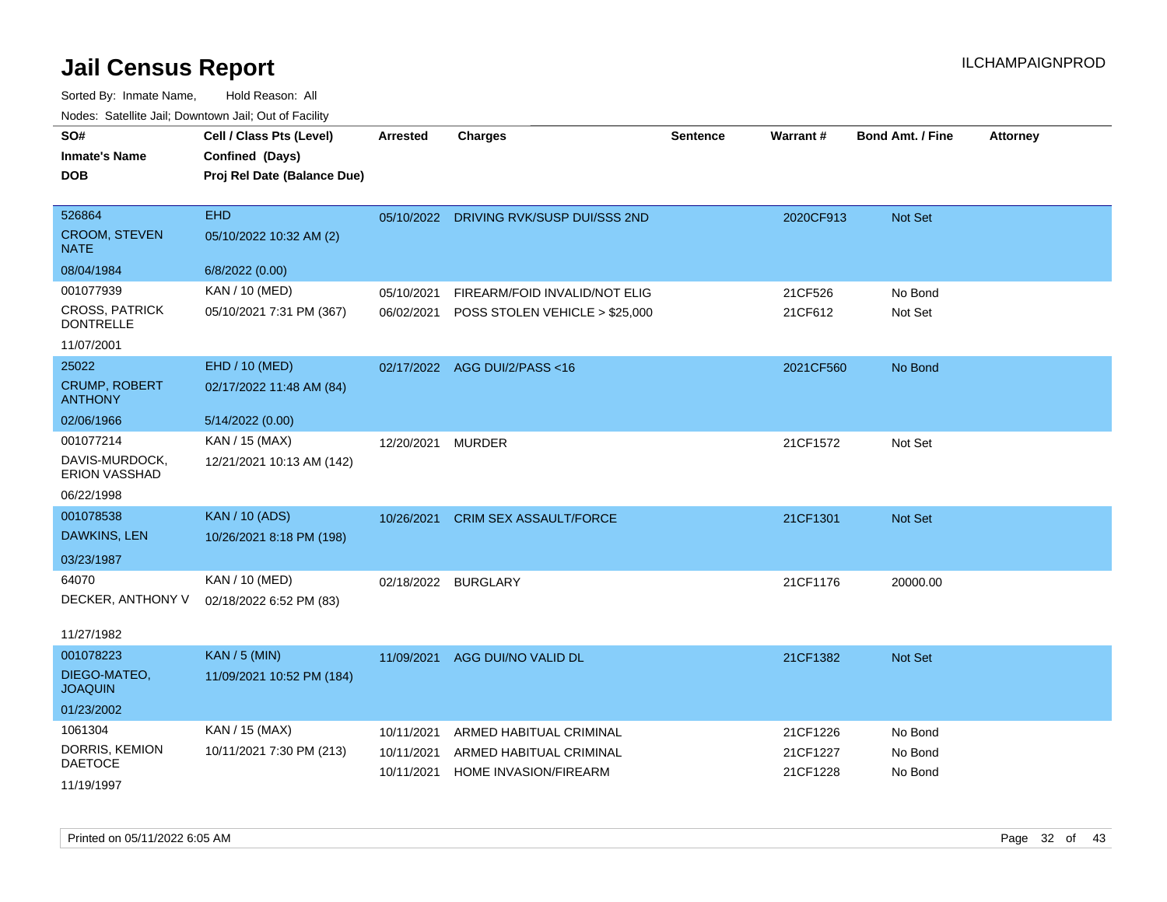| roaco. Odichile Jan, Downtown Jan, Out of Facility |                                                                            |                 |                                                  |                 |                      |                         |                 |
|----------------------------------------------------|----------------------------------------------------------------------------|-----------------|--------------------------------------------------|-----------------|----------------------|-------------------------|-----------------|
| SO#<br><b>Inmate's Name</b><br><b>DOB</b>          | Cell / Class Pts (Level)<br>Confined (Days)<br>Proj Rel Date (Balance Due) | <b>Arrested</b> | <b>Charges</b>                                   | <b>Sentence</b> | Warrant#             | <b>Bond Amt. / Fine</b> | <b>Attorney</b> |
|                                                    |                                                                            |                 |                                                  |                 |                      |                         |                 |
| 526864                                             | <b>EHD</b>                                                                 |                 | 05/10/2022 DRIVING RVK/SUSP DUI/SSS 2ND          |                 | 2020CF913            | <b>Not Set</b>          |                 |
| <b>CROOM, STEVEN</b><br><b>NATE</b>                | 05/10/2022 10:32 AM (2)                                                    |                 |                                                  |                 |                      |                         |                 |
| 08/04/1984                                         | 6/8/2022 (0.00)                                                            |                 |                                                  |                 |                      |                         |                 |
| 001077939                                          | KAN / 10 (MED)                                                             | 05/10/2021      | FIREARM/FOID INVALID/NOT ELIG                    |                 | 21CF526              | No Bond                 |                 |
| <b>CROSS, PATRICK</b><br><b>DONTRELLE</b>          | 05/10/2021 7:31 PM (367)                                                   | 06/02/2021      | POSS STOLEN VEHICLE > \$25,000                   |                 | 21CF612              | Not Set                 |                 |
| 11/07/2001                                         |                                                                            |                 |                                                  |                 |                      |                         |                 |
| 25022                                              | EHD / 10 (MED)                                                             |                 | 02/17/2022 AGG DUI/2/PASS<16                     |                 | 2021CF560            | No Bond                 |                 |
| <b>CRUMP, ROBERT</b><br><b>ANTHONY</b>             | 02/17/2022 11:48 AM (84)                                                   |                 |                                                  |                 |                      |                         |                 |
| 02/06/1966                                         | 5/14/2022 (0.00)                                                           |                 |                                                  |                 |                      |                         |                 |
| 001077214                                          | KAN / 15 (MAX)                                                             | 12/20/2021      | <b>MURDER</b>                                    |                 | 21CF1572             | Not Set                 |                 |
| DAVIS-MURDOCK,<br><b>ERION VASSHAD</b>             | 12/21/2021 10:13 AM (142)                                                  |                 |                                                  |                 |                      |                         |                 |
| 06/22/1998                                         |                                                                            |                 |                                                  |                 |                      |                         |                 |
| 001078538                                          | <b>KAN / 10 (ADS)</b>                                                      | 10/26/2021      | <b>CRIM SEX ASSAULT/FORCE</b>                    |                 | 21CF1301             | <b>Not Set</b>          |                 |
| DAWKINS, LEN                                       | 10/26/2021 8:18 PM (198)                                                   |                 |                                                  |                 |                      |                         |                 |
| 03/23/1987                                         |                                                                            |                 |                                                  |                 |                      |                         |                 |
| 64070                                              | KAN / 10 (MED)                                                             | 02/18/2022      | <b>BURGLARY</b>                                  |                 | 21CF1176             | 20000.00                |                 |
| DECKER, ANTHONY V                                  | 02/18/2022 6:52 PM (83)                                                    |                 |                                                  |                 |                      |                         |                 |
| 11/27/1982                                         |                                                                            |                 |                                                  |                 |                      |                         |                 |
| 001078223                                          | <b>KAN / 5 (MIN)</b>                                                       | 11/09/2021      | AGG DUI/NO VALID DL                              |                 | 21CF1382             | <b>Not Set</b>          |                 |
| DIEGO-MATEO,<br><b>JOAQUIN</b>                     | 11/09/2021 10:52 PM (184)                                                  |                 |                                                  |                 |                      |                         |                 |
| 01/23/2002                                         |                                                                            |                 |                                                  |                 |                      |                         |                 |
| 1061304                                            | KAN / 15 (MAX)                                                             | 10/11/2021      | ARMED HABITUAL CRIMINAL                          |                 | 21CF1226             | No Bond                 |                 |
| DORRIS, KEMION<br><b>DAETOCE</b>                   | 10/11/2021 7:30 PM (213)                                                   | 10/11/2021      | ARMED HABITUAL CRIMINAL<br>HOME INVASION/FIREARM |                 | 21CF1227<br>21CF1228 | No Bond                 |                 |
| 11/19/1997                                         |                                                                            | 10/11/2021      |                                                  |                 |                      | No Bond                 |                 |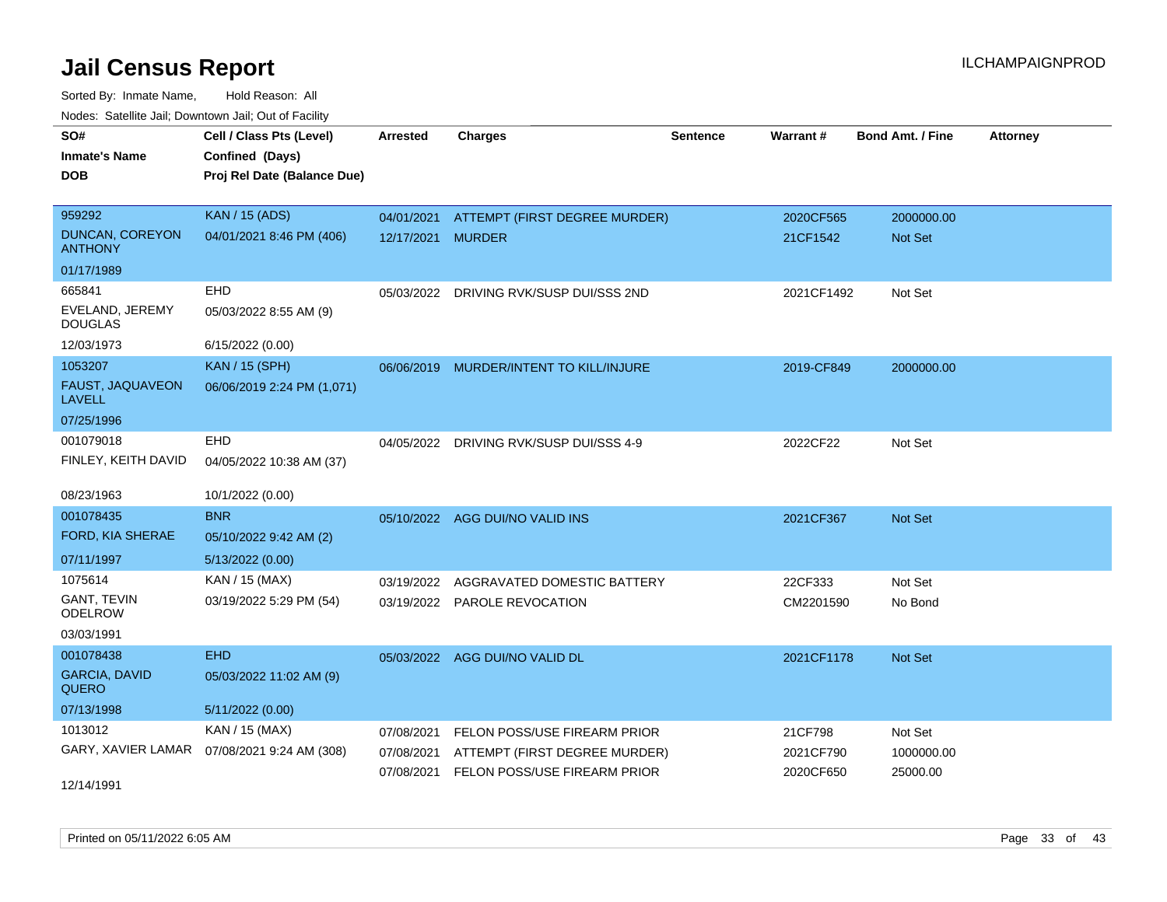| SO#                                      | Cell / Class Pts (Level)                     | <b>Arrested</b>   | <b>Charges</b>                          | Sentence | Warrant#   | <b>Bond Amt. / Fine</b> | <b>Attorney</b> |
|------------------------------------------|----------------------------------------------|-------------------|-----------------------------------------|----------|------------|-------------------------|-----------------|
| <b>Inmate's Name</b>                     | Confined (Days)                              |                   |                                         |          |            |                         |                 |
| <b>DOB</b>                               | Proj Rel Date (Balance Due)                  |                   |                                         |          |            |                         |                 |
|                                          |                                              |                   |                                         |          |            |                         |                 |
| 959292                                   | <b>KAN / 15 (ADS)</b>                        | 04/01/2021        | ATTEMPT (FIRST DEGREE MURDER)           |          | 2020CF565  | 2000000.00              |                 |
| <b>DUNCAN, COREYON</b><br><b>ANTHONY</b> | 04/01/2021 8:46 PM (406)                     | 12/17/2021 MURDER |                                         |          | 21CF1542   | Not Set                 |                 |
| 01/17/1989                               |                                              |                   |                                         |          |            |                         |                 |
| 665841                                   | EHD                                          |                   | 05/03/2022 DRIVING RVK/SUSP DUI/SSS 2ND |          | 2021CF1492 | Not Set                 |                 |
| EVELAND, JEREMY<br><b>DOUGLAS</b>        | 05/03/2022 8:55 AM (9)                       |                   |                                         |          |            |                         |                 |
| 12/03/1973                               | 6/15/2022 (0.00)                             |                   |                                         |          |            |                         |                 |
| 1053207                                  | <b>KAN / 15 (SPH)</b>                        | 06/06/2019        | MURDER/INTENT TO KILL/INJURE            |          | 2019-CF849 | 2000000.00              |                 |
| FAUST, JAQUAVEON<br>LAVELL               | 06/06/2019 2:24 PM (1,071)                   |                   |                                         |          |            |                         |                 |
| 07/25/1996                               |                                              |                   |                                         |          |            |                         |                 |
| 001079018                                | EHD                                          |                   | 04/05/2022 DRIVING RVK/SUSP DUI/SSS 4-9 |          | 2022CF22   | Not Set                 |                 |
| FINLEY, KEITH DAVID                      | 04/05/2022 10:38 AM (37)                     |                   |                                         |          |            |                         |                 |
|                                          |                                              |                   |                                         |          |            |                         |                 |
| 08/23/1963                               | 10/1/2022 (0.00)                             |                   |                                         |          |            |                         |                 |
| 001078435                                | <b>BNR</b>                                   | 05/10/2022        | AGG DUI/NO VALID INS                    |          | 2021CF367  | Not Set                 |                 |
| FORD, KIA SHERAE                         | 05/10/2022 9:42 AM (2)                       |                   |                                         |          |            |                         |                 |
| 07/11/1997                               | 5/13/2022 (0.00)                             |                   |                                         |          |            |                         |                 |
| 1075614                                  | KAN / 15 (MAX)                               | 03/19/2022        | AGGRAVATED DOMESTIC BATTERY             |          | 22CF333    | Not Set                 |                 |
| <b>GANT, TEVIN</b><br>ODELROW            | 03/19/2022 5:29 PM (54)                      |                   | 03/19/2022 PAROLE REVOCATION            |          | CM2201590  | No Bond                 |                 |
| 03/03/1991                               |                                              |                   |                                         |          |            |                         |                 |
| 001078438                                | <b>EHD</b>                                   |                   | 05/03/2022 AGG DUI/NO VALID DL          |          | 2021CF1178 | Not Set                 |                 |
| <b>GARCIA, DAVID</b><br><b>QUERO</b>     | 05/03/2022 11:02 AM (9)                      |                   |                                         |          |            |                         |                 |
| 07/13/1998                               | 5/11/2022 (0.00)                             |                   |                                         |          |            |                         |                 |
| 1013012                                  | KAN / 15 (MAX)                               | 07/08/2021        | FELON POSS/USE FIREARM PRIOR            |          | 21CF798    | Not Set                 |                 |
|                                          | GARY, XAVIER LAMAR  07/08/2021 9:24 AM (308) | 07/08/2021        | ATTEMPT (FIRST DEGREE MURDER)           |          | 2021CF790  | 1000000.00              |                 |
|                                          |                                              |                   | 07/08/2021 FELON POSS/USE FIREARM PRIOR |          | 2020CF650  | 25000.00                |                 |
| 12/14/1991                               |                                              |                   |                                         |          |            |                         |                 |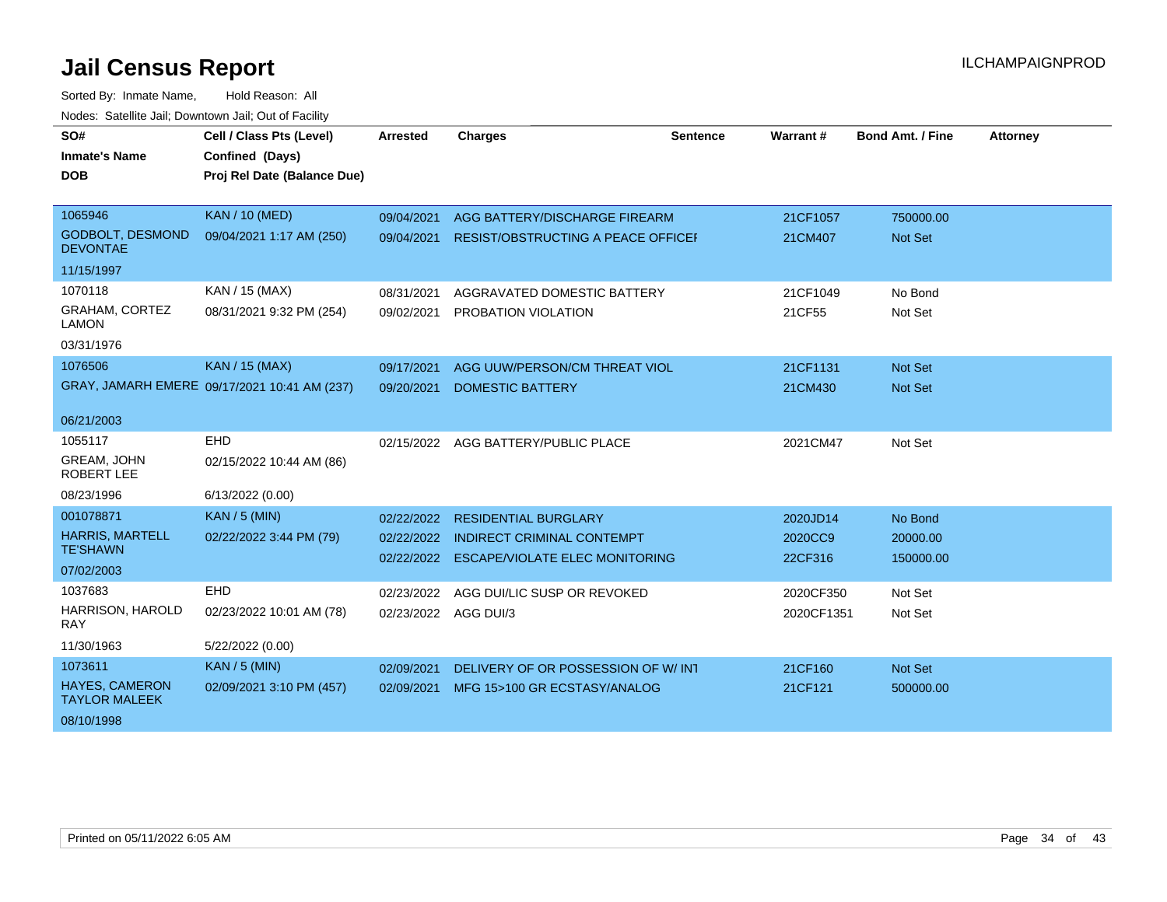| SO#<br><b>Inmate's Name</b><br><b>DOB</b>     | Cell / Class Pts (Level)<br>Confined (Days)<br>Proj Rel Date (Balance Due) | <b>Arrested</b>                    | <b>Charges</b>                            | Sentence | Warrant #               | <b>Bond Amt. / Fine</b> | <b>Attorney</b> |
|-----------------------------------------------|----------------------------------------------------------------------------|------------------------------------|-------------------------------------------|----------|-------------------------|-------------------------|-----------------|
|                                               |                                                                            |                                    |                                           |          |                         |                         |                 |
| 1065946                                       | <b>KAN / 10 (MED)</b>                                                      | 09/04/2021                         | AGG BATTERY/DISCHARGE FIREARM             |          | 21CF1057                | 750000.00               |                 |
| <b>GODBOLT, DESMOND</b><br><b>DEVONTAE</b>    | 09/04/2021 1:17 AM (250)                                                   | 09/04/2021                         | <b>RESIST/OBSTRUCTING A PEACE OFFICEF</b> |          | 21CM407                 | <b>Not Set</b>          |                 |
| 11/15/1997                                    |                                                                            |                                    |                                           |          |                         |                         |                 |
| 1070118                                       | KAN / 15 (MAX)                                                             | 08/31/2021                         | AGGRAVATED DOMESTIC BATTERY               |          | 21CF1049                | No Bond                 |                 |
| <b>GRAHAM, CORTEZ</b><br><b>LAMON</b>         | 08/31/2021 9:32 PM (254)                                                   | 09/02/2021                         | PROBATION VIOLATION                       |          | 21CF55                  | Not Set                 |                 |
| 03/31/1976                                    |                                                                            |                                    |                                           |          |                         |                         |                 |
| 1076506                                       | <b>KAN / 15 (MAX)</b>                                                      | 09/17/2021                         | AGG UUW/PERSON/CM THREAT VIOL             |          | 21CF1131                | Not Set                 |                 |
|                                               | GRAY, JAMARH EMERE 09/17/2021 10:41 AM (237)                               | 09/20/2021                         | <b>DOMESTIC BATTERY</b>                   |          | 21CM430                 | <b>Not Set</b>          |                 |
| 06/21/2003                                    |                                                                            |                                    |                                           |          |                         |                         |                 |
| 1055117                                       | <b>EHD</b>                                                                 | 02/15/2022                         | AGG BATTERY/PUBLIC PLACE                  |          | 2021CM47                | Not Set                 |                 |
| GREAM, JOHN<br><b>ROBERT LEE</b>              | 02/15/2022 10:44 AM (86)                                                   |                                    |                                           |          |                         |                         |                 |
| 08/23/1996                                    | 6/13/2022 (0.00)                                                           |                                    |                                           |          |                         |                         |                 |
| 001078871                                     | <b>KAN / 5 (MIN)</b>                                                       | 02/22/2022                         | <b>RESIDENTIAL BURGLARY</b>               |          | 2020JD14                | No Bond                 |                 |
| <b>HARRIS, MARTELL</b><br><b>TE'SHAWN</b>     | 02/22/2022 3:44 PM (79)                                                    | 02/22/2022                         | <b>INDIRECT CRIMINAL CONTEMPT</b>         |          | 2020CC9                 | 20000.00                |                 |
| 07/02/2003                                    |                                                                            |                                    | 02/22/2022 ESCAPE/VIOLATE ELEC MONITORING |          | 22CF316                 | 150000.00               |                 |
| 1037683                                       | <b>EHD</b>                                                                 |                                    |                                           |          |                         |                         |                 |
| HARRISON, HAROLD                              | 02/23/2022 10:01 AM (78)                                                   | 02/23/2022<br>02/23/2022 AGG DUI/3 | AGG DUI/LIC SUSP OR REVOKED               |          | 2020CF350<br>2020CF1351 | Not Set<br>Not Set      |                 |
| <b>RAY</b>                                    |                                                                            |                                    |                                           |          |                         |                         |                 |
| 11/30/1963                                    | 5/22/2022 (0.00)                                                           |                                    |                                           |          |                         |                         |                 |
| 1073611                                       | <b>KAN / 5 (MIN)</b>                                                       | 02/09/2021                         | DELIVERY OF OR POSSESSION OF W/INT        |          | 21CF160                 | Not Set                 |                 |
| <b>HAYES, CAMERON</b><br><b>TAYLOR MALEEK</b> | 02/09/2021 3:10 PM (457)                                                   | 02/09/2021                         | MFG 15>100 GR ECSTASY/ANALOG              |          | 21CF121                 | 500000.00               |                 |
| 08/10/1998                                    |                                                                            |                                    |                                           |          |                         |                         |                 |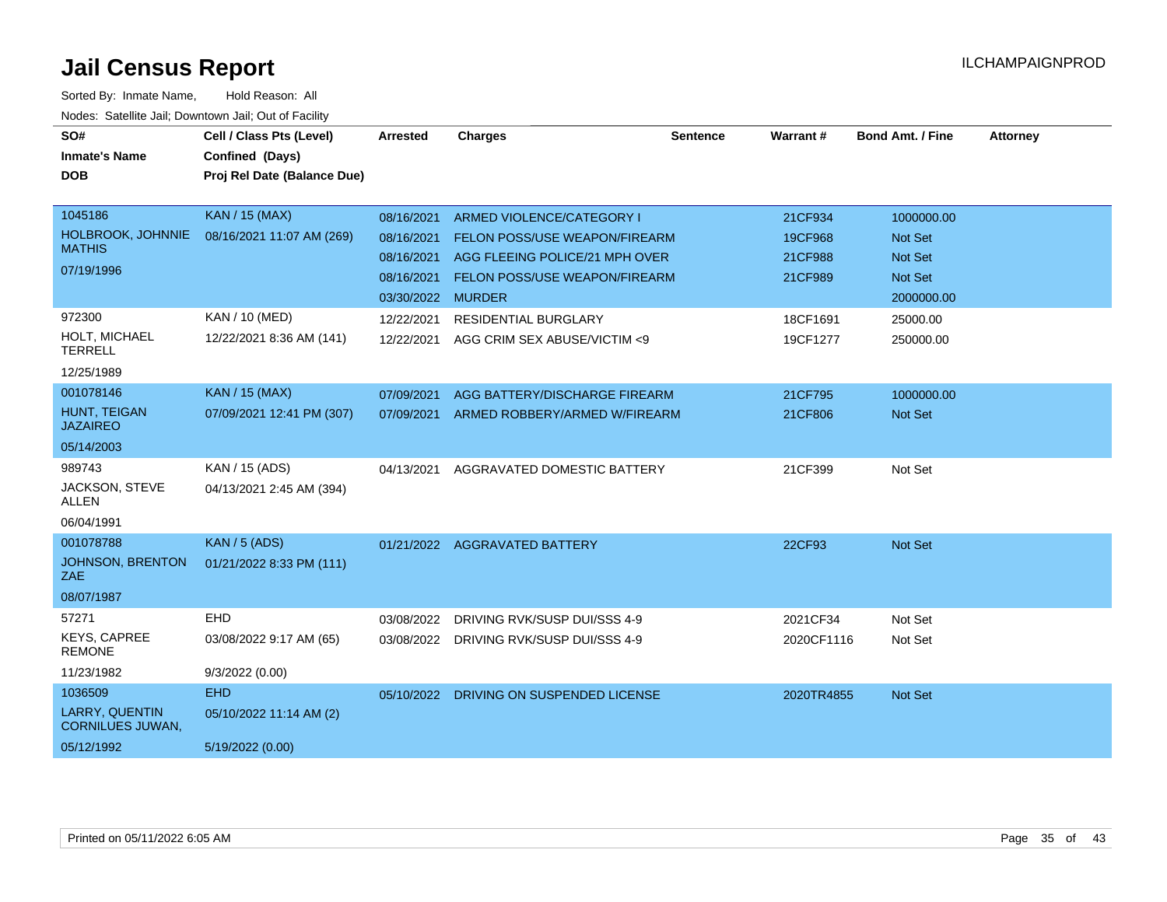| SO#<br><b>Inmate's Name</b><br><b>DOB</b>                          | Cell / Class Pts (Level)<br>Confined (Days)<br>Proj Rel Date (Balance Due) | <b>Arrested</b>                                                           | <b>Charges</b>                                                                                                                | <b>Sentence</b> | Warrant#                                 | <b>Bond Amt. / Fine</b>                                                 | <b>Attorney</b> |
|--------------------------------------------------------------------|----------------------------------------------------------------------------|---------------------------------------------------------------------------|-------------------------------------------------------------------------------------------------------------------------------|-----------------|------------------------------------------|-------------------------------------------------------------------------|-----------------|
| 1045186<br>HOLBROOK, JOHNNIE<br><b>MATHIS</b><br>07/19/1996        | <b>KAN / 15 (MAX)</b><br>08/16/2021 11:07 AM (269)                         | 08/16/2021<br>08/16/2021<br>08/16/2021<br>08/16/2021<br>03/30/2022 MURDER | ARMED VIOLENCE/CATEGORY I<br>FELON POSS/USE WEAPON/FIREARM<br>AGG FLEEING POLICE/21 MPH OVER<br>FELON POSS/USE WEAPON/FIREARM |                 | 21CF934<br>19CF968<br>21CF988<br>21CF989 | 1000000.00<br><b>Not Set</b><br><b>Not Set</b><br>Not Set<br>2000000.00 |                 |
| 972300<br>HOLT, MICHAEL<br><b>TERRELL</b><br>12/25/1989            | KAN / 10 (MED)<br>12/22/2021 8:36 AM (141)                                 | 12/22/2021<br>12/22/2021                                                  | <b>RESIDENTIAL BURGLARY</b><br>AGG CRIM SEX ABUSE/VICTIM <9                                                                   |                 | 18CF1691<br>19CF1277                     | 25000.00<br>250000.00                                                   |                 |
| 001078146<br><b>HUNT, TEIGAN</b><br><b>JAZAIREO</b><br>05/14/2003  | <b>KAN / 15 (MAX)</b><br>07/09/2021 12:41 PM (307)                         | 07/09/2021<br>07/09/2021                                                  | AGG BATTERY/DISCHARGE FIREARM<br>ARMED ROBBERY/ARMED W/FIREARM                                                                |                 | 21CF795<br>21CF806                       | 1000000.00<br><b>Not Set</b>                                            |                 |
| 989743<br>JACKSON, STEVE<br>ALLEN<br>06/04/1991                    | KAN / 15 (ADS)<br>04/13/2021 2:45 AM (394)                                 | 04/13/2021                                                                | AGGRAVATED DOMESTIC BATTERY                                                                                                   |                 | 21CF399                                  | Not Set                                                                 |                 |
| 001078788<br>JOHNSON, BRENTON<br>ZAE<br>08/07/1987                 | <b>KAN / 5 (ADS)</b><br>01/21/2022 8:33 PM (111)                           |                                                                           | 01/21/2022 AGGRAVATED BATTERY                                                                                                 |                 | 22CF93                                   | Not Set                                                                 |                 |
| 57271<br>KEYS, CAPREE<br><b>REMONE</b><br>11/23/1982               | EHD<br>03/08/2022 9:17 AM (65)<br>9/3/2022(0.00)                           | 03/08/2022<br>03/08/2022                                                  | DRIVING RVK/SUSP DUI/SSS 4-9<br><b>DRIVING RVK/SUSP DUI/SSS 4-9</b>                                                           |                 | 2021CF34<br>2020CF1116                   | Not Set<br>Not Set                                                      |                 |
| 1036509<br>LARRY, QUENTIN<br><b>CORNILUES JUWAN,</b><br>05/12/1992 | <b>EHD</b><br>05/10/2022 11:14 AM (2)<br>5/19/2022 (0.00)                  | 05/10/2022                                                                | DRIVING ON SUSPENDED LICENSE                                                                                                  |                 | 2020TR4855                               | Not Set                                                                 |                 |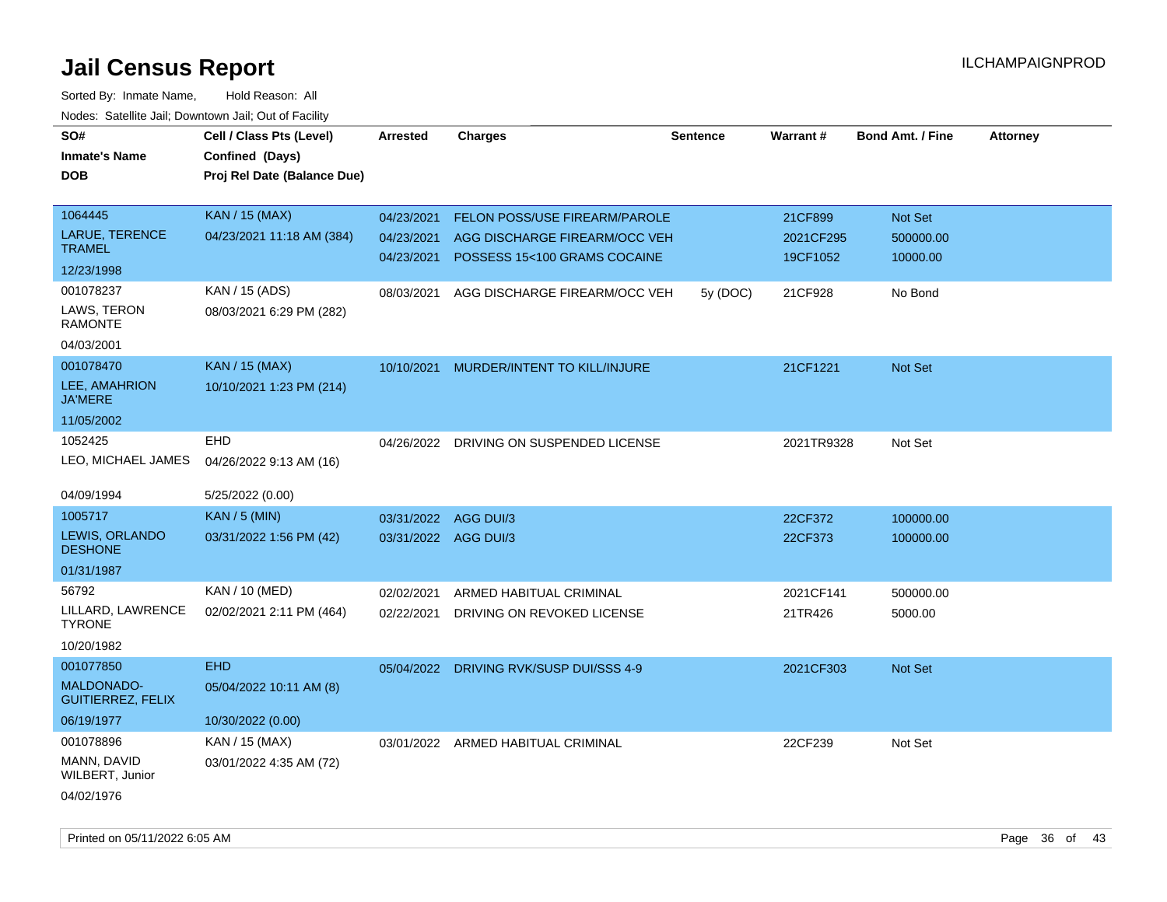| SO#                                           | Cell / Class Pts (Level)    | <b>Arrested</b>      | <b>Charges</b>                          | <b>Sentence</b> | Warrant#   | <b>Bond Amt. / Fine</b> | <b>Attorney</b> |
|-----------------------------------------------|-----------------------------|----------------------|-----------------------------------------|-----------------|------------|-------------------------|-----------------|
| <b>Inmate's Name</b>                          | Confined (Days)             |                      |                                         |                 |            |                         |                 |
| <b>DOB</b>                                    | Proj Rel Date (Balance Due) |                      |                                         |                 |            |                         |                 |
|                                               |                             |                      |                                         |                 |            |                         |                 |
| 1064445                                       | <b>KAN / 15 (MAX)</b>       | 04/23/2021           | FELON POSS/USE FIREARM/PAROLE           |                 | 21CF899    | Not Set                 |                 |
| LARUE, TERENCE<br><b>TRAMEL</b>               | 04/23/2021 11:18 AM (384)   | 04/23/2021           | AGG DISCHARGE FIREARM/OCC VEH           |                 | 2021CF295  | 500000.00               |                 |
| 12/23/1998                                    |                             | 04/23/2021           | POSSESS 15<100 GRAMS COCAINE            |                 | 19CF1052   | 10000.00                |                 |
| 001078237                                     | KAN / 15 (ADS)              | 08/03/2021           | AGG DISCHARGE FIREARM/OCC VEH           | 5y (DOC)        | 21CF928    | No Bond                 |                 |
| LAWS, TERON<br><b>RAMONTE</b>                 | 08/03/2021 6:29 PM (282)    |                      |                                         |                 |            |                         |                 |
| 04/03/2001                                    |                             |                      |                                         |                 |            |                         |                 |
| 001078470                                     | <b>KAN / 15 (MAX)</b>       | 10/10/2021           | MURDER/INTENT TO KILL/INJURE            |                 | 21CF1221   | Not Set                 |                 |
| LEE, AMAHRION<br><b>JA'MERE</b>               | 10/10/2021 1:23 PM (214)    |                      |                                         |                 |            |                         |                 |
| 11/05/2002                                    |                             |                      |                                         |                 |            |                         |                 |
| 1052425                                       | <b>EHD</b>                  |                      | 04/26/2022 DRIVING ON SUSPENDED LICENSE |                 | 2021TR9328 | Not Set                 |                 |
| LEO, MICHAEL JAMES                            | 04/26/2022 9:13 AM (16)     |                      |                                         |                 |            |                         |                 |
| 04/09/1994                                    | 5/25/2022 (0.00)            |                      |                                         |                 |            |                         |                 |
| 1005717                                       | <b>KAN / 5 (MIN)</b>        | 03/31/2022           | AGG DUI/3                               |                 | 22CF372    | 100000.00               |                 |
| LEWIS, ORLANDO<br><b>DESHONE</b>              | 03/31/2022 1:56 PM (42)     | 03/31/2022 AGG DUI/3 |                                         |                 | 22CF373    | 100000.00               |                 |
| 01/31/1987                                    |                             |                      |                                         |                 |            |                         |                 |
| 56792                                         | KAN / 10 (MED)              | 02/02/2021           | ARMED HABITUAL CRIMINAL                 |                 | 2021CF141  | 500000.00               |                 |
| LILLARD, LAWRENCE<br><b>TYRONE</b>            | 02/02/2021 2:11 PM (464)    | 02/22/2021           | DRIVING ON REVOKED LICENSE              |                 | 21TR426    | 5000.00                 |                 |
| 10/20/1982                                    |                             |                      |                                         |                 |            |                         |                 |
| 001077850                                     | <b>EHD</b>                  |                      | 05/04/2022 DRIVING RVK/SUSP DUI/SSS 4-9 |                 | 2021CF303  | Not Set                 |                 |
| <b>MALDONADO-</b><br><b>GUITIERREZ, FELIX</b> | 05/04/2022 10:11 AM (8)     |                      |                                         |                 |            |                         |                 |
| 06/19/1977                                    | 10/30/2022 (0.00)           |                      |                                         |                 |            |                         |                 |
| 001078896                                     | KAN / 15 (MAX)              |                      | 03/01/2022 ARMED HABITUAL CRIMINAL      |                 | 22CF239    | Not Set                 |                 |
| MANN, DAVID<br>WILBERT, Junior                | 03/01/2022 4:35 AM (72)     |                      |                                         |                 |            |                         |                 |
| 04/02/1976                                    |                             |                      |                                         |                 |            |                         |                 |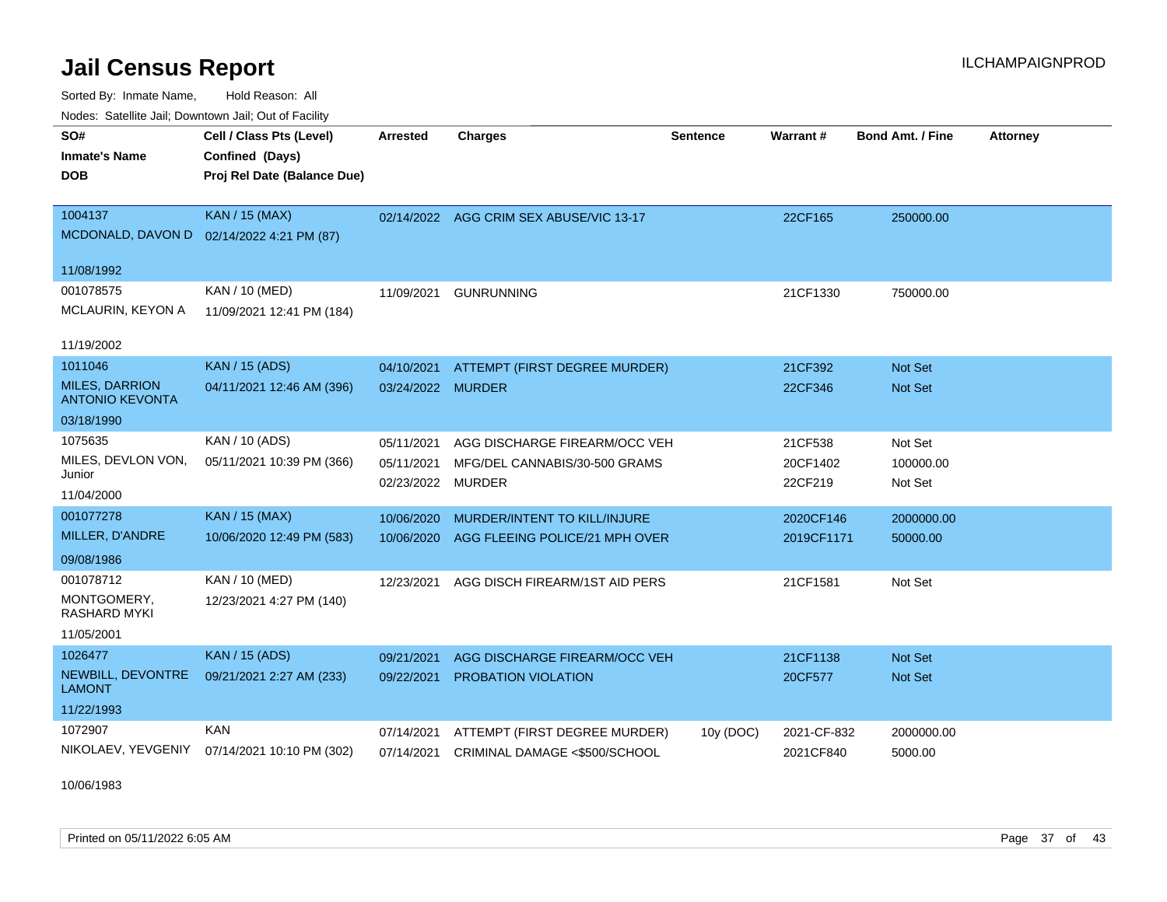Sorted By: Inmate Name, Hold Reason: All Nodes: Satellite Jail; Downtown Jail; Out of Facility

| Nuuts. Saltiille Jali, Duwilluwii Jali, Oul of Facility |                                              |                   |                                         |                 |             |                         |                 |
|---------------------------------------------------------|----------------------------------------------|-------------------|-----------------------------------------|-----------------|-------------|-------------------------|-----------------|
| SO#                                                     | Cell / Class Pts (Level)                     | <b>Arrested</b>   | <b>Charges</b>                          | <b>Sentence</b> | Warrant#    | <b>Bond Amt. / Fine</b> | <b>Attorney</b> |
| <b>Inmate's Name</b>                                    | Confined (Days)                              |                   |                                         |                 |             |                         |                 |
| <b>DOB</b>                                              | Proj Rel Date (Balance Due)                  |                   |                                         |                 |             |                         |                 |
|                                                         |                                              |                   |                                         |                 |             |                         |                 |
| 1004137                                                 | <b>KAN / 15 (MAX)</b>                        |                   | 02/14/2022 AGG CRIM SEX ABUSE/VIC 13-17 |                 | 22CF165     | 250000.00               |                 |
|                                                         | MCDONALD, DAVON D 02/14/2022 4:21 PM (87)    |                   |                                         |                 |             |                         |                 |
| 11/08/1992                                              |                                              |                   |                                         |                 |             |                         |                 |
| 001078575                                               | KAN / 10 (MED)                               | 11/09/2021        | <b>GUNRUNNING</b>                       |                 | 21CF1330    | 750000.00               |                 |
| MCLAURIN, KEYON A                                       | 11/09/2021 12:41 PM (184)                    |                   |                                         |                 |             |                         |                 |
|                                                         |                                              |                   |                                         |                 |             |                         |                 |
| 11/19/2002                                              |                                              |                   |                                         |                 |             |                         |                 |
| 1011046                                                 | <b>KAN / 15 (ADS)</b>                        | 04/10/2021        | ATTEMPT (FIRST DEGREE MURDER)           |                 | 21CF392     | <b>Not Set</b>          |                 |
| <b>MILES, DARRION</b><br><b>ANTONIO KEVONTA</b>         | 04/11/2021 12:46 AM (396)                    | 03/24/2022 MURDER |                                         |                 | 22CF346     | <b>Not Set</b>          |                 |
| 03/18/1990                                              |                                              |                   |                                         |                 |             |                         |                 |
| 1075635                                                 | KAN / 10 (ADS)                               | 05/11/2021        | AGG DISCHARGE FIREARM/OCC VEH           |                 | 21CF538     | Not Set                 |                 |
| MILES, DEVLON VON,                                      | 05/11/2021 10:39 PM (366)                    | 05/11/2021        | MFG/DEL CANNABIS/30-500 GRAMS           |                 | 20CF1402    | 100000.00               |                 |
| Junior                                                  |                                              | 02/23/2022        | MURDER                                  |                 | 22CF219     | Not Set                 |                 |
| 11/04/2000                                              |                                              |                   |                                         |                 |             |                         |                 |
| 001077278                                               | <b>KAN / 15 (MAX)</b>                        | 10/06/2020        | MURDER/INTENT TO KILL/INJURE            |                 | 2020CF146   | 2000000.00              |                 |
| MILLER, D'ANDRE                                         | 10/06/2020 12:49 PM (583)                    | 10/06/2020        | AGG FLEEING POLICE/21 MPH OVER          |                 | 2019CF1171  | 50000.00                |                 |
| 09/08/1986                                              |                                              |                   |                                         |                 |             |                         |                 |
| 001078712                                               | <b>KAN / 10 (MED)</b>                        | 12/23/2021        | AGG DISCH FIREARM/1ST AID PERS          |                 | 21CF1581    | Not Set                 |                 |
| MONTGOMERY,<br>RASHARD MYKI                             | 12/23/2021 4:27 PM (140)                     |                   |                                         |                 |             |                         |                 |
| 11/05/2001                                              |                                              |                   |                                         |                 |             |                         |                 |
| 1026477                                                 | <b>KAN / 15 (ADS)</b>                        | 09/21/2021        | AGG DISCHARGE FIREARM/OCC VEH           |                 | 21CF1138    | <b>Not Set</b>          |                 |
| NEWBILL, DEVONTRE<br><b>LAMONT</b>                      | 09/21/2021 2:27 AM (233)                     | 09/22/2021        | <b>PROBATION VIOLATION</b>              |                 | 20CF577     | <b>Not Set</b>          |                 |
| 11/22/1993                                              |                                              |                   |                                         |                 |             |                         |                 |
| 1072907                                                 | <b>KAN</b>                                   | 07/14/2021        | ATTEMPT (FIRST DEGREE MURDER)           | 10y (DOC)       | 2021-CF-832 | 2000000.00              |                 |
|                                                         | NIKOLAEV, YEVGENIY 07/14/2021 10:10 PM (302) | 07/14/2021        | CRIMINAL DAMAGE <\$500/SCHOOL           |                 | 2021CF840   | 5000.00                 |                 |
|                                                         |                                              |                   |                                         |                 |             |                         |                 |

10/06/1983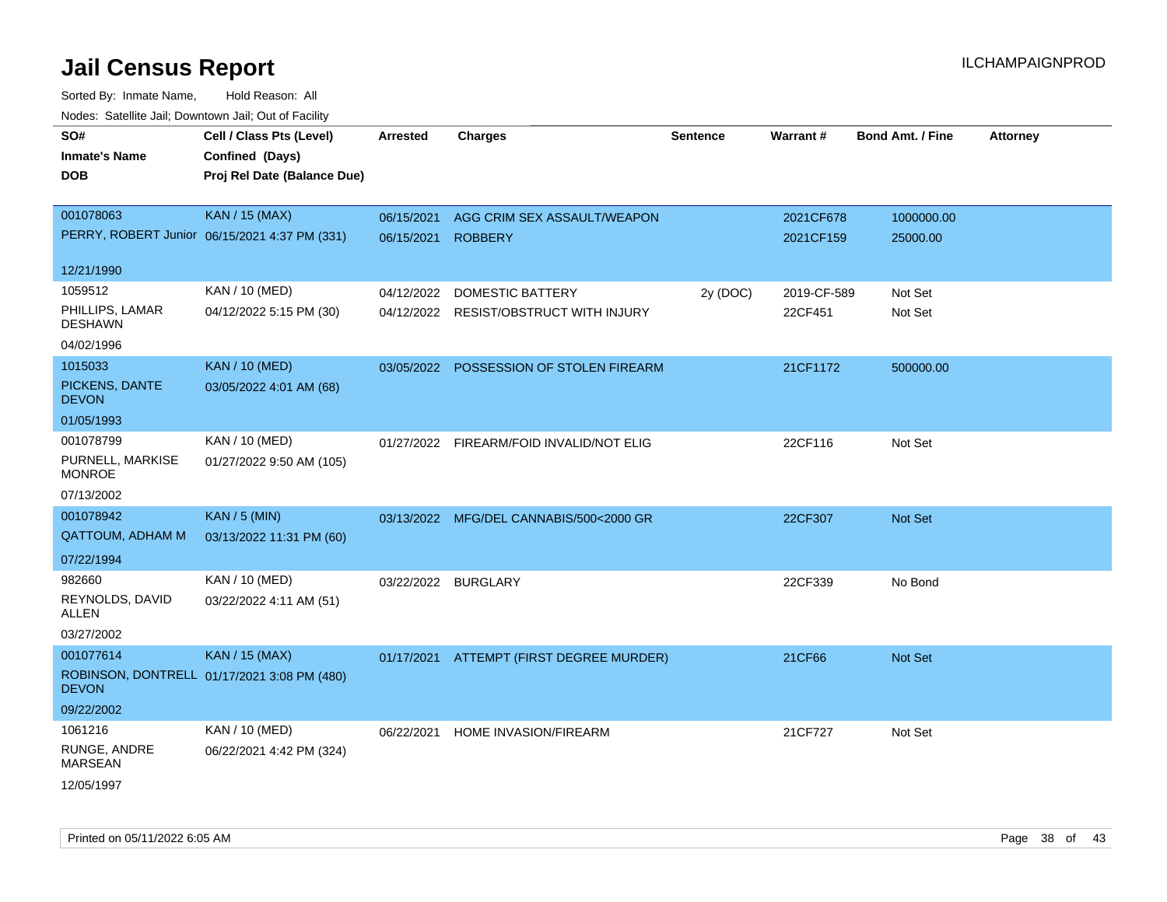| SO#<br><b>Inmate's Name</b><br><b>DOB</b> | Cell / Class Pts (Level)<br>Confined (Days)<br>Proj Rel Date (Balance Due) | <b>Arrested</b>     | <b>Charges</b>                           | <b>Sentence</b> | Warrant#    | <b>Bond Amt. / Fine</b> | <b>Attorney</b> |
|-------------------------------------------|----------------------------------------------------------------------------|---------------------|------------------------------------------|-----------------|-------------|-------------------------|-----------------|
| 001078063                                 | <b>KAN / 15 (MAX)</b>                                                      | 06/15/2021          | AGG CRIM SEX ASSAULT/WEAPON              |                 | 2021CF678   | 1000000.00              |                 |
|                                           | PERRY, ROBERT Junior 06/15/2021 4:37 PM (331)                              | 06/15/2021          | <b>ROBBERY</b>                           |                 | 2021CF159   | 25000.00                |                 |
| 12/21/1990                                |                                                                            |                     |                                          |                 |             |                         |                 |
| 1059512                                   | KAN / 10 (MED)                                                             | 04/12/2022          | DOMESTIC BATTERY                         | 2y (DOC)        | 2019-CF-589 | Not Set                 |                 |
| PHILLIPS, LAMAR<br><b>DESHAWN</b>         | 04/12/2022 5:15 PM (30)                                                    |                     | 04/12/2022 RESIST/OBSTRUCT WITH INJURY   |                 | 22CF451     | Not Set                 |                 |
| 04/02/1996                                |                                                                            |                     |                                          |                 |             |                         |                 |
| 1015033                                   | <b>KAN / 10 (MED)</b>                                                      |                     | 03/05/2022 POSSESSION OF STOLEN FIREARM  |                 | 21CF1172    | 500000.00               |                 |
| PICKENS, DANTE<br><b>DEVON</b>            | 03/05/2022 4:01 AM (68)                                                    |                     |                                          |                 |             |                         |                 |
| 01/05/1993                                |                                                                            |                     |                                          |                 |             |                         |                 |
| 001078799                                 | KAN / 10 (MED)                                                             |                     | 01/27/2022 FIREARM/FOID INVALID/NOT ELIG |                 | 22CF116     | Not Set                 |                 |
| PURNELL, MARKISE<br><b>MONROE</b>         | 01/27/2022 9:50 AM (105)                                                   |                     |                                          |                 |             |                         |                 |
| 07/13/2002                                |                                                                            |                     |                                          |                 |             |                         |                 |
| 001078942                                 | <b>KAN / 5 (MIN)</b>                                                       |                     | 03/13/2022 MFG/DEL CANNABIS/500<2000 GR  |                 | 22CF307     | Not Set                 |                 |
| QATTOUM, ADHAM M                          | 03/13/2022 11:31 PM (60)                                                   |                     |                                          |                 |             |                         |                 |
| 07/22/1994                                |                                                                            |                     |                                          |                 |             |                         |                 |
| 982660                                    | KAN / 10 (MED)                                                             | 03/22/2022 BURGLARY |                                          |                 | 22CF339     | No Bond                 |                 |
| REYNOLDS, DAVID<br>ALLEN                  | 03/22/2022 4:11 AM (51)                                                    |                     |                                          |                 |             |                         |                 |
| 03/27/2002                                |                                                                            |                     |                                          |                 |             |                         |                 |
| 001077614                                 | <b>KAN / 15 (MAX)</b>                                                      |                     | 01/17/2021 ATTEMPT (FIRST DEGREE MURDER) |                 | 21CF66      | <b>Not Set</b>          |                 |
| <b>DEVON</b>                              | ROBINSON, DONTRELL 01/17/2021 3:08 PM (480)                                |                     |                                          |                 |             |                         |                 |
| 09/22/2002                                |                                                                            |                     |                                          |                 |             |                         |                 |
| 1061216                                   | KAN / 10 (MED)                                                             | 06/22/2021          | HOME INVASION/FIREARM                    |                 | 21CF727     | Not Set                 |                 |
| RUNGE, ANDRE<br>MARSEAN                   | 06/22/2021 4:42 PM (324)                                                   |                     |                                          |                 |             |                         |                 |
| 12/05/1997                                |                                                                            |                     |                                          |                 |             |                         |                 |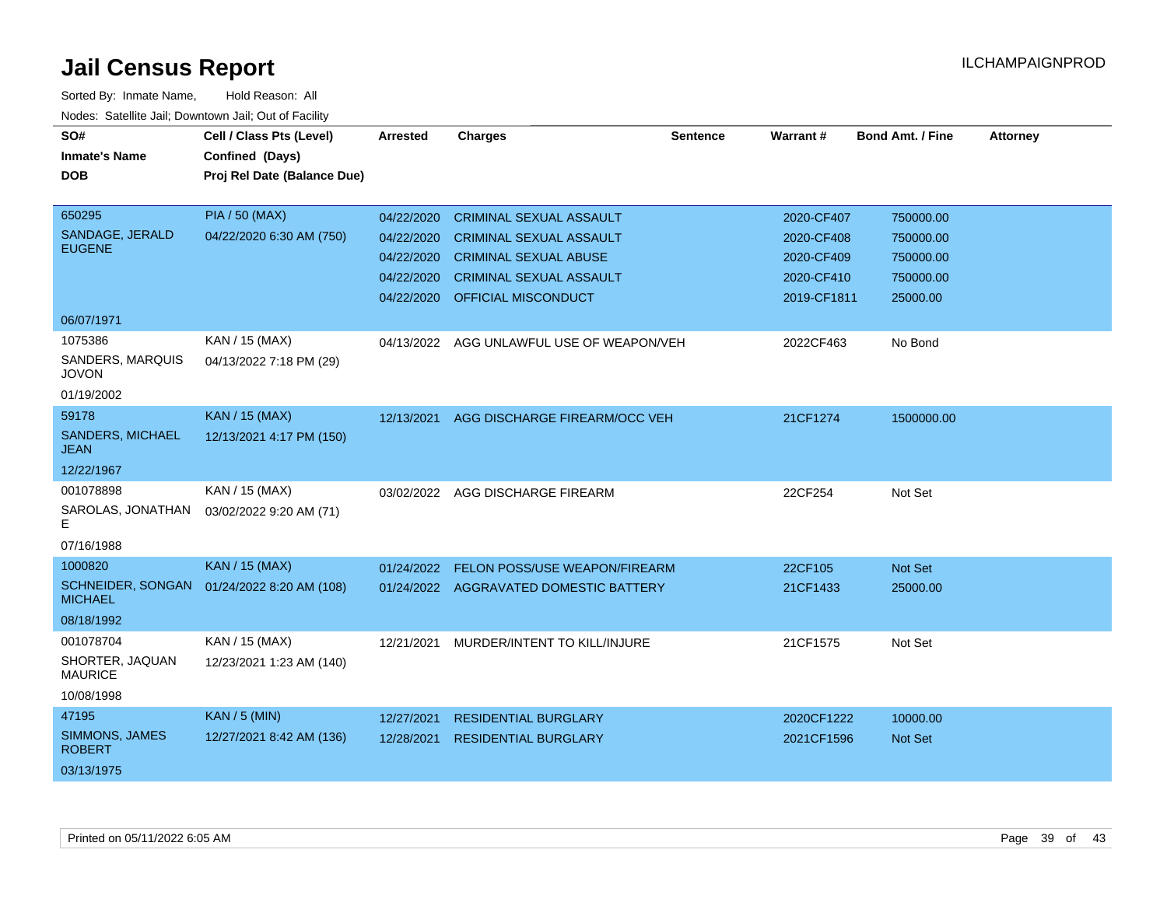| SO#<br><b>Inmate's Name</b><br><b>DOB</b> | Cell / Class Pts (Level)<br>Confined (Days)<br>Proj Rel Date (Balance Due) | <b>Arrested</b> | <b>Charges</b>                         | <b>Sentence</b> | <b>Warrant#</b> | <b>Bond Amt. / Fine</b> | <b>Attorney</b> |
|-------------------------------------------|----------------------------------------------------------------------------|-----------------|----------------------------------------|-----------------|-----------------|-------------------------|-----------------|
| 650295                                    | <b>PIA / 50 (MAX)</b>                                                      | 04/22/2020      | <b>CRIMINAL SEXUAL ASSAULT</b>         |                 | 2020-CF407      | 750000.00               |                 |
| SANDAGE, JERALD<br><b>EUGENE</b>          | 04/22/2020 6:30 AM (750)                                                   | 04/22/2020      | <b>CRIMINAL SEXUAL ASSAULT</b>         |                 | 2020-CF408      | 750000.00               |                 |
|                                           |                                                                            | 04/22/2020      | <b>CRIMINAL SEXUAL ABUSE</b>           |                 | 2020-CF409      | 750000.00               |                 |
|                                           |                                                                            | 04/22/2020      | <b>CRIMINAL SEXUAL ASSAULT</b>         |                 | 2020-CF410      | 750000.00               |                 |
|                                           |                                                                            | 04/22/2020      | OFFICIAL MISCONDUCT                    |                 | 2019-CF1811     | 25000.00                |                 |
| 06/07/1971                                |                                                                            |                 |                                        |                 |                 |                         |                 |
| 1075386                                   | KAN / 15 (MAX)                                                             | 04/13/2022      | AGG UNLAWFUL USE OF WEAPON/VEH         |                 | 2022CF463       | No Bond                 |                 |
| SANDERS, MARQUIS<br><b>JOVON</b>          | 04/13/2022 7:18 PM (29)                                                    |                 |                                        |                 |                 |                         |                 |
| 01/19/2002                                |                                                                            |                 |                                        |                 |                 |                         |                 |
| 59178                                     | <b>KAN / 15 (MAX)</b>                                                      | 12/13/2021      | AGG DISCHARGE FIREARM/OCC VEH          |                 | 21CF1274        | 1500000.00              |                 |
| <b>SANDERS, MICHAEL</b><br><b>JEAN</b>    | 12/13/2021 4:17 PM (150)                                                   |                 |                                        |                 |                 |                         |                 |
| 12/22/1967                                |                                                                            |                 |                                        |                 |                 |                         |                 |
| 001078898                                 | KAN / 15 (MAX)                                                             | 03/02/2022      | AGG DISCHARGE FIREARM                  |                 | 22CF254         | Not Set                 |                 |
| SAROLAS, JONATHAN<br>E.                   | 03/02/2022 9:20 AM (71)                                                    |                 |                                        |                 |                 |                         |                 |
| 07/16/1988                                |                                                                            |                 |                                        |                 |                 |                         |                 |
| 1000820                                   | <b>KAN / 15 (MAX)</b>                                                      | 01/24/2022      | FELON POSS/USE WEAPON/FIREARM          |                 | 22CF105         | Not Set                 |                 |
| SCHNEIDER, SONGAN<br><b>MICHAEL</b>       | 01/24/2022 8:20 AM (108)                                                   |                 | 01/24/2022 AGGRAVATED DOMESTIC BATTERY |                 | 21CF1433        | 25000.00                |                 |
| 08/18/1992                                |                                                                            |                 |                                        |                 |                 |                         |                 |
| 001078704                                 | KAN / 15 (MAX)                                                             | 12/21/2021      | MURDER/INTENT TO KILL/INJURE           |                 | 21CF1575        | Not Set                 |                 |
| SHORTER, JAQUAN<br><b>MAURICE</b>         | 12/23/2021 1:23 AM (140)                                                   |                 |                                        |                 |                 |                         |                 |
| 10/08/1998                                |                                                                            |                 |                                        |                 |                 |                         |                 |
| 47195                                     | <b>KAN / 5 (MIN)</b>                                                       | 12/27/2021      | <b>RESIDENTIAL BURGLARY</b>            |                 | 2020CF1222      | 10000.00                |                 |
| <b>SIMMONS, JAMES</b><br><b>ROBERT</b>    | 12/27/2021 8:42 AM (136)                                                   | 12/28/2021      | <b>RESIDENTIAL BURGLARY</b>            |                 | 2021CF1596      | Not Set                 |                 |
| 03/13/1975                                |                                                                            |                 |                                        |                 |                 |                         |                 |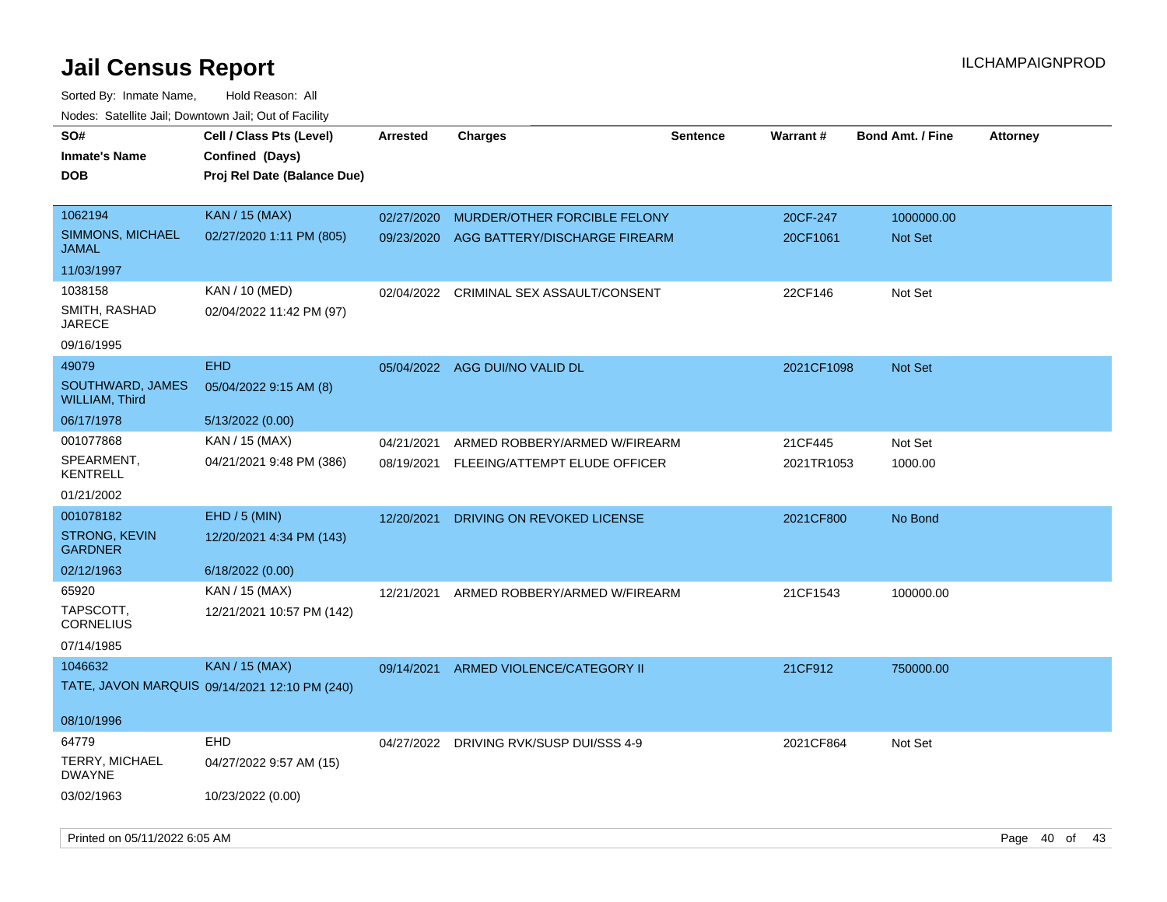| soupois catomic can, Dominomii can, Cat or Faomi<br>SO# | Cell / Class Pts (Level)                      | <b>Arrested</b> | <b>Charges</b>                           | <b>Sentence</b> | Warrant#   | <b>Bond Amt. / Fine</b> | <b>Attorney</b> |
|---------------------------------------------------------|-----------------------------------------------|-----------------|------------------------------------------|-----------------|------------|-------------------------|-----------------|
| <b>Inmate's Name</b><br><b>DOB</b>                      | Confined (Days)                               |                 |                                          |                 |            |                         |                 |
|                                                         | Proj Rel Date (Balance Due)                   |                 |                                          |                 |            |                         |                 |
| 1062194                                                 | KAN / 15 (MAX)                                | 02/27/2020      | MURDER/OTHER FORCIBLE FELONY             |                 | 20CF-247   | 1000000.00              |                 |
| SIMMONS, MICHAEL<br><b>JAMAL</b>                        | 02/27/2020 1:11 PM (805)                      |                 | 09/23/2020 AGG BATTERY/DISCHARGE FIREARM |                 | 20CF1061   | <b>Not Set</b>          |                 |
| 11/03/1997                                              |                                               |                 |                                          |                 |            |                         |                 |
| 1038158                                                 | KAN / 10 (MED)                                | 02/04/2022      | CRIMINAL SEX ASSAULT/CONSENT             |                 | 22CF146    | Not Set                 |                 |
| SMITH, RASHAD<br><b>JARECE</b>                          | 02/04/2022 11:42 PM (97)                      |                 |                                          |                 |            |                         |                 |
| 09/16/1995                                              |                                               |                 |                                          |                 |            |                         |                 |
| 49079                                                   | <b>EHD</b>                                    |                 | 05/04/2022 AGG DUI/NO VALID DL           |                 | 2021CF1098 | Not Set                 |                 |
| SOUTHWARD, JAMES<br><b>WILLIAM, Third</b>               | 05/04/2022 9:15 AM (8)                        |                 |                                          |                 |            |                         |                 |
| 06/17/1978                                              | 5/13/2022 (0.00)                              |                 |                                          |                 |            |                         |                 |
| 001077868                                               | KAN / 15 (MAX)                                | 04/21/2021      | ARMED ROBBERY/ARMED W/FIREARM            |                 | 21CF445    | Not Set                 |                 |
| SPEARMENT,<br><b>KENTRELL</b>                           | 04/21/2021 9:48 PM (386)                      |                 | 08/19/2021 FLEEING/ATTEMPT ELUDE OFFICER |                 | 2021TR1053 | 1000.00                 |                 |
| 01/21/2002                                              |                                               |                 |                                          |                 |            |                         |                 |
| 001078182                                               | EHD / 5 (MIN)                                 | 12/20/2021      | DRIVING ON REVOKED LICENSE               |                 | 2021CF800  | No Bond                 |                 |
| <b>STRONG, KEVIN</b><br><b>GARDNER</b>                  | 12/20/2021 4:34 PM (143)                      |                 |                                          |                 |            |                         |                 |
| 02/12/1963                                              | 6/18/2022 (0.00)                              |                 |                                          |                 |            |                         |                 |
| 65920                                                   | KAN / 15 (MAX)                                | 12/21/2021      | ARMED ROBBERY/ARMED W/FIREARM            |                 | 21CF1543   | 100000.00               |                 |
| TAPSCOTT,<br><b>CORNELIUS</b>                           | 12/21/2021 10:57 PM (142)                     |                 |                                          |                 |            |                         |                 |
| 07/14/1985                                              |                                               |                 |                                          |                 |            |                         |                 |
| 1046632                                                 | KAN / 15 (MAX)                                | 09/14/2021      | ARMED VIOLENCE/CATEGORY II               |                 | 21CF912    | 750000.00               |                 |
|                                                         | TATE, JAVON MARQUIS 09/14/2021 12:10 PM (240) |                 |                                          |                 |            |                         |                 |
| 08/10/1996                                              |                                               |                 |                                          |                 |            |                         |                 |
| 64779                                                   | EHD                                           |                 | 04/27/2022 DRIVING RVK/SUSP DUI/SSS 4-9  |                 | 2021CF864  | Not Set                 |                 |
| <b>TERRY, MICHAEL</b><br><b>DWAYNE</b>                  | 04/27/2022 9:57 AM (15)                       |                 |                                          |                 |            |                         |                 |
| 03/02/1963                                              | 10/23/2022 (0.00)                             |                 |                                          |                 |            |                         |                 |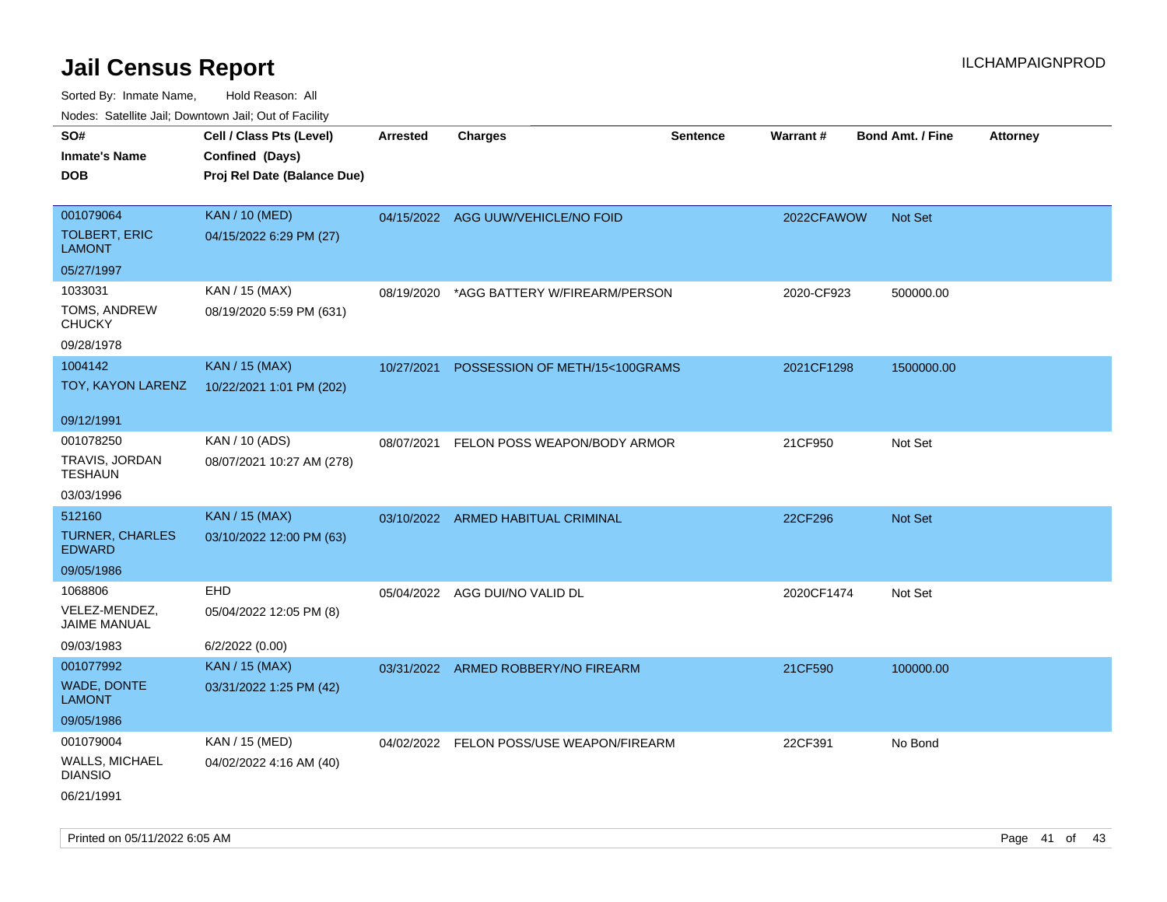| rougs. Calcing Jan, Downtown Jan, Out of Facility |                             |                 |                                          |                 |            |                         |                 |
|---------------------------------------------------|-----------------------------|-----------------|------------------------------------------|-----------------|------------|-------------------------|-----------------|
| SO#                                               | Cell / Class Pts (Level)    | <b>Arrested</b> | <b>Charges</b>                           | <b>Sentence</b> | Warrant#   | <b>Bond Amt. / Fine</b> | <b>Attorney</b> |
| <b>Inmate's Name</b>                              | Confined (Days)             |                 |                                          |                 |            |                         |                 |
| <b>DOB</b>                                        | Proj Rel Date (Balance Due) |                 |                                          |                 |            |                         |                 |
|                                                   |                             |                 |                                          |                 |            |                         |                 |
| 001079064                                         | <b>KAN / 10 (MED)</b>       |                 | 04/15/2022 AGG UUW/VEHICLE/NO FOID       |                 | 2022CFAWOW | <b>Not Set</b>          |                 |
| <b>TOLBERT, ERIC</b><br><b>LAMONT</b>             | 04/15/2022 6:29 PM (27)     |                 |                                          |                 |            |                         |                 |
| 05/27/1997                                        |                             |                 |                                          |                 |            |                         |                 |
| 1033031                                           | KAN / 15 (MAX)              | 08/19/2020      | *AGG BATTERY W/FIREARM/PERSON            |                 | 2020-CF923 | 500000.00               |                 |
| TOMS, ANDREW<br><b>CHUCKY</b>                     | 08/19/2020 5:59 PM (631)    |                 |                                          |                 |            |                         |                 |
| 09/28/1978                                        |                             |                 |                                          |                 |            |                         |                 |
| 1004142                                           | <b>KAN / 15 (MAX)</b>       | 10/27/2021      | POSSESSION OF METH/15<100GRAMS           |                 | 2021CF1298 | 1500000.00              |                 |
| TOY, KAYON LARENZ                                 | 10/22/2021 1:01 PM (202)    |                 |                                          |                 |            |                         |                 |
| 09/12/1991                                        |                             |                 |                                          |                 |            |                         |                 |
| 001078250                                         | KAN / 10 (ADS)              | 08/07/2021      | FELON POSS WEAPON/BODY ARMOR             |                 | 21CF950    | Not Set                 |                 |
| TRAVIS, JORDAN<br><b>TESHAUN</b>                  | 08/07/2021 10:27 AM (278)   |                 |                                          |                 |            |                         |                 |
| 03/03/1996                                        |                             |                 |                                          |                 |            |                         |                 |
| 512160                                            | <b>KAN / 15 (MAX)</b>       |                 | 03/10/2022 ARMED HABITUAL CRIMINAL       |                 | 22CF296    | Not Set                 |                 |
| <b>TURNER, CHARLES</b><br><b>EDWARD</b>           | 03/10/2022 12:00 PM (63)    |                 |                                          |                 |            |                         |                 |
| 09/05/1986                                        |                             |                 |                                          |                 |            |                         |                 |
| 1068806                                           | <b>EHD</b>                  |                 | 05/04/2022 AGG DUI/NO VALID DL           |                 | 2020CF1474 | Not Set                 |                 |
| VELEZ-MENDEZ,<br>JAIME MANUAL                     | 05/04/2022 12:05 PM (8)     |                 |                                          |                 |            |                         |                 |
| 09/03/1983                                        | 6/2/2022 (0.00)             |                 |                                          |                 |            |                         |                 |
| 001077992                                         | <b>KAN / 15 (MAX)</b>       |                 | 03/31/2022 ARMED ROBBERY/NO FIREARM      |                 | 21CF590    | 100000.00               |                 |
| <b>WADE, DONTE</b><br>LAMONT                      | 03/31/2022 1:25 PM (42)     |                 |                                          |                 |            |                         |                 |
| 09/05/1986                                        |                             |                 |                                          |                 |            |                         |                 |
| 001079004                                         | KAN / 15 (MED)              |                 | 04/02/2022 FELON POSS/USE WEAPON/FIREARM |                 | 22CF391    | No Bond                 |                 |
| WALLS, MICHAEL<br><b>DIANSIO</b>                  | 04/02/2022 4:16 AM (40)     |                 |                                          |                 |            |                         |                 |
| 06/21/1991                                        |                             |                 |                                          |                 |            |                         |                 |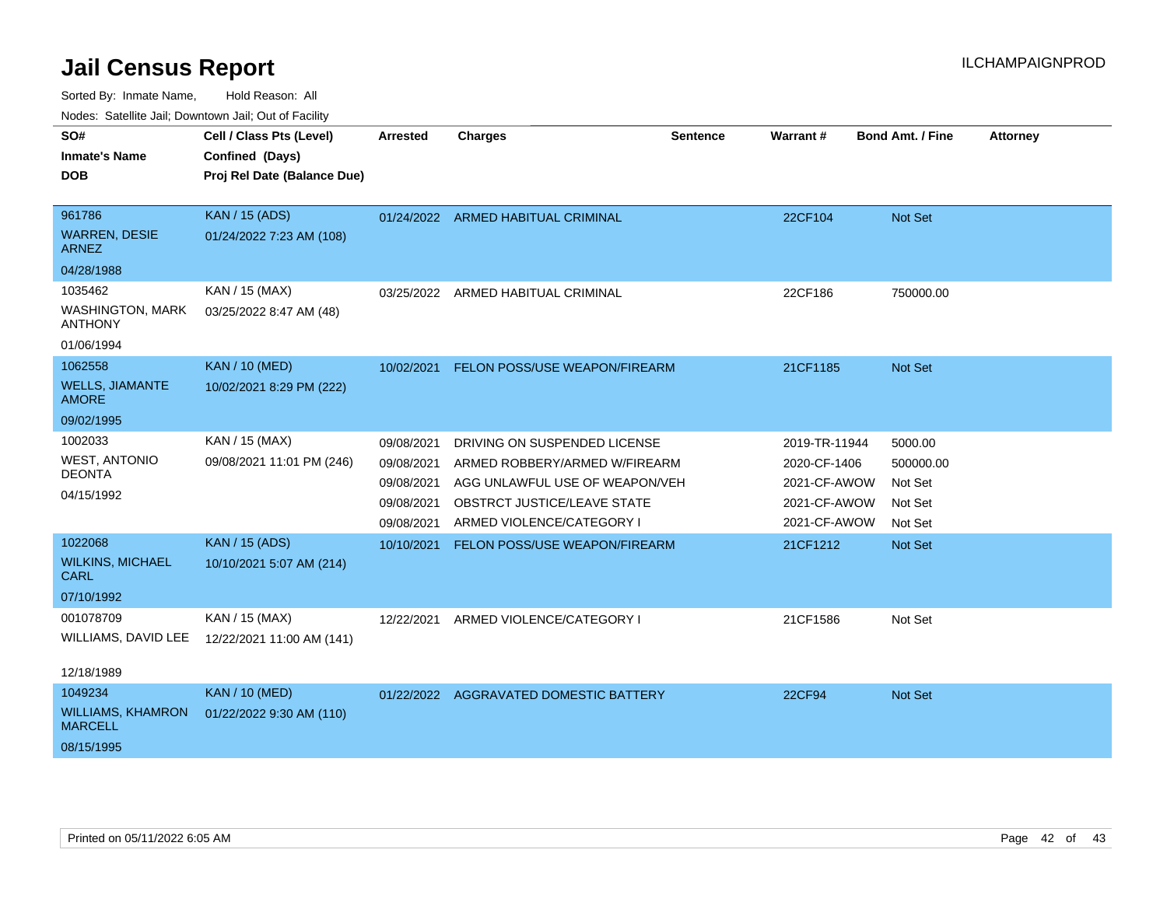Sorted By: Inmate Name, Hold Reason: All

| Nodes: Satellite Jail; Downtown Jail; Out of Facility |  |  |
|-------------------------------------------------------|--|--|
|                                                       |  |  |

| SO#                                        | Cell / Class Pts (Level)    | <b>Arrested</b> | <b>Charges</b>                         | <b>Sentence</b> | Warrant#      | <b>Bond Amt. / Fine</b> | <b>Attorney</b> |
|--------------------------------------------|-----------------------------|-----------------|----------------------------------------|-----------------|---------------|-------------------------|-----------------|
| <b>Inmate's Name</b>                       | Confined (Days)             |                 |                                        |                 |               |                         |                 |
| <b>DOB</b>                                 | Proj Rel Date (Balance Due) |                 |                                        |                 |               |                         |                 |
| 961786                                     | <b>KAN / 15 (ADS)</b>       |                 | 01/24/2022 ARMED HABITUAL CRIMINAL     |                 | 22CF104       | Not Set                 |                 |
| <b>WARREN, DESIE</b><br><b>ARNEZ</b>       | 01/24/2022 7:23 AM (108)    |                 |                                        |                 |               |                         |                 |
| 04/28/1988                                 |                             |                 |                                        |                 |               |                         |                 |
| 1035462                                    | KAN / 15 (MAX)              | 03/25/2022      | ARMED HABITUAL CRIMINAL                |                 | 22CF186       | 750000.00               |                 |
| <b>WASHINGTON, MARK</b><br><b>ANTHONY</b>  | 03/25/2022 8:47 AM (48)     |                 |                                        |                 |               |                         |                 |
| 01/06/1994                                 |                             |                 |                                        |                 |               |                         |                 |
| 1062558                                    | <b>KAN / 10 (MED)</b>       | 10/02/2021      | <b>FELON POSS/USE WEAPON/FIREARM</b>   |                 | 21CF1185      | Not Set                 |                 |
| <b>WELLS, JIAMANTE</b><br><b>AMORE</b>     | 10/02/2021 8:29 PM (222)    |                 |                                        |                 |               |                         |                 |
| 09/02/1995                                 |                             |                 |                                        |                 |               |                         |                 |
| 1002033                                    | KAN / 15 (MAX)              | 09/08/2021      | DRIVING ON SUSPENDED LICENSE           |                 | 2019-TR-11944 | 5000.00                 |                 |
| <b>WEST, ANTONIO</b>                       | 09/08/2021 11:01 PM (246)   | 09/08/2021      | ARMED ROBBERY/ARMED W/FIREARM          |                 | 2020-CF-1406  | 500000.00               |                 |
| <b>DEONTA</b>                              |                             | 09/08/2021      | AGG UNLAWFUL USE OF WEAPON/VEH         |                 | 2021-CF-AWOW  | Not Set                 |                 |
| 04/15/1992                                 |                             | 09/08/2021      | OBSTRCT JUSTICE/LEAVE STATE            |                 | 2021-CF-AWOW  | Not Set                 |                 |
|                                            |                             | 09/08/2021      | ARMED VIOLENCE/CATEGORY I              |                 | 2021-CF-AWOW  | Not Set                 |                 |
| 1022068                                    | <b>KAN / 15 (ADS)</b>       | 10/10/2021      | FELON POSS/USE WEAPON/FIREARM          |                 | 21CF1212      | Not Set                 |                 |
| <b>WILKINS, MICHAEL</b><br><b>CARL</b>     | 10/10/2021 5:07 AM (214)    |                 |                                        |                 |               |                         |                 |
| 07/10/1992                                 |                             |                 |                                        |                 |               |                         |                 |
| 001078709                                  | KAN / 15 (MAX)              | 12/22/2021      | ARMED VIOLENCE/CATEGORY I              |                 | 21CF1586      | Not Set                 |                 |
| WILLIAMS, DAVID LEE                        | 12/22/2021 11:00 AM (141)   |                 |                                        |                 |               |                         |                 |
| 12/18/1989                                 |                             |                 |                                        |                 |               |                         |                 |
| 1049234                                    | <b>KAN / 10 (MED)</b>       |                 | 01/22/2022 AGGRAVATED DOMESTIC BATTERY |                 | 22CF94        | Not Set                 |                 |
| <b>WILLIAMS, KHAMRON</b><br><b>MARCELL</b> | 01/22/2022 9:30 AM (110)    |                 |                                        |                 |               |                         |                 |
| 08/15/1995                                 |                             |                 |                                        |                 |               |                         |                 |